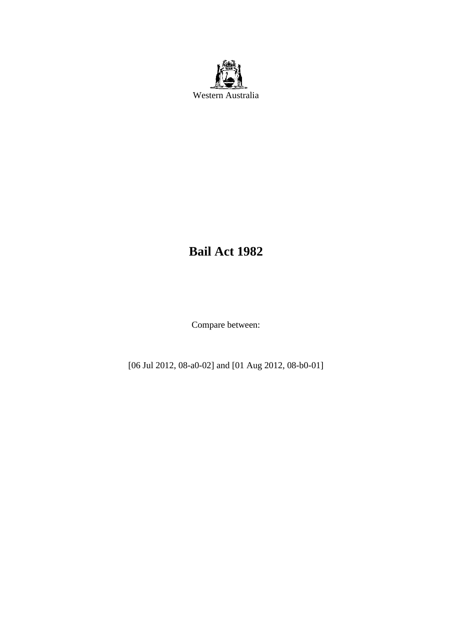

# **Bail Act 1982**

Compare between:

[06 Jul 2012, 08-a0-02] and [01 Aug 2012, 08-b0-01]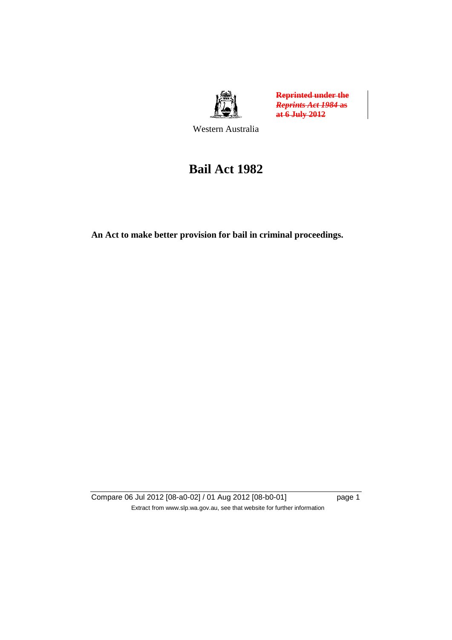

**Reprinted under the**  *Reprints Act 1984* **as at 6 July 2012**

Western Australia

# **Bail Act 1982**

**An Act to make better provision for bail in criminal proceedings.** 

Compare 06 Jul 2012 [08-a0-02] / 01 Aug 2012 [08-b0-01] page 1 Extract from www.slp.wa.gov.au, see that website for further information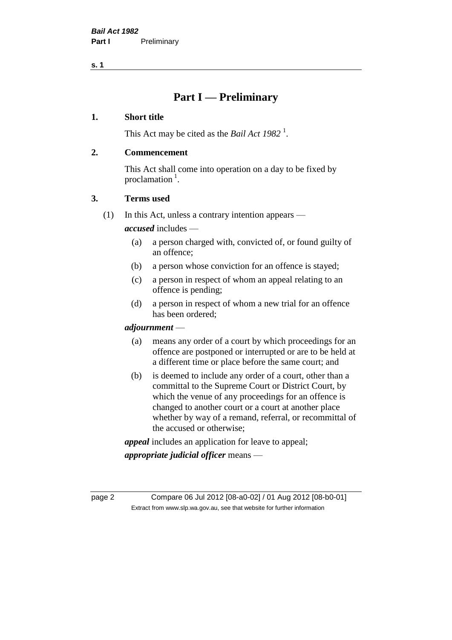**s. 1**

# **Part I — Preliminary**

#### **1. Short title**

This Act may be cited as the *Bail Act* 1982<sup>1</sup>.

#### **2. Commencement**

This Act shall come into operation on a day to be fixed by proclamation  $<sup>1</sup>$ .</sup>

#### **3. Terms used**

(1) In this Act, unless a contrary intention appears —

*accused* includes —

- (a) a person charged with, convicted of, or found guilty of an offence;
- (b) a person whose conviction for an offence is stayed;
- (c) a person in respect of whom an appeal relating to an offence is pending;
- (d) a person in respect of whom a new trial for an offence has been ordered;

#### *adjournment* —

- (a) means any order of a court by which proceedings for an offence are postponed or interrupted or are to be held at a different time or place before the same court; and
- (b) is deemed to include any order of a court, other than a committal to the Supreme Court or District Court, by which the venue of any proceedings for an offence is changed to another court or a court at another place whether by way of a remand, referral, or recommittal of the accused or otherwise;

*appeal* includes an application for leave to appeal;

*appropriate judicial officer* means —

page 2 Compare 06 Jul 2012 [08-a0-02] / 01 Aug 2012 [08-b0-01] Extract from www.slp.wa.gov.au, see that website for further information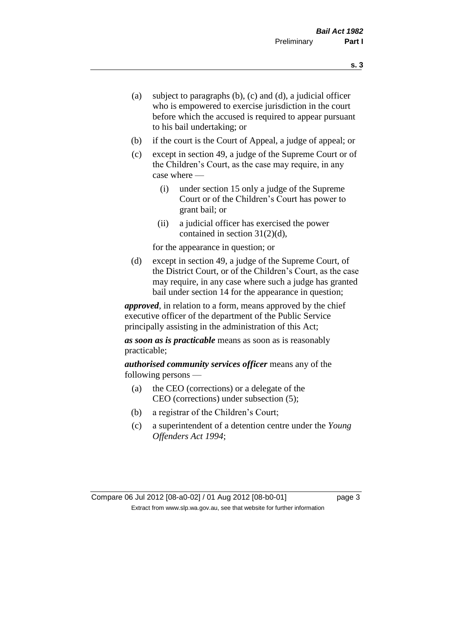- (a) subject to paragraphs (b), (c) and (d), a judicial officer who is empowered to exercise jurisdiction in the court before which the accused is required to appear pursuant to his bail undertaking; or
- (b) if the court is the Court of Appeal, a judge of appeal; or
- (c) except in section 49, a judge of the Supreme Court or of the Children's Court, as the case may require, in any case where —
	- (i) under section 15 only a judge of the Supreme Court or of the Children's Court has power to grant bail; or
	- (ii) a judicial officer has exercised the power contained in section 31(2)(d),

for the appearance in question; or

(d) except in section 49, a judge of the Supreme Court, of the District Court, or of the Children's Court, as the case may require, in any case where such a judge has granted bail under section 14 for the appearance in question;

*approved*, in relation to a form, means approved by the chief executive officer of the department of the Public Service principally assisting in the administration of this Act;

*as soon as is practicable* means as soon as is reasonably practicable;

*authorised community services officer* means any of the following persons —

- (a) the CEO (corrections) or a delegate of the CEO (corrections) under subsection (5);
- (b) a registrar of the Children's Court;
- (c) a superintendent of a detention centre under the *Young Offenders Act 1994*;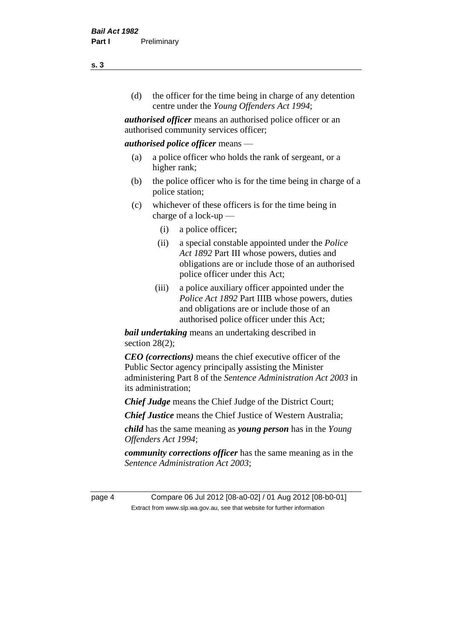(d) the officer for the time being in charge of any detention centre under the *Young Offenders Act 1994*;

*authorised officer* means an authorised police officer or an authorised community services officer;

#### *authorised police officer* means —

- (a) a police officer who holds the rank of sergeant, or a higher rank;
- (b) the police officer who is for the time being in charge of a police station;
- (c) whichever of these officers is for the time being in charge of a lock-up —
	- (i) a police officer;
	- (ii) a special constable appointed under the *Police Act 1892* Part III whose powers, duties and obligations are or include those of an authorised police officer under this Act;
	- (iii) a police auxiliary officer appointed under the *Police Act 1892* Part IIIB whose powers, duties and obligations are or include those of an authorised police officer under this Act;

*bail undertaking* means an undertaking described in section  $28(2)$ ;

*CEO (corrections)* means the chief executive officer of the Public Sector agency principally assisting the Minister administering Part 8 of the *Sentence Administration Act 2003* in its administration;

*Chief Judge* means the Chief Judge of the District Court;

*Chief Justice* means the Chief Justice of Western Australia;

*child* has the same meaning as *young person* has in the *Young Offenders Act 1994*;

*community corrections officer* has the same meaning as in the *Sentence Administration Act 2003*;

page 4 Compare 06 Jul 2012 [08-a0-02] / 01 Aug 2012 [08-b0-01] Extract from www.slp.wa.gov.au, see that website for further information

**s. 3**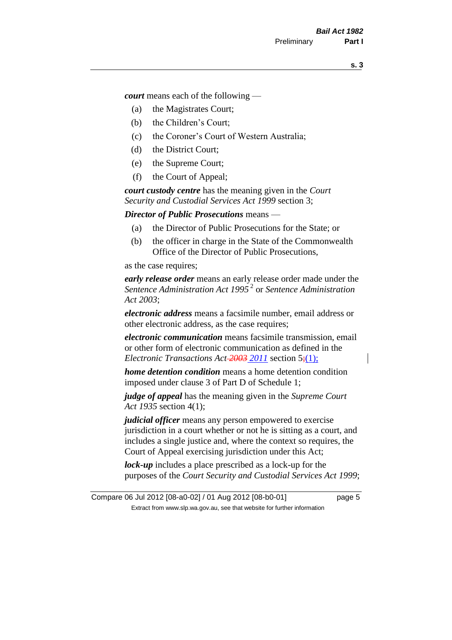*court* means each of the following —

- (a) the Magistrates Court;
- (b) the Children's Court;
- (c) the Coroner's Court of Western Australia;
- (d) the District Court;
- (e) the Supreme Court;
- (f) the Court of Appeal;

*court custody centre* has the meaning given in the *Court Security and Custodial Services Act 1999* section 3;

*Director of Public Prosecutions* means —

- (a) the Director of Public Prosecutions for the State; or
- (b) the officer in charge in the State of the Commonwealth Office of the Director of Public Prosecutions,

as the case requires;

*early release order* means an early release order made under the *Sentence Administration Act 1995* <sup>2</sup> or *Sentence Administration Act 2003*;

*electronic address* means a facsimile number, email address or other electronic address, as the case requires;

*electronic communication* means facsimile transmission, email or other form of electronic communication as defined in the *Electronic Transactions Act 2003 2011* section 5;(1);

*home detention condition* means a home detention condition imposed under clause 3 of Part D of Schedule 1;

*judge of appeal* has the meaning given in the *Supreme Court Act 1935* section 4(1);

*judicial officer* means any person empowered to exercise jurisdiction in a court whether or not he is sitting as a court, and includes a single justice and, where the context so requires, the Court of Appeal exercising jurisdiction under this Act;

*lock-up* includes a place prescribed as a lock-up for the purposes of the *Court Security and Custodial Services Act 1999*;

Compare 06 Jul 2012 [08-a0-02] / 01 Aug 2012 [08-b0-01] page 5 Extract from www.slp.wa.gov.au, see that website for further information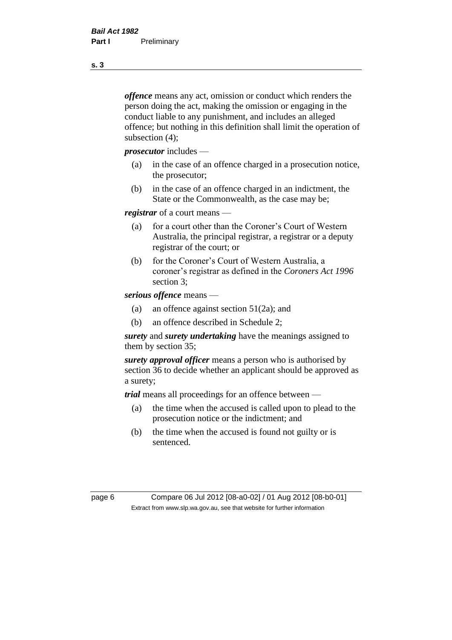*offence* means any act, omission or conduct which renders the person doing the act, making the omission or engaging in the conduct liable to any punishment, and includes an alleged offence; but nothing in this definition shall limit the operation of subsection (4);

*prosecutor* includes —

- (a) in the case of an offence charged in a prosecution notice, the prosecutor;
- (b) in the case of an offence charged in an indictment, the State or the Commonwealth, as the case may be;

*registrar* of a court means —

- (a) for a court other than the Coroner's Court of Western Australia, the principal registrar, a registrar or a deputy registrar of the court; or
- (b) for the Coroner's Court of Western Australia, a coroner's registrar as defined in the *Coroners Act 1996* section 3;

*serious offence* means —

- (a) an offence against section 51(2a); and
- (b) an offence described in Schedule 2;

*surety* and *surety undertaking* have the meanings assigned to them by section 35;

*surety approval officer* means a person who is authorised by section 36 to decide whether an applicant should be approved as a surety;

*trial* means all proceedings for an offence between —

- (a) the time when the accused is called upon to plead to the prosecution notice or the indictment; and
- (b) the time when the accused is found not guilty or is sentenced.

page 6 Compare 06 Jul 2012 [08-a0-02] / 01 Aug 2012 [08-b0-01] Extract from www.slp.wa.gov.au, see that website for further information

**s. 3**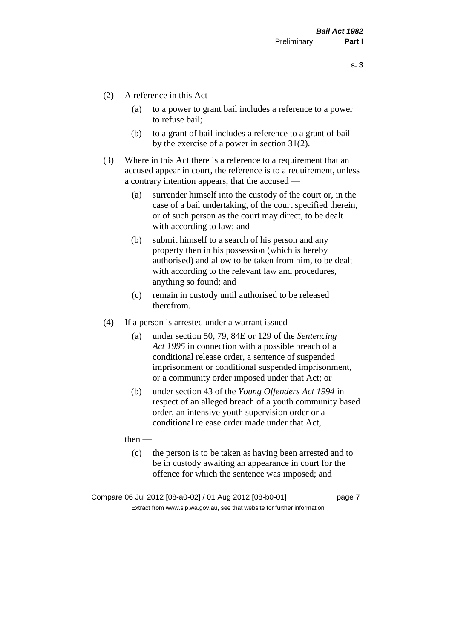**s. 3**

- (2) A reference in this Act
	- (a) to a power to grant bail includes a reference to a power to refuse bail;
	- (b) to a grant of bail includes a reference to a grant of bail by the exercise of a power in section 31(2).
- (3) Where in this Act there is a reference to a requirement that an accused appear in court, the reference is to a requirement, unless a contrary intention appears, that the accused —
	- (a) surrender himself into the custody of the court or, in the case of a bail undertaking, of the court specified therein, or of such person as the court may direct, to be dealt with according to law; and
	- (b) submit himself to a search of his person and any property then in his possession (which is hereby authorised) and allow to be taken from him, to be dealt with according to the relevant law and procedures, anything so found; and
	- (c) remain in custody until authorised to be released therefrom.
- (4) If a person is arrested under a warrant issued
	- (a) under section 50, 79, 84E or 129 of the *Sentencing Act 1995* in connection with a possible breach of a conditional release order, a sentence of suspended imprisonment or conditional suspended imprisonment, or a community order imposed under that Act; or
	- (b) under section 43 of the *Young Offenders Act 1994* in respect of an alleged breach of a youth community based order, an intensive youth supervision order or a conditional release order made under that Act,

then —

(c) the person is to be taken as having been arrested and to be in custody awaiting an appearance in court for the offence for which the sentence was imposed; and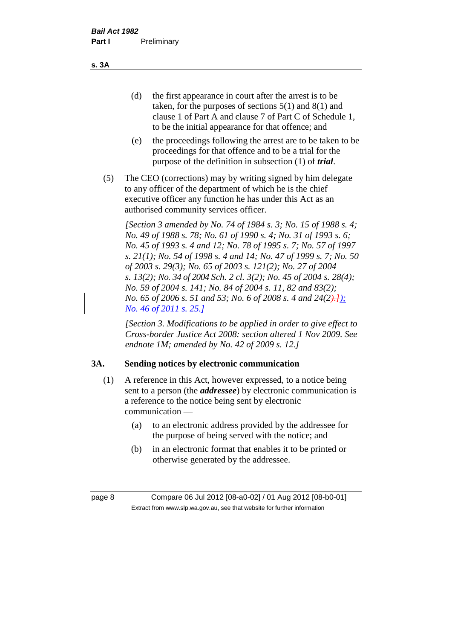(d) the first appearance in court after the arrest is to be taken, for the purposes of sections 5(1) and 8(1) and clause 1 of Part A and clause 7 of Part C of Schedule 1, to be the initial appearance for that offence; and

- (e) the proceedings following the arrest are to be taken to be proceedings for that offence and to be a trial for the purpose of the definition in subsection (1) of *trial*.
- (5) The CEO (corrections) may by writing signed by him delegate to any officer of the department of which he is the chief executive officer any function he has under this Act as an authorised community services officer.

*[Section 3 amended by No. 74 of 1984 s. 3; No. 15 of 1988 s. 4; No. 49 of 1988 s. 78; No. 61 of 1990 s. 4; No. 31 of 1993 s. 6; No. 45 of 1993 s. 4 and 12; No. 78 of 1995 s. 7; No. 57 of 1997 s. 21(1); No. 54 of 1998 s. 4 and 14; No. 47 of 1999 s. 7; No. 50 of 2003 s. 29(3); No. 65 of 2003 s. 121(2); No. 27 of 2004 s. 13(2); No. 34 of 2004 Sch. 2 cl. 3(2); No. 45 of 2004 s. 28(4); No. 59 of 2004 s. 141; No. 84 of 2004 s. 11, 82 and 83(2); No.* 65 of 2006 s. 51 and 53; No. 6 of 2008 s. 4 and 24(2). *No. 46 of 2011 s. 25.]*

*[Section 3. Modifications to be applied in order to give effect to Cross-border Justice Act 2008: section altered 1 Nov 2009. See endnote 1M; amended by No. 42 of 2009 s. 12.]*

# **3A. Sending notices by electronic communication**

- (1) A reference in this Act, however expressed, to a notice being sent to a person (the *addressee*) by electronic communication is a reference to the notice being sent by electronic communication —
	- (a) to an electronic address provided by the addressee for the purpose of being served with the notice; and
	- (b) in an electronic format that enables it to be printed or otherwise generated by the addressee.

**s. 3A**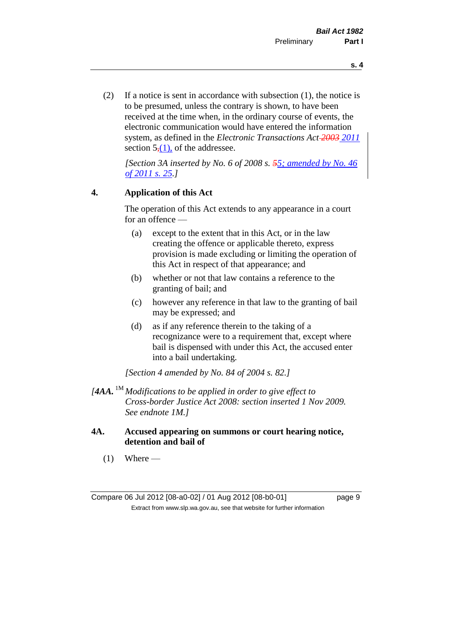(2) If a notice is sent in accordance with subsection (1), the notice is to be presumed, unless the contrary is shown, to have been received at the time when, in the ordinary course of events, the electronic communication would have entered the information system, as defined in the *Electronic Transactions Act 2003 2011* section  $5(1)$ , of the addressee.

*[Section 3A inserted by No. 6 of 2008 s. 55; amended by No. 46 of 2011 s. 25.]*

#### **4. Application of this Act**

The operation of this Act extends to any appearance in a court for an offence —

- (a) except to the extent that in this Act, or in the law creating the offence or applicable thereto, express provision is made excluding or limiting the operation of this Act in respect of that appearance; and
- (b) whether or not that law contains a reference to the granting of bail; and
- (c) however any reference in that law to the granting of bail may be expressed; and
- (d) as if any reference therein to the taking of a recognizance were to a requirement that, except where bail is dispensed with under this Act, the accused enter into a bail undertaking.

*[Section 4 amended by No. 84 of 2004 s. 82.]*

- *[4AA.* 1M *Modifications to be applied in order to give effect to Cross-border Justice Act 2008: section inserted 1 Nov 2009. See endnote 1M.]*
- **4A. Accused appearing on summons or court hearing notice, detention and bail of**
	- $(1)$  Where —

**s. 4**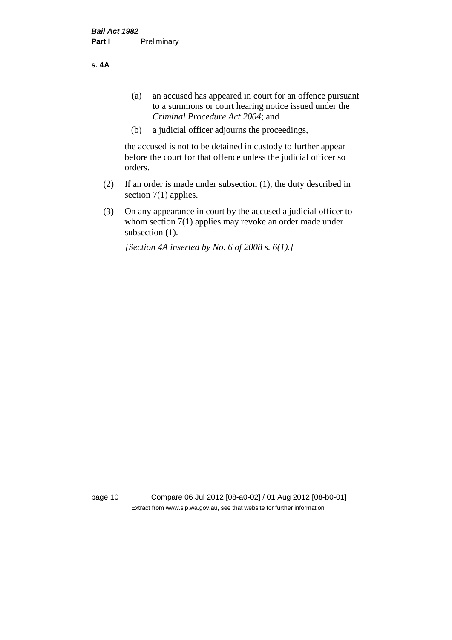**s. 4A**

- (a) an accused has appeared in court for an offence pursuant to a summons or court hearing notice issued under the *Criminal Procedure Act 2004*; and
- (b) a judicial officer adjourns the proceedings,

the accused is not to be detained in custody to further appear before the court for that offence unless the judicial officer so orders.

- (2) If an order is made under subsection (1), the duty described in section 7(1) applies.
- (3) On any appearance in court by the accused a judicial officer to whom section 7(1) applies may revoke an order made under subsection  $(1)$ .

*[Section 4A inserted by No. 6 of 2008 s. 6(1).]*

page 10 Compare 06 Jul 2012 [08-a0-02] / 01 Aug 2012 [08-b0-01] Extract from www.slp.wa.gov.au, see that website for further information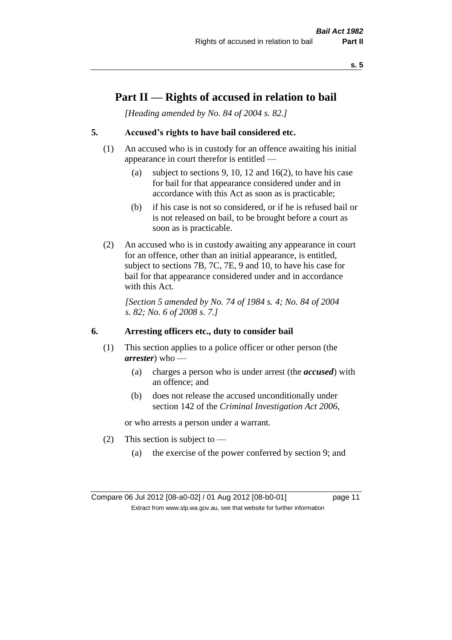**s. 5**

# **Part II — Rights of accused in relation to bail**

*[Heading amended by No. 84 of 2004 s. 82.]* 

# **5. Accused's rights to have bail considered etc.**

- (1) An accused who is in custody for an offence awaiting his initial appearance in court therefor is entitled —
	- (a) subject to sections 9, 10, 12 and 16(2), to have his case for bail for that appearance considered under and in accordance with this Act as soon as is practicable;
	- (b) if his case is not so considered, or if he is refused bail or is not released on bail, to be brought before a court as soon as is practicable.
- (2) An accused who is in custody awaiting any appearance in court for an offence, other than an initial appearance, is entitled, subject to sections 7B, 7C, 7E, 9 and 10, to have his case for bail for that appearance considered under and in accordance with this Act.

*[Section 5 amended by No. 74 of 1984 s. 4; No. 84 of 2004 s. 82; No. 6 of 2008 s. 7.]* 

#### **6. Arresting officers etc., duty to consider bail**

- (1) This section applies to a police officer or other person (the *arrester*) who —
	- (a) charges a person who is under arrest (the *accused*) with an offence; and
	- (b) does not release the accused unconditionally under section 142 of the *Criminal Investigation Act 2006*,

or who arrests a person under a warrant.

- (2) This section is subject to  $-$ 
	- (a) the exercise of the power conferred by section 9; and

Compare 06 Jul 2012 [08-a0-02] / 01 Aug 2012 [08-b0-01] page 11 Extract from www.slp.wa.gov.au, see that website for further information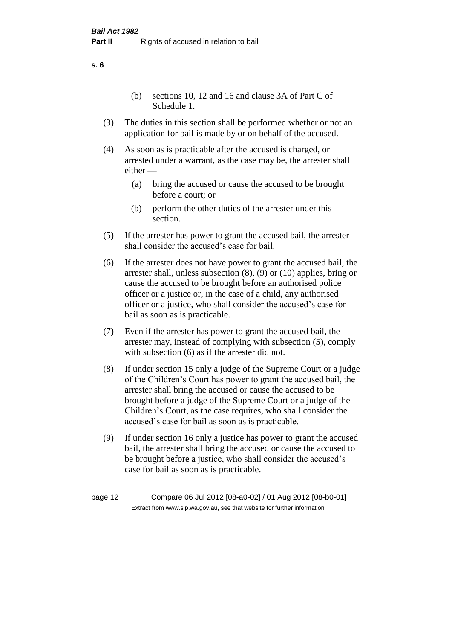(b) sections 10, 12 and 16 and clause 3A of Part C of Schedule 1.

- (3) The duties in this section shall be performed whether or not an application for bail is made by or on behalf of the accused.
- (4) As soon as is practicable after the accused is charged, or arrested under a warrant, as the case may be, the arrester shall either —
	- (a) bring the accused or cause the accused to be brought before a court; or
	- (b) perform the other duties of the arrester under this section.
- (5) If the arrester has power to grant the accused bail, the arrester shall consider the accused's case for bail.
- (6) If the arrester does not have power to grant the accused bail, the arrester shall, unless subsection (8), (9) or (10) applies, bring or cause the accused to be brought before an authorised police officer or a justice or, in the case of a child, any authorised officer or a justice, who shall consider the accused's case for bail as soon as is practicable.
- (7) Even if the arrester has power to grant the accused bail, the arrester may, instead of complying with subsection (5), comply with subsection  $(6)$  as if the arrester did not.
- (8) If under section 15 only a judge of the Supreme Court or a judge of the Children's Court has power to grant the accused bail, the arrester shall bring the accused or cause the accused to be brought before a judge of the Supreme Court or a judge of the Children's Court, as the case requires, who shall consider the accused's case for bail as soon as is practicable.
- (9) If under section 16 only a justice has power to grant the accused bail, the arrester shall bring the accused or cause the accused to be brought before a justice, who shall consider the accused's case for bail as soon as is practicable.

**s. 6**

page 12 Compare 06 Jul 2012 [08-a0-02] / 01 Aug 2012 [08-b0-01] Extract from www.slp.wa.gov.au, see that website for further information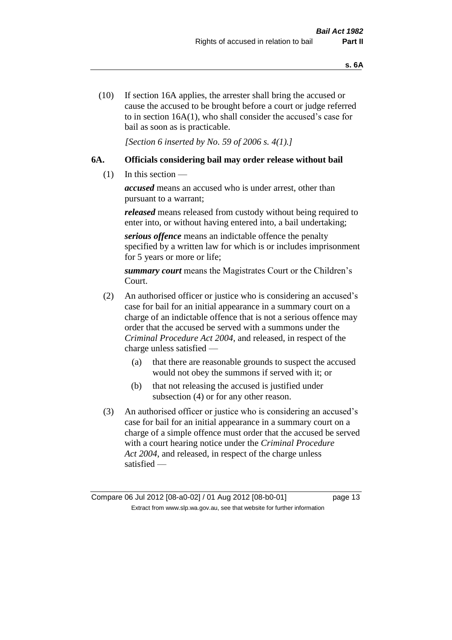(10) If section 16A applies, the arrester shall bring the accused or cause the accused to be brought before a court or judge referred to in section 16A(1), who shall consider the accused's case for bail as soon as is practicable.

*[Section 6 inserted by No. 59 of 2006 s. 4(1).]* 

#### **6A. Officials considering bail may order release without bail**

(1) In this section —

*accused* means an accused who is under arrest, other than pursuant to a warrant;

*released* means released from custody without being required to enter into, or without having entered into, a bail undertaking;

*serious offence* means an indictable offence the penalty specified by a written law for which is or includes imprisonment for 5 years or more or life;

*summary court* means the Magistrates Court or the Children's Court.

- (2) An authorised officer or justice who is considering an accused's case for bail for an initial appearance in a summary court on a charge of an indictable offence that is not a serious offence may order that the accused be served with a summons under the *Criminal Procedure Act 2004*, and released, in respect of the charge unless satisfied —
	- (a) that there are reasonable grounds to suspect the accused would not obey the summons if served with it; or
	- (b) that not releasing the accused is justified under subsection (4) or for any other reason.
- (3) An authorised officer or justice who is considering an accused's case for bail for an initial appearance in a summary court on a charge of a simple offence must order that the accused be served with a court hearing notice under the *Criminal Procedure Act 2004*, and released, in respect of the charge unless satisfied —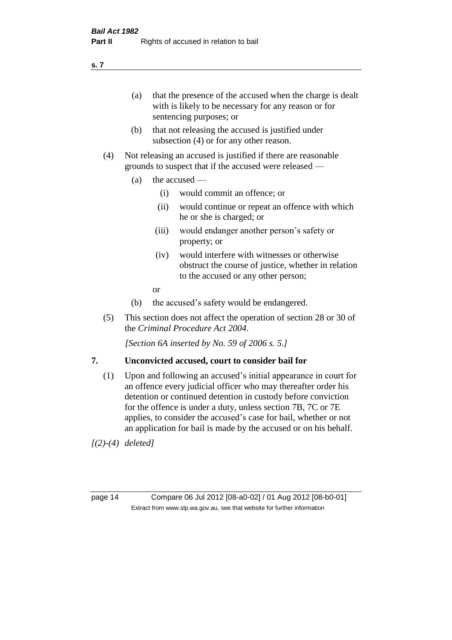(a) that the presence of the accused when the charge is dealt with is likely to be necessary for any reason or for sentencing purposes; or

- (b) that not releasing the accused is justified under subsection (4) or for any other reason.
- (4) Not releasing an accused is justified if there are reasonable grounds to suspect that if the accused were released —
	- (a) the accused  $\equiv$ 
		- (i) would commit an offence; or
		- (ii) would continue or repeat an offence with which he or she is charged; or
		- (iii) would endanger another person's safety or property; or
		- (iv) would interfere with witnesses or otherwise obstruct the course of justice, whether in relation to the accused or any other person;
		- or
	- (b) the accused's safety would be endangered.
- (5) This section does not affect the operation of section 28 or 30 of the *Criminal Procedure Act 2004*.

*[Section 6A inserted by No. 59 of 2006 s. 5.]* 

#### **7. Unconvicted accused, court to consider bail for**

(1) Upon and following an accused's initial appearance in court for an offence every judicial officer who may thereafter order his detention or continued detention in custody before conviction for the offence is under a duty, unless section 7B, 7C or 7E applies, to consider the accused's case for bail, whether or not an application for bail is made by the accused or on his behalf.

*[(2)-(4) deleted]*

page 14 Compare 06 Jul 2012 [08-a0-02] / 01 Aug 2012 [08-b0-01] Extract from www.slp.wa.gov.au, see that website for further information

**s. 7**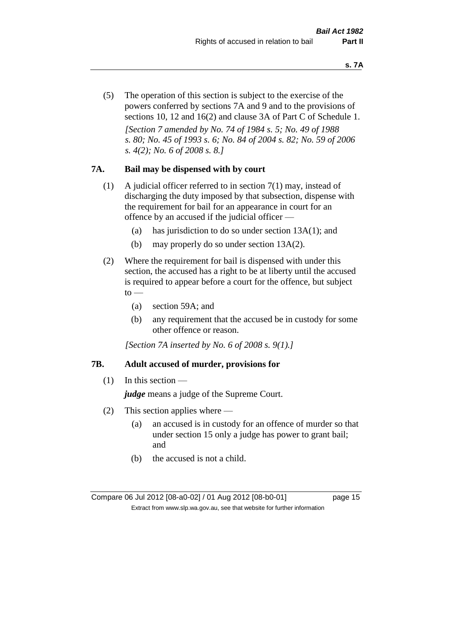(5) The operation of this section is subject to the exercise of the powers conferred by sections 7A and 9 and to the provisions of sections 10, 12 and 16(2) and clause 3A of Part C of Schedule 1. *[Section 7 amended by No. 74 of 1984 s. 5; No. 49 of 1988 s. 80; No. 45 of 1993 s. 6; No. 84 of 2004 s. 82; No. 59 of 2006 s. 4(2); No. 6 of 2008 s. 8.]* 

#### **7A. Bail may be dispensed with by court**

- (1) A judicial officer referred to in section 7(1) may, instead of discharging the duty imposed by that subsection, dispense with the requirement for bail for an appearance in court for an offence by an accused if the judicial officer —
	- (a) has jurisdiction to do so under section 13A(1); and
	- (b) may properly do so under section 13A(2).
- (2) Where the requirement for bail is dispensed with under this section, the accused has a right to be at liberty until the accused is required to appear before a court for the offence, but subject  $to$ 
	- (a) section 59A; and
	- (b) any requirement that the accused be in custody for some other offence or reason.

*[Section 7A inserted by No. 6 of 2008 s. 9(1).]*

#### **7B. Adult accused of murder, provisions for**

 $(1)$  In this section —

*judge* means a judge of the Supreme Court.

- (2) This section applies where
	- (a) an accused is in custody for an offence of murder so that under section 15 only a judge has power to grant bail; and
	- (b) the accused is not a child.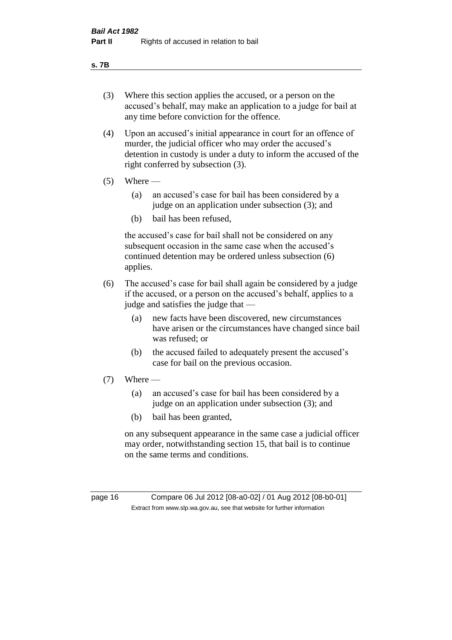#### **s. 7B**

- (3) Where this section applies the accused, or a person on the accused's behalf, may make an application to a judge for bail at any time before conviction for the offence.
- (4) Upon an accused's initial appearance in court for an offence of murder, the judicial officer who may order the accused's detention in custody is under a duty to inform the accused of the right conferred by subsection (3).
- $(5)$  Where
	- (a) an accused's case for bail has been considered by a judge on an application under subsection (3); and
	- (b) bail has been refused,

the accused's case for bail shall not be considered on any subsequent occasion in the same case when the accused's continued detention may be ordered unless subsection (6) applies.

- (6) The accused's case for bail shall again be considered by a judge if the accused, or a person on the accused's behalf, applies to a judge and satisfies the judge that —
	- (a) new facts have been discovered, new circumstances have arisen or the circumstances have changed since bail was refused; or
	- (b) the accused failed to adequately present the accused's case for bail on the previous occasion.
- $(7)$  Where
	- (a) an accused's case for bail has been considered by a judge on an application under subsection (3); and
	- (b) bail has been granted,

on any subsequent appearance in the same case a judicial officer may order, notwithstanding section 15, that bail is to continue on the same terms and conditions.

page 16 Compare 06 Jul 2012 [08-a0-02] / 01 Aug 2012 [08-b0-01] Extract from www.slp.wa.gov.au, see that website for further information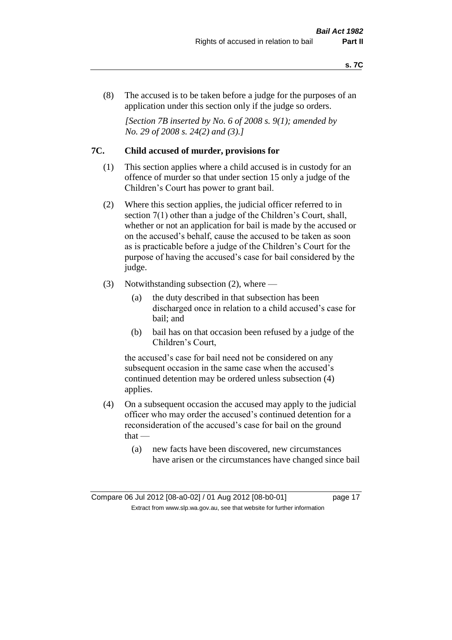(8) The accused is to be taken before a judge for the purposes of an application under this section only if the judge so orders.

*[Section 7B inserted by No. 6 of 2008 s. 9(1); amended by No. 29 of 2008 s. 24(2) and (3).]*

#### **7C. Child accused of murder, provisions for**

- (1) This section applies where a child accused is in custody for an offence of murder so that under section 15 only a judge of the Children's Court has power to grant bail.
- (2) Where this section applies, the judicial officer referred to in section 7(1) other than a judge of the Children's Court, shall, whether or not an application for bail is made by the accused or on the accused's behalf, cause the accused to be taken as soon as is practicable before a judge of the Children's Court for the purpose of having the accused's case for bail considered by the judge.
- (3) Notwithstanding subsection (2), where
	- (a) the duty described in that subsection has been discharged once in relation to a child accused's case for bail; and
	- (b) bail has on that occasion been refused by a judge of the Children's Court,

the accused's case for bail need not be considered on any subsequent occasion in the same case when the accused's continued detention may be ordered unless subsection (4) applies.

- (4) On a subsequent occasion the accused may apply to the judicial officer who may order the accused's continued detention for a reconsideration of the accused's case for bail on the ground that —
	- (a) new facts have been discovered, new circumstances have arisen or the circumstances have changed since bail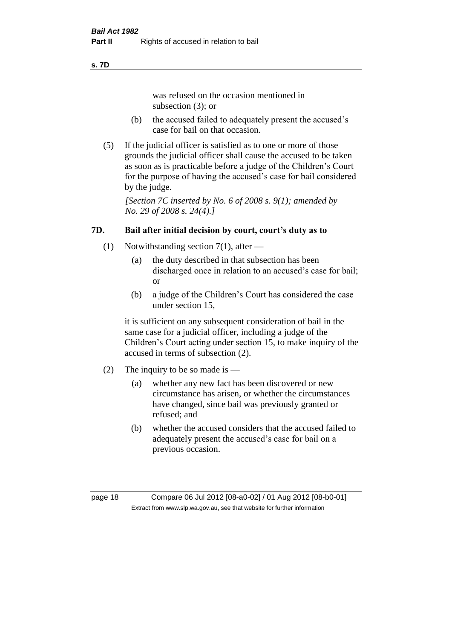#### **s. 7D**

was refused on the occasion mentioned in subsection (3); or

- (b) the accused failed to adequately present the accused's case for bail on that occasion.
- (5) If the judicial officer is satisfied as to one or more of those grounds the judicial officer shall cause the accused to be taken as soon as is practicable before a judge of the Children's Court for the purpose of having the accused's case for bail considered by the judge.

*[Section 7C inserted by No. 6 of 2008 s. 9(1); amended by No. 29 of 2008 s. 24(4).]*

# **7D. Bail after initial decision by court, court's duty as to**

- (1) Notwithstanding section 7(1), after
	- (a) the duty described in that subsection has been discharged once in relation to an accused's case for bail; or
	- (b) a judge of the Children's Court has considered the case under section 15,

it is sufficient on any subsequent consideration of bail in the same case for a judicial officer, including a judge of the Children's Court acting under section 15, to make inquiry of the accused in terms of subsection (2).

- (2) The inquiry to be so made is
	- (a) whether any new fact has been discovered or new circumstance has arisen, or whether the circumstances have changed, since bail was previously granted or refused; and
	- (b) whether the accused considers that the accused failed to adequately present the accused's case for bail on a previous occasion.

page 18 Compare 06 Jul 2012 [08-a0-02] / 01 Aug 2012 [08-b0-01] Extract from www.slp.wa.gov.au, see that website for further information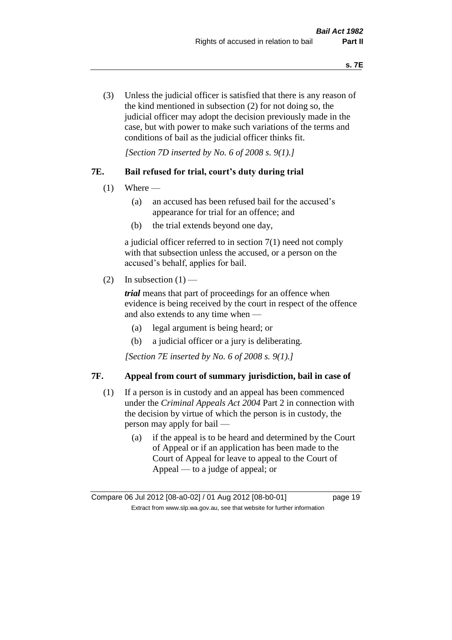(3) Unless the judicial officer is satisfied that there is any reason of the kind mentioned in subsection (2) for not doing so, the judicial officer may adopt the decision previously made in the case, but with power to make such variations of the terms and conditions of bail as the judicial officer thinks fit.

*[Section 7D inserted by No. 6 of 2008 s. 9(1).]*

#### **7E. Bail refused for trial, court's duty during trial**

- $(1)$  Where
	- (a) an accused has been refused bail for the accused's appearance for trial for an offence; and
	- (b) the trial extends beyond one day,

a judicial officer referred to in section 7(1) need not comply with that subsection unless the accused, or a person on the accused's behalf, applies for bail.

(2) In subsection  $(1)$  —

*trial* means that part of proceedings for an offence when evidence is being received by the court in respect of the offence and also extends to any time when —

- (a) legal argument is being heard; or
- (b) a judicial officer or a jury is deliberating.

*[Section 7E inserted by No. 6 of 2008 s. 9(1).]*

#### **7F. Appeal from court of summary jurisdiction, bail in case of**

- (1) If a person is in custody and an appeal has been commenced under the *Criminal Appeals Act 2004* Part 2 in connection with the decision by virtue of which the person is in custody, the person may apply for bail —
	- (a) if the appeal is to be heard and determined by the Court of Appeal or if an application has been made to the Court of Appeal for leave to appeal to the Court of Appeal — to a judge of appeal; or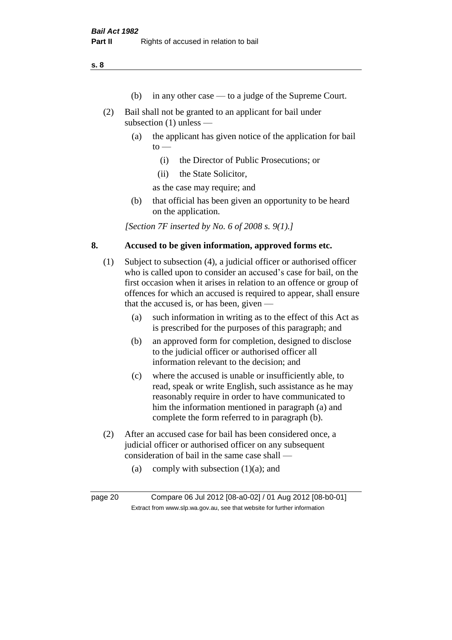**s. 8**

- (b) in any other case to a judge of the Supreme Court.
- (2) Bail shall not be granted to an applicant for bail under subsection (1) unless —
	- (a) the applicant has given notice of the application for bail  $to -$ 
		- (i) the Director of Public Prosecutions; or
		- (ii) the State Solicitor,

as the case may require; and

(b) that official has been given an opportunity to be heard on the application.

*[Section 7F inserted by No. 6 of 2008 s. 9(1).]*

#### **8. Accused to be given information, approved forms etc.**

- (1) Subject to subsection (4), a judicial officer or authorised officer who is called upon to consider an accused's case for bail, on the first occasion when it arises in relation to an offence or group of offences for which an accused is required to appear, shall ensure that the accused is, or has been, given —
	- (a) such information in writing as to the effect of this Act as is prescribed for the purposes of this paragraph; and
	- (b) an approved form for completion, designed to disclose to the judicial officer or authorised officer all information relevant to the decision; and
	- (c) where the accused is unable or insufficiently able, to read, speak or write English, such assistance as he may reasonably require in order to have communicated to him the information mentioned in paragraph (a) and complete the form referred to in paragraph (b).
- (2) After an accused case for bail has been considered once, a judicial officer or authorised officer on any subsequent consideration of bail in the same case shall —
	- (a) comply with subsection  $(1)(a)$ ; and

page 20 Compare 06 Jul 2012 [08-a0-02] / 01 Aug 2012 [08-b0-01] Extract from www.slp.wa.gov.au, see that website for further information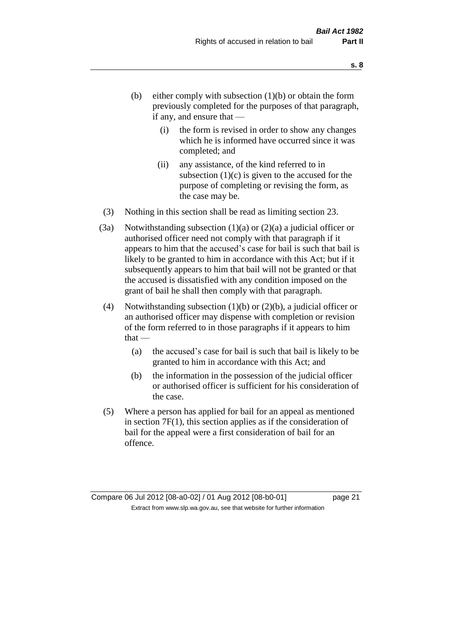- (b) either comply with subsection  $(1)(b)$  or obtain the form previously completed for the purposes of that paragraph, if any, and ensure that —
	- (i) the form is revised in order to show any changes which he is informed have occurred since it was completed; and
	- (ii) any assistance, of the kind referred to in subsection  $(1)(c)$  is given to the accused for the purpose of completing or revising the form, as the case may be.
- (3) Nothing in this section shall be read as limiting section 23.
- (3a) Notwithstanding subsection  $(1)(a)$  or  $(2)(a)$  a judicial officer or authorised officer need not comply with that paragraph if it appears to him that the accused's case for bail is such that bail is likely to be granted to him in accordance with this Act; but if it subsequently appears to him that bail will not be granted or that the accused is dissatisfied with any condition imposed on the grant of bail he shall then comply with that paragraph.
- (4) Notwithstanding subsection (1)(b) or (2)(b), a judicial officer or an authorised officer may dispense with completion or revision of the form referred to in those paragraphs if it appears to him  $that -$ 
	- (a) the accused's case for bail is such that bail is likely to be granted to him in accordance with this Act; and
	- (b) the information in the possession of the judicial officer or authorised officer is sufficient for his consideration of the case.
- (5) Where a person has applied for bail for an appeal as mentioned in section 7F(1), this section applies as if the consideration of bail for the appeal were a first consideration of bail for an offence.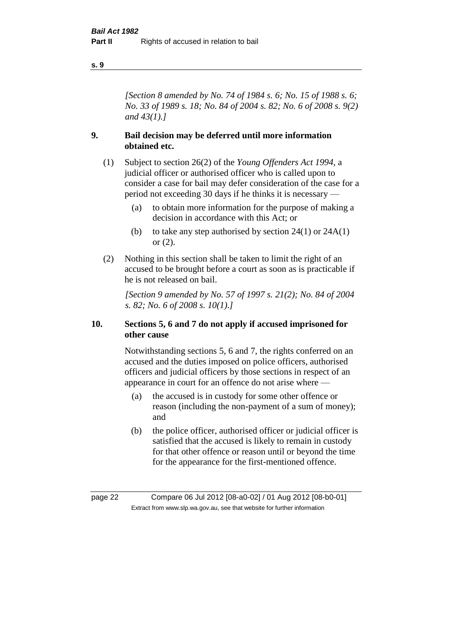#### **s. 9**

*[Section 8 amended by No. 74 of 1984 s. 6; No. 15 of 1988 s. 6; No. 33 of 1989 s. 18; No. 84 of 2004 s. 82; No. 6 of 2008 s. 9(2) and 43(1).]* 

#### **9. Bail decision may be deferred until more information obtained etc.**

- (1) Subject to section 26(2) of the *Young Offenders Act 1994*, a judicial officer or authorised officer who is called upon to consider a case for bail may defer consideration of the case for a period not exceeding 30 days if he thinks it is necessary —
	- (a) to obtain more information for the purpose of making a decision in accordance with this Act; or
	- (b) to take any step authorised by section  $24(1)$  or  $24A(1)$ or (2).
- (2) Nothing in this section shall be taken to limit the right of an accused to be brought before a court as soon as is practicable if he is not released on bail.

*[Section 9 amended by No. 57 of 1997 s. 21(2); No. 84 of 2004 s. 82; No. 6 of 2008 s. 10(1).]*

#### **10. Sections 5, 6 and 7 do not apply if accused imprisoned for other cause**

Notwithstanding sections 5, 6 and 7, the rights conferred on an accused and the duties imposed on police officers, authorised officers and judicial officers by those sections in respect of an appearance in court for an offence do not arise where —

- (a) the accused is in custody for some other offence or reason (including the non-payment of a sum of money); and
- (b) the police officer, authorised officer or judicial officer is satisfied that the accused is likely to remain in custody for that other offence or reason until or beyond the time for the appearance for the first-mentioned offence.

page 22 Compare 06 Jul 2012 [08-a0-02] / 01 Aug 2012 [08-b0-01] Extract from www.slp.wa.gov.au, see that website for further information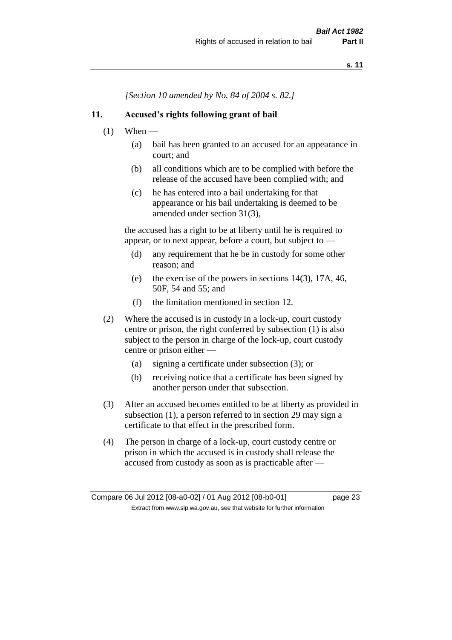*[Section 10 amended by No. 84 of 2004 s. 82.]*

#### **11. Accused's rights following grant of bail**

- $(1)$  When
	- (a) bail has been granted to an accused for an appearance in court; and
	- (b) all conditions which are to be complied with before the release of the accused have been complied with; and
	- (c) he has entered into a bail undertaking for that appearance or his bail undertaking is deemed to be amended under section 31(3),

the accused has a right to be at liberty until he is required to appear, or to next appear, before a court, but subject to —

- (d) any requirement that he be in custody for some other reason; and
- (e) the exercise of the powers in sections 14(3), 17A, 46, 50F, 54 and 55; and
- (f) the limitation mentioned in section 12.
- (2) Where the accused is in custody in a lock-up, court custody centre or prison, the right conferred by subsection (1) is also subject to the person in charge of the lock-up, court custody centre or prison either —
	- (a) signing a certificate under subsection (3); or
	- (b) receiving notice that a certificate has been signed by another person under that subsection.
- (3) After an accused becomes entitled to be at liberty as provided in subsection (1), a person referred to in section 29 may sign a certificate to that effect in the prescribed form.
- (4) The person in charge of a lock-up, court custody centre or prison in which the accused is in custody shall release the accused from custody as soon as is practicable after —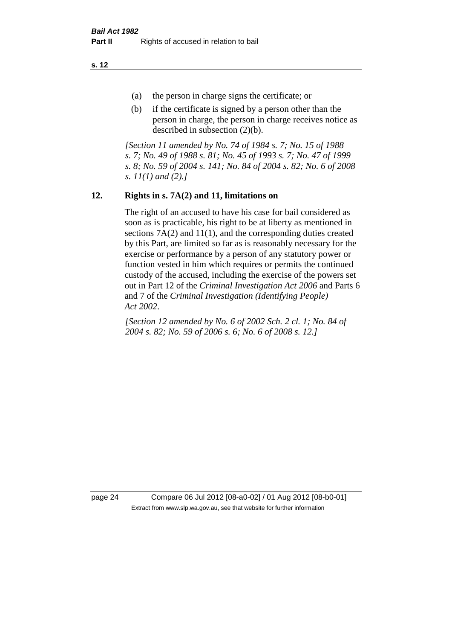**s. 12**

- (a) the person in charge signs the certificate; or
- (b) if the certificate is signed by a person other than the person in charge, the person in charge receives notice as described in subsection (2)(b).

*[Section 11 amended by No. 74 of 1984 s. 7; No. 15 of 1988 s. 7; No. 49 of 1988 s. 81; No. 45 of 1993 s. 7; No. 47 of 1999 s. 8; No. 59 of 2004 s. 141; No. 84 of 2004 s. 82; No. 6 of 2008 s. 11(1) and (2).]* 

# **12. Rights in s. 7A(2) and 11, limitations on**

The right of an accused to have his case for bail considered as soon as is practicable, his right to be at liberty as mentioned in sections 7A(2) and 11(1), and the corresponding duties created by this Part, are limited so far as is reasonably necessary for the exercise or performance by a person of any statutory power or function vested in him which requires or permits the continued custody of the accused, including the exercise of the powers set out in Part 12 of the *Criminal Investigation Act 2006* and Parts 6 and 7 of the *Criminal Investigation (Identifying People) Act 2002*.

*[Section 12 amended by No. 6 of 2002 Sch. 2 cl. 1; No. 84 of 2004 s. 82; No. 59 of 2006 s. 6; No. 6 of 2008 s. 12.]*

page 24 Compare 06 Jul 2012 [08-a0-02] / 01 Aug 2012 [08-b0-01] Extract from www.slp.wa.gov.au, see that website for further information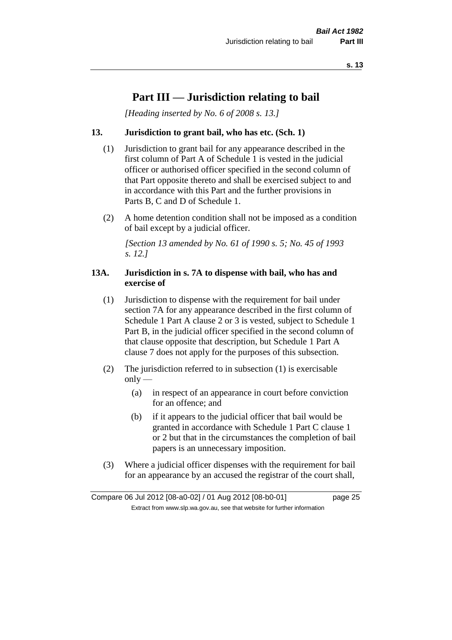# **Part III — Jurisdiction relating to bail**

*[Heading inserted by No. 6 of 2008 s. 13.]*

#### **13. Jurisdiction to grant bail, who has etc. (Sch. 1)**

- (1) Jurisdiction to grant bail for any appearance described in the first column of Part A of Schedule 1 is vested in the judicial officer or authorised officer specified in the second column of that Part opposite thereto and shall be exercised subject to and in accordance with this Part and the further provisions in Parts B, C and D of Schedule 1.
- (2) A home detention condition shall not be imposed as a condition of bail except by a judicial officer.

*[Section 13 amended by No. 61 of 1990 s. 5; No. 45 of 1993 s. 12.]* 

#### **13A. Jurisdiction in s. 7A to dispense with bail, who has and exercise of**

- (1) Jurisdiction to dispense with the requirement for bail under section 7A for any appearance described in the first column of Schedule 1 Part A clause 2 or 3 is vested, subject to Schedule 1 Part B, in the judicial officer specified in the second column of that clause opposite that description, but Schedule 1 Part A clause 7 does not apply for the purposes of this subsection.
- (2) The jurisdiction referred to in subsection (1) is exercisable  $only$ —
	- (a) in respect of an appearance in court before conviction for an offence; and
	- (b) if it appears to the judicial officer that bail would be granted in accordance with Schedule 1 Part C clause 1 or 2 but that in the circumstances the completion of bail papers is an unnecessary imposition.
- (3) Where a judicial officer dispenses with the requirement for bail for an appearance by an accused the registrar of the court shall,

Compare 06 Jul 2012 [08-a0-02] / 01 Aug 2012 [08-b0-01] page 25 Extract from www.slp.wa.gov.au, see that website for further information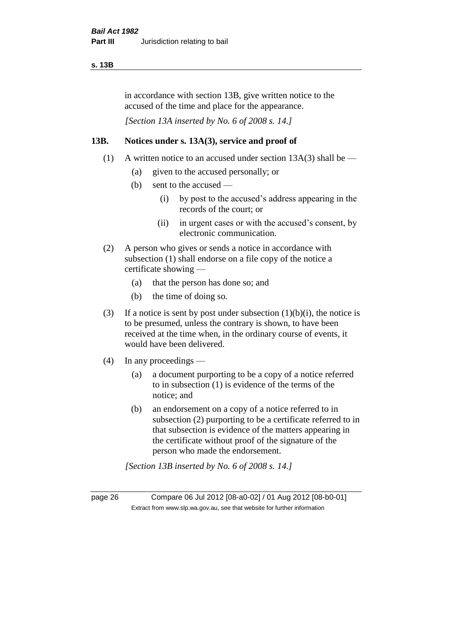#### **s. 13B**

in accordance with section 13B, give written notice to the accused of the time and place for the appearance.

*[Section 13A inserted by No. 6 of 2008 s. 14.]*

#### **13B. Notices under s. 13A(3), service and proof of**

- (1) A written notice to an accused under section  $13A(3)$  shall be
	- (a) given to the accused personally; or
	- (b) sent to the accused
		- (i) by post to the accused's address appearing in the records of the court; or
		- (ii) in urgent cases or with the accused's consent, by electronic communication.
- (2) A person who gives or sends a notice in accordance with subsection (1) shall endorse on a file copy of the notice a certificate showing —
	- (a) that the person has done so; and
	- (b) the time of doing so.
- (3) If a notice is sent by post under subsection  $(1)(b)(i)$ , the notice is to be presumed, unless the contrary is shown, to have been received at the time when, in the ordinary course of events, it would have been delivered.
- (4) In any proceedings
	- (a) a document purporting to be a copy of a notice referred to in subsection (1) is evidence of the terms of the notice; and
	- (b) an endorsement on a copy of a notice referred to in subsection (2) purporting to be a certificate referred to in that subsection is evidence of the matters appearing in the certificate without proof of the signature of the person who made the endorsement.

*[Section 13B inserted by No. 6 of 2008 s. 14.]*

page 26 Compare 06 Jul 2012 [08-a0-02] / 01 Aug 2012 [08-b0-01] Extract from www.slp.wa.gov.au, see that website for further information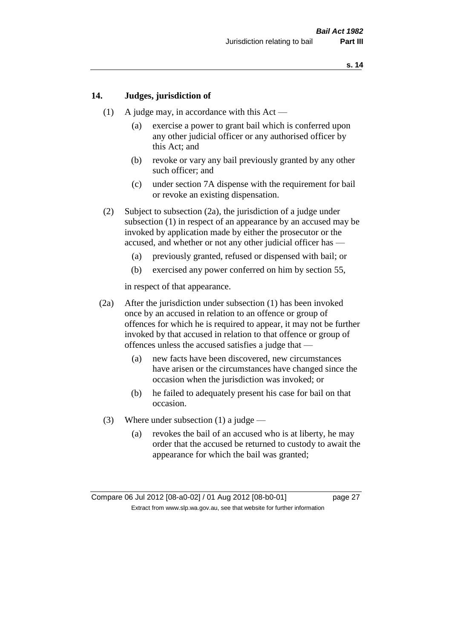#### **14. Judges, jurisdiction of**

- (1) A judge may, in accordance with this Act
	- (a) exercise a power to grant bail which is conferred upon any other judicial officer or any authorised officer by this Act; and
	- (b) revoke or vary any bail previously granted by any other such officer; and
	- (c) under section 7A dispense with the requirement for bail or revoke an existing dispensation.
- (2) Subject to subsection (2a), the jurisdiction of a judge under subsection (1) in respect of an appearance by an accused may be invoked by application made by either the prosecutor or the accused, and whether or not any other judicial officer has —
	- (a) previously granted, refused or dispensed with bail; or
	- (b) exercised any power conferred on him by section 55,

in respect of that appearance.

- (2a) After the jurisdiction under subsection (1) has been invoked once by an accused in relation to an offence or group of offences for which he is required to appear, it may not be further invoked by that accused in relation to that offence or group of offences unless the accused satisfies a judge that —
	- (a) new facts have been discovered, new circumstances have arisen or the circumstances have changed since the occasion when the jurisdiction was invoked; or
	- (b) he failed to adequately present his case for bail on that occasion.
- (3) Where under subsection (1) a judge
	- (a) revokes the bail of an accused who is at liberty, he may order that the accused be returned to custody to await the appearance for which the bail was granted;

Compare 06 Jul 2012 [08-a0-02] / 01 Aug 2012 [08-b0-01] page 27 Extract from www.slp.wa.gov.au, see that website for further information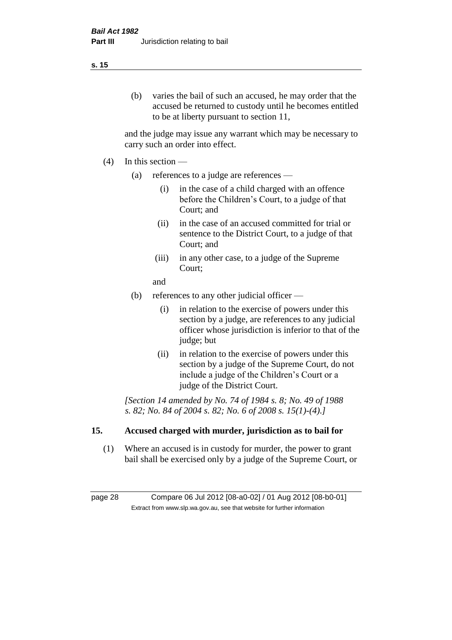# (b) varies the bail of such an accused, he may order that the accused be returned to custody until he becomes entitled to be at liberty pursuant to section 11,

and the judge may issue any warrant which may be necessary to carry such an order into effect.

- (4) In this section
	- (a) references to a judge are references
		- (i) in the case of a child charged with an offence before the Children's Court, to a judge of that Court; and
		- (ii) in the case of an accused committed for trial or sentence to the District Court, to a judge of that Court; and
		- (iii) in any other case, to a judge of the Supreme Court;
		- and
	- (b) references to any other judicial officer
		- (i) in relation to the exercise of powers under this section by a judge, are references to any judicial officer whose jurisdiction is inferior to that of the judge; but
		- (ii) in relation to the exercise of powers under this section by a judge of the Supreme Court, do not include a judge of the Children's Court or a judge of the District Court.

*[Section 14 amended by No. 74 of 1984 s. 8; No. 49 of 1988 s. 82; No. 84 of 2004 s. 82; No. 6 of 2008 s. 15(1)-(4).]* 

# **15. Accused charged with murder, jurisdiction as to bail for**

(1) Where an accused is in custody for murder, the power to grant bail shall be exercised only by a judge of the Supreme Court, or

page 28 Compare 06 Jul 2012 [08-a0-02] / 01 Aug 2012 [08-b0-01] Extract from www.slp.wa.gov.au, see that website for further information

#### **s. 15**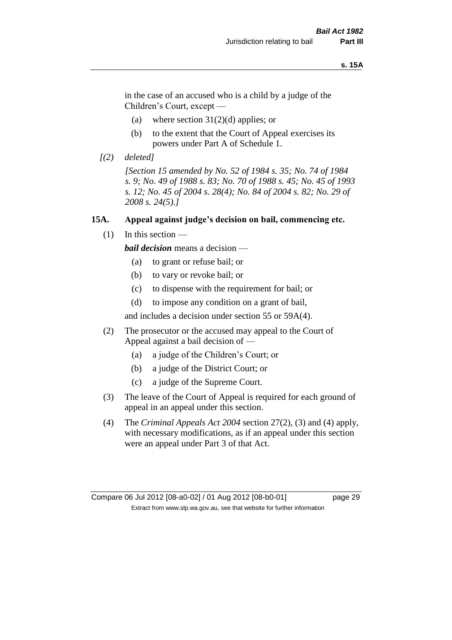#### **s. 15A**

in the case of an accused who is a child by a judge of the Children's Court, except —

- (a) where section  $31(2)(d)$  applies; or
- (b) to the extent that the Court of Appeal exercises its powers under Part A of Schedule 1.
- *[(2) deleted]*

*[Section 15 amended by No. 52 of 1984 s. 35; No. 74 of 1984 s. 9; No. 49 of 1988 s. 83; No. 70 of 1988 s. 45; No. 45 of 1993 s. 12; No. 45 of 2004 s. 28(4); No. 84 of 2004 s. 82; No. 29 of 2008 s. 24(5).]* 

#### **15A. Appeal against judge's decision on bail, commencing etc.**

 $(1)$  In this section —

*bail decision* means a decision —

- (a) to grant or refuse bail; or
- (b) to vary or revoke bail; or
- (c) to dispense with the requirement for bail; or
- (d) to impose any condition on a grant of bail,

and includes a decision under section 55 or 59A(4).

- (2) The prosecutor or the accused may appeal to the Court of Appeal against a bail decision of —
	- (a) a judge of the Children's Court; or
	- (b) a judge of the District Court; or
	- (c) a judge of the Supreme Court.
- (3) The leave of the Court of Appeal is required for each ground of appeal in an appeal under this section.
- (4) The *Criminal Appeals Act 2004* section 27(2), (3) and (4) apply, with necessary modifications, as if an appeal under this section were an appeal under Part 3 of that Act.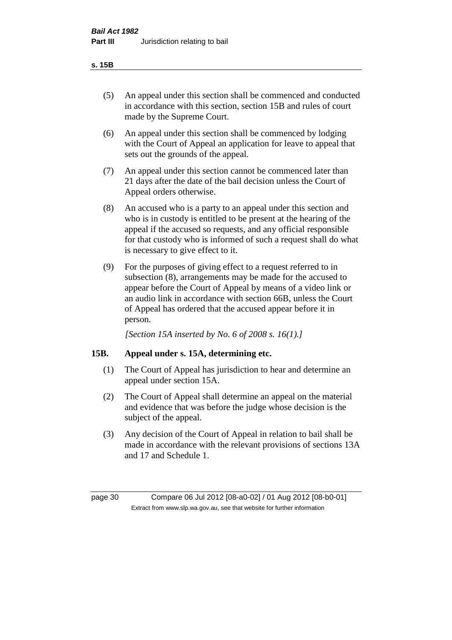#### **s. 15B**

- (5) An appeal under this section shall be commenced and conducted in accordance with this section, section 15B and rules of court made by the Supreme Court.
- (6) An appeal under this section shall be commenced by lodging with the Court of Appeal an application for leave to appeal that sets out the grounds of the appeal.
- (7) An appeal under this section cannot be commenced later than 21 days after the date of the bail decision unless the Court of Appeal orders otherwise.
- (8) An accused who is a party to an appeal under this section and who is in custody is entitled to be present at the hearing of the appeal if the accused so requests, and any official responsible for that custody who is informed of such a request shall do what is necessary to give effect to it.
- (9) For the purposes of giving effect to a request referred to in subsection (8), arrangements may be made for the accused to appear before the Court of Appeal by means of a video link or an audio link in accordance with section 66B, unless the Court of Appeal has ordered that the accused appear before it in person.

*[Section 15A inserted by No. 6 of 2008 s. 16(1).]*

#### **15B. Appeal under s. 15A, determining etc.**

- (1) The Court of Appeal has jurisdiction to hear and determine an appeal under section 15A.
- (2) The Court of Appeal shall determine an appeal on the material and evidence that was before the judge whose decision is the subject of the appeal.
- (3) Any decision of the Court of Appeal in relation to bail shall be made in accordance with the relevant provisions of sections 13A and 17 and Schedule 1.

page 30 Compare 06 Jul 2012 [08-a0-02] / 01 Aug 2012 [08-b0-01] Extract from www.slp.wa.gov.au, see that website for further information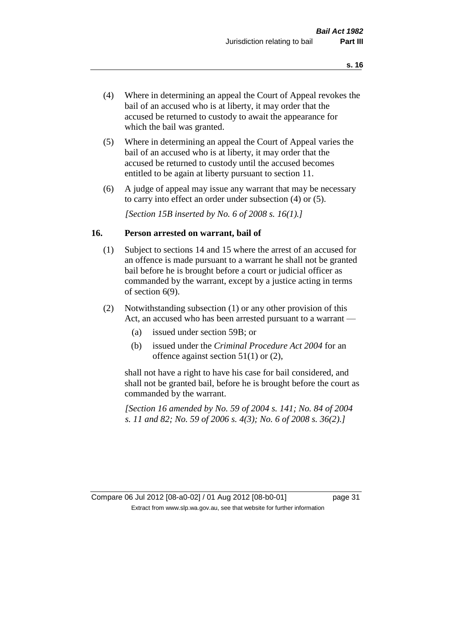- (4) Where in determining an appeal the Court of Appeal revokes the bail of an accused who is at liberty, it may order that the accused be returned to custody to await the appearance for which the bail was granted.
- (5) Where in determining an appeal the Court of Appeal varies the bail of an accused who is at liberty, it may order that the accused be returned to custody until the accused becomes entitled to be again at liberty pursuant to section 11.
- (6) A judge of appeal may issue any warrant that may be necessary to carry into effect an order under subsection (4) or (5).

*[Section 15B inserted by No. 6 of 2008 s. 16(1).]*

#### **16. Person arrested on warrant, bail of**

- (1) Subject to sections 14 and 15 where the arrest of an accused for an offence is made pursuant to a warrant he shall not be granted bail before he is brought before a court or judicial officer as commanded by the warrant, except by a justice acting in terms of section 6(9).
- (2) Notwithstanding subsection (1) or any other provision of this Act, an accused who has been arrested pursuant to a warrant —
	- (a) issued under section 59B; or
	- (b) issued under the *Criminal Procedure Act 2004* for an offence against section 51(1) or (2),

shall not have a right to have his case for bail considered, and shall not be granted bail, before he is brought before the court as commanded by the warrant.

*[Section 16 amended by No. 59 of 2004 s. 141; No. 84 of 2004 s. 11 and 82; No. 59 of 2006 s. 4(3); No. 6 of 2008 s. 36(2).]*

Compare 06 Jul 2012 [08-a0-02] / 01 Aug 2012 [08-b0-01] page 31 Extract from www.slp.wa.gov.au, see that website for further information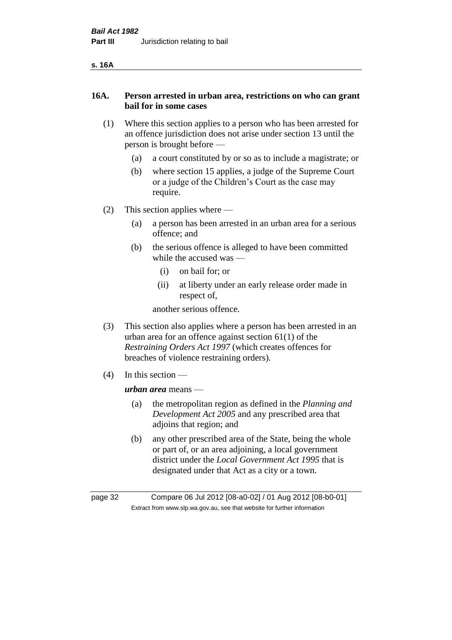| v<br>۰. |
|---------|
|---------|

#### **16A. Person arrested in urban area, restrictions on who can grant bail for in some cases**

- (1) Where this section applies to a person who has been arrested for an offence jurisdiction does not arise under section 13 until the person is brought before —
	- (a) a court constituted by or so as to include a magistrate; or
	- (b) where section 15 applies, a judge of the Supreme Court or a judge of the Children's Court as the case may require.
- (2) This section applies where
	- (a) a person has been arrested in an urban area for a serious offence; and
	- (b) the serious offence is alleged to have been committed while the accused was —
		- (i) on bail for; or
		- (ii) at liberty under an early release order made in respect of,

another serious offence.

- (3) This section also applies where a person has been arrested in an urban area for an offence against section 61(1) of the *Restraining Orders Act 1997* (which creates offences for breaches of violence restraining orders).
- (4) In this section —

*urban area* means —

- (a) the metropolitan region as defined in the *Planning and Development Act 2005* and any prescribed area that adjoins that region; and
- (b) any other prescribed area of the State, being the whole or part of, or an area adjoining, a local government district under the *Local Government Act 1995* that is designated under that Act as a city or a town.

page 32 Compare 06 Jul 2012 [08-a0-02] / 01 Aug 2012 [08-b0-01] Extract from www.slp.wa.gov.au, see that website for further information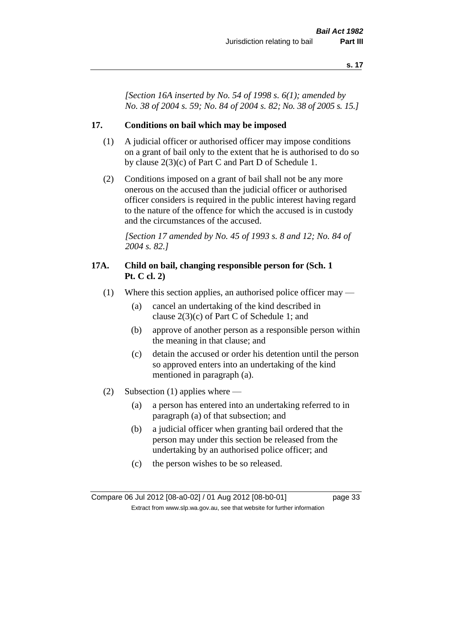*[Section 16A inserted by No. 54 of 1998 s. 6(1); amended by No. 38 of 2004 s. 59; No. 84 of 2004 s. 82; No. 38 of 2005 s. 15.]*

#### **17. Conditions on bail which may be imposed**

- (1) A judicial officer or authorised officer may impose conditions on a grant of bail only to the extent that he is authorised to do so by clause 2(3)(c) of Part C and Part D of Schedule 1.
- (2) Conditions imposed on a grant of bail shall not be any more onerous on the accused than the judicial officer or authorised officer considers is required in the public interest having regard to the nature of the offence for which the accused is in custody and the circumstances of the accused.

*[Section 17 amended by No. 45 of 1993 s. 8 and 12; No. 84 of 2004 s. 82.]* 

#### **17A. Child on bail, changing responsible person for (Sch. 1 Pt. C cl. 2)**

- (1) Where this section applies, an authorised police officer may
	- (a) cancel an undertaking of the kind described in clause 2(3)(c) of Part C of Schedule 1; and
	- (b) approve of another person as a responsible person within the meaning in that clause; and
	- (c) detain the accused or order his detention until the person so approved enters into an undertaking of the kind mentioned in paragraph (a).
- (2) Subsection (1) applies where
	- (a) a person has entered into an undertaking referred to in paragraph (a) of that subsection; and
	- (b) a judicial officer when granting bail ordered that the person may under this section be released from the undertaking by an authorised police officer; and
	- (c) the person wishes to be so released.

Compare 06 Jul 2012 [08-a0-02] / 01 Aug 2012 [08-b0-01] page 33 Extract from www.slp.wa.gov.au, see that website for further information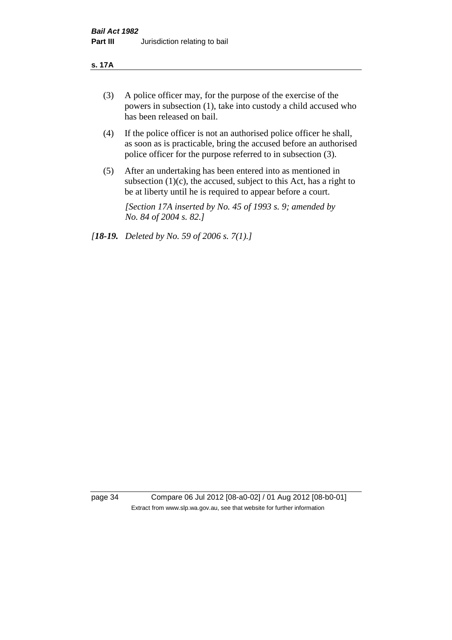#### **s. 17A**

- (3) A police officer may, for the purpose of the exercise of the powers in subsection (1), take into custody a child accused who has been released on bail.
- (4) If the police officer is not an authorised police officer he shall, as soon as is practicable, bring the accused before an authorised police officer for the purpose referred to in subsection (3).
- (5) After an undertaking has been entered into as mentioned in subsection  $(1)(c)$ , the accused, subject to this Act, has a right to be at liberty until he is required to appear before a court.

*[Section 17A inserted by No. 45 of 1993 s. 9; amended by No. 84 of 2004 s. 82.]* 

*[18-19. Deleted by No. 59 of 2006 s. 7(1).]*

page 34 Compare 06 Jul 2012 [08-a0-02] / 01 Aug 2012 [08-b0-01] Extract from www.slp.wa.gov.au, see that website for further information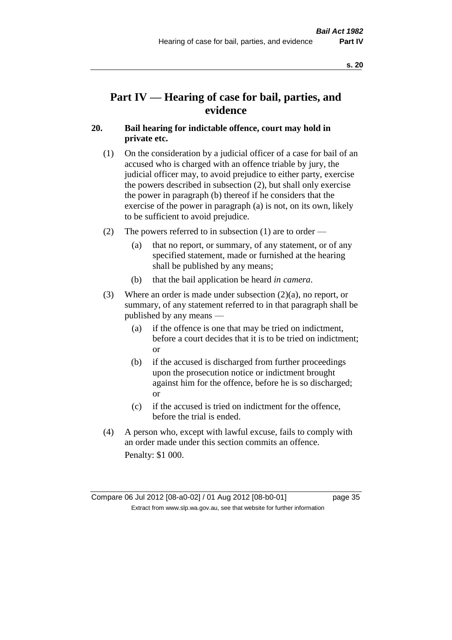# **Part IV — Hearing of case for bail, parties, and evidence**

# **20. Bail hearing for indictable offence, court may hold in private etc.**

- (1) On the consideration by a judicial officer of a case for bail of an accused who is charged with an offence triable by jury, the judicial officer may, to avoid prejudice to either party, exercise the powers described in subsection (2), but shall only exercise the power in paragraph (b) thereof if he considers that the exercise of the power in paragraph (a) is not, on its own, likely to be sufficient to avoid prejudice.
- (2) The powers referred to in subsection (1) are to order
	- (a) that no report, or summary, of any statement, or of any specified statement, made or furnished at the hearing shall be published by any means;
	- (b) that the bail application be heard *in camera*.
- (3) Where an order is made under subsection (2)(a), no report, or summary, of any statement referred to in that paragraph shall be published by any means —
	- (a) if the offence is one that may be tried on indictment, before a court decides that it is to be tried on indictment; or
	- (b) if the accused is discharged from further proceedings upon the prosecution notice or indictment brought against him for the offence, before he is so discharged; or
	- (c) if the accused is tried on indictment for the offence, before the trial is ended.
- (4) A person who, except with lawful excuse, fails to comply with an order made under this section commits an offence. Penalty: \$1 000.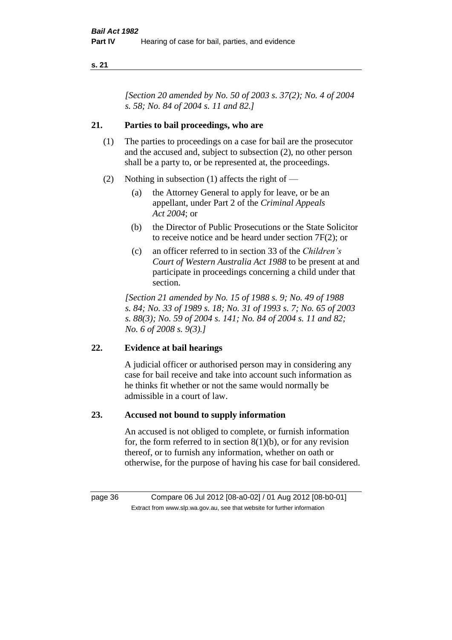*[Section 20 amended by No. 50 of 2003 s. 37(2); No. 4 of 2004 s. 58; No. 84 of 2004 s. 11 and 82.]*

## **21. Parties to bail proceedings, who are**

- (1) The parties to proceedings on a case for bail are the prosecutor and the accused and, subject to subsection (2), no other person shall be a party to, or be represented at, the proceedings.
- (2) Nothing in subsection (1) affects the right of
	- (a) the Attorney General to apply for leave, or be an appellant, under Part 2 of the *Criminal Appeals Act 2004*; or
	- (b) the Director of Public Prosecutions or the State Solicitor to receive notice and be heard under section 7F(2); or
	- (c) an officer referred to in section 33 of the *Children's Court of Western Australia Act 1988* to be present at and participate in proceedings concerning a child under that section.

*[Section 21 amended by No. 15 of 1988 s. 9; No. 49 of 1988 s. 84; No. 33 of 1989 s. 18; No. 31 of 1993 s. 7; No. 65 of 2003 s. 88(3); No. 59 of 2004 s. 141; No. 84 of 2004 s. 11 and 82; No. 6 of 2008 s. 9(3).]* 

# **22. Evidence at bail hearings**

A judicial officer or authorised person may in considering any case for bail receive and take into account such information as he thinks fit whether or not the same would normally be admissible in a court of law.

# **23. Accused not bound to supply information**

An accused is not obliged to complete, or furnish information for, the form referred to in section  $8(1)(b)$ , or for any revision thereof, or to furnish any information, whether on oath or otherwise, for the purpose of having his case for bail considered.

page 36 Compare 06 Jul 2012 [08-a0-02] / 01 Aug 2012 [08-b0-01] Extract from www.slp.wa.gov.au, see that website for further information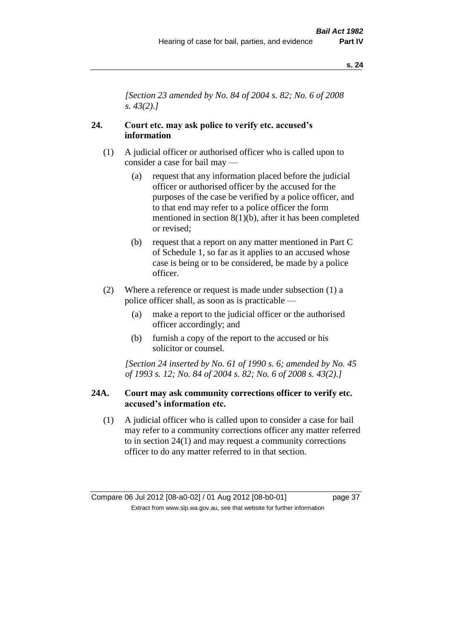*[Section 23 amended by No. 84 of 2004 s. 82; No. 6 of 2008 s. 43(2).]* 

# **24. Court etc. may ask police to verify etc. accused's information**

- (1) A judicial officer or authorised officer who is called upon to consider a case for bail may —
	- (a) request that any information placed before the judicial officer or authorised officer by the accused for the purposes of the case be verified by a police officer, and to that end may refer to a police officer the form mentioned in section 8(1)(b), after it has been completed or revised;
	- (b) request that a report on any matter mentioned in Part C of Schedule 1, so far as it applies to an accused whose case is being or to be considered, be made by a police officer.
- (2) Where a reference or request is made under subsection (1) a police officer shall, as soon as is practicable —
	- (a) make a report to the judicial officer or the authorised officer accordingly; and
	- (b) furnish a copy of the report to the accused or his solicitor or counsel.

*[Section 24 inserted by No. 61 of 1990 s. 6; amended by No. 45 of 1993 s. 12; No. 84 of 2004 s. 82; No. 6 of 2008 s. 43(2).]* 

#### **24A. Court may ask community corrections officer to verify etc. accused's information etc.**

(1) A judicial officer who is called upon to consider a case for bail may refer to a community corrections officer any matter referred to in section 24(1) and may request a community corrections officer to do any matter referred to in that section.

Compare 06 Jul 2012 [08-a0-02] / 01 Aug 2012 [08-b0-01] page 37 Extract from www.slp.wa.gov.au, see that website for further information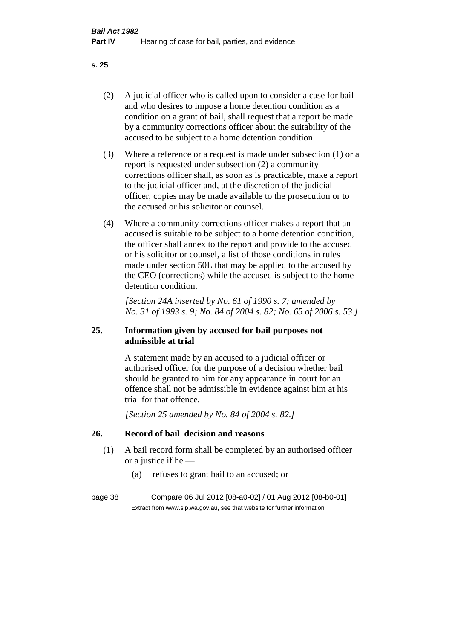- (2) A judicial officer who is called upon to consider a case for bail and who desires to impose a home detention condition as a condition on a grant of bail, shall request that a report be made by a community corrections officer about the suitability of the accused to be subject to a home detention condition.
- (3) Where a reference or a request is made under subsection (1) or a report is requested under subsection (2) a community corrections officer shall, as soon as is practicable, make a report to the judicial officer and, at the discretion of the judicial officer, copies may be made available to the prosecution or to the accused or his solicitor or counsel.
- (4) Where a community corrections officer makes a report that an accused is suitable to be subject to a home detention condition, the officer shall annex to the report and provide to the accused or his solicitor or counsel, a list of those conditions in rules made under section 50L that may be applied to the accused by the CEO (corrections) while the accused is subject to the home detention condition.

*[Section 24A inserted by No. 61 of 1990 s. 7; amended by No. 31 of 1993 s. 9; No. 84 of 2004 s. 82; No. 65 of 2006 s. 53.]* 

# **25. Information given by accused for bail purposes not admissible at trial**

A statement made by an accused to a judicial officer or authorised officer for the purpose of a decision whether bail should be granted to him for any appearance in court for an offence shall not be admissible in evidence against him at his trial for that offence.

*[Section 25 amended by No. 84 of 2004 s. 82.]* 

# **26. Record of bail decision and reasons**

- (1) A bail record form shall be completed by an authorised officer or a justice if he —
	- (a) refuses to grant bail to an accused; or

page 38 Compare 06 Jul 2012 [08-a0-02] / 01 Aug 2012 [08-b0-01] Extract from www.slp.wa.gov.au, see that website for further information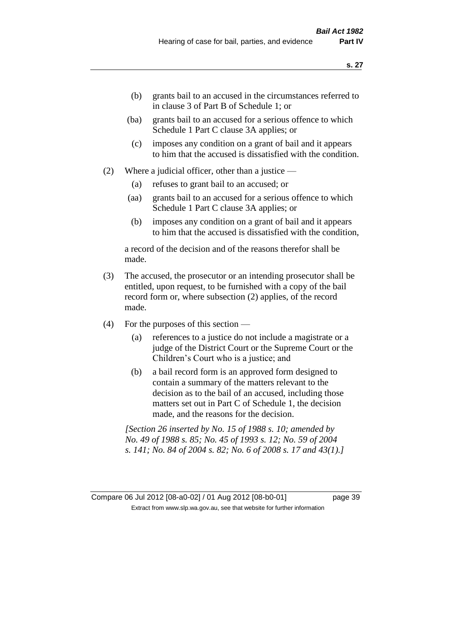- (b) grants bail to an accused in the circumstances referred to in clause 3 of Part B of Schedule 1; or
- (ba) grants bail to an accused for a serious offence to which Schedule 1 Part C clause 3A applies; or
- (c) imposes any condition on a grant of bail and it appears to him that the accused is dissatisfied with the condition.
- (2) Where a judicial officer, other than a justice
	- (a) refuses to grant bail to an accused; or
	- (aa) grants bail to an accused for a serious offence to which Schedule 1 Part C clause 3A applies; or
	- (b) imposes any condition on a grant of bail and it appears to him that the accused is dissatisfied with the condition,

a record of the decision and of the reasons therefor shall be made.

- (3) The accused, the prosecutor or an intending prosecutor shall be entitled, upon request, to be furnished with a copy of the bail record form or, where subsection (2) applies, of the record made.
- (4) For the purposes of this section
	- (a) references to a justice do not include a magistrate or a judge of the District Court or the Supreme Court or the Children's Court who is a justice; and
	- (b) a bail record form is an approved form designed to contain a summary of the matters relevant to the decision as to the bail of an accused, including those matters set out in Part C of Schedule 1, the decision made, and the reasons for the decision.

*[Section 26 inserted by No. 15 of 1988 s. 10; amended by No. 49 of 1988 s. 85; No. 45 of 1993 s. 12; No. 59 of 2004 s. 141; No. 84 of 2004 s. 82; No. 6 of 2008 s. 17 and 43(1).]* 

Compare 06 Jul 2012 [08-a0-02] / 01 Aug 2012 [08-b0-01] page 39 Extract from www.slp.wa.gov.au, see that website for further information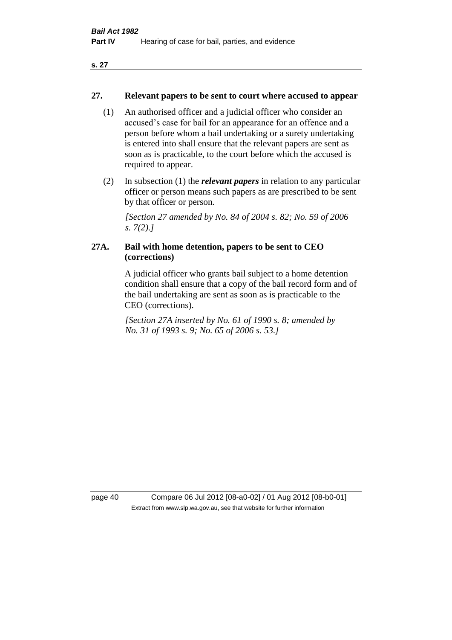#### **27. Relevant papers to be sent to court where accused to appear**

- (1) An authorised officer and a judicial officer who consider an accused's case for bail for an appearance for an offence and a person before whom a bail undertaking or a surety undertaking is entered into shall ensure that the relevant papers are sent as soon as is practicable, to the court before which the accused is required to appear.
- (2) In subsection (1) the *relevant papers* in relation to any particular officer or person means such papers as are prescribed to be sent by that officer or person.

*[Section 27 amended by No. 84 of 2004 s. 82; No. 59 of 2006 s. 7(2).]* 

# **27A. Bail with home detention, papers to be sent to CEO (corrections)**

A judicial officer who grants bail subject to a home detention condition shall ensure that a copy of the bail record form and of the bail undertaking are sent as soon as is practicable to the CEO (corrections).

*[Section 27A inserted by No. 61 of 1990 s. 8; amended by No. 31 of 1993 s. 9; No. 65 of 2006 s. 53.]* 

page 40 Compare 06 Jul 2012 [08-a0-02] / 01 Aug 2012 [08-b0-01] Extract from www.slp.wa.gov.au, see that website for further information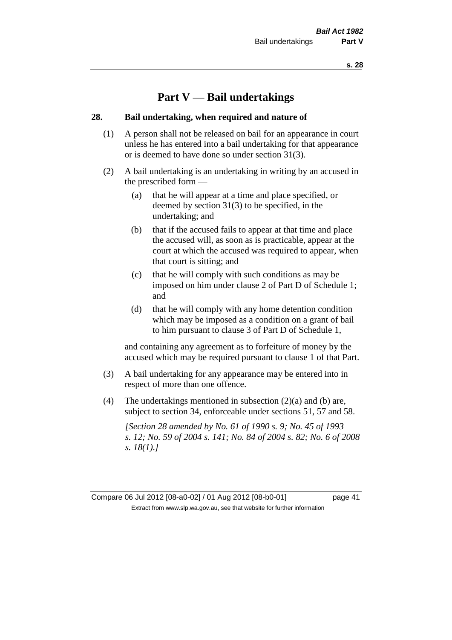# **Part V — Bail undertakings**

#### **28. Bail undertaking, when required and nature of**

- (1) A person shall not be released on bail for an appearance in court unless he has entered into a bail undertaking for that appearance or is deemed to have done so under section 31(3).
- (2) A bail undertaking is an undertaking in writing by an accused in the prescribed form —
	- (a) that he will appear at a time and place specified, or deemed by section 31(3) to be specified, in the undertaking; and
	- (b) that if the accused fails to appear at that time and place the accused will, as soon as is practicable, appear at the court at which the accused was required to appear, when that court is sitting; and
	- (c) that he will comply with such conditions as may be imposed on him under clause 2 of Part D of Schedule 1; and
	- (d) that he will comply with any home detention condition which may be imposed as a condition on a grant of bail to him pursuant to clause 3 of Part D of Schedule 1,

and containing any agreement as to forfeiture of money by the accused which may be required pursuant to clause 1 of that Part.

- (3) A bail undertaking for any appearance may be entered into in respect of more than one offence.
- (4) The undertakings mentioned in subsection (2)(a) and (b) are, subject to section 34, enforceable under sections 51, 57 and 58.

*[Section 28 amended by No. 61 of 1990 s. 9; No. 45 of 1993 s. 12; No. 59 of 2004 s. 141; No. 84 of 2004 s. 82; No. 6 of 2008 s. 18(1).]*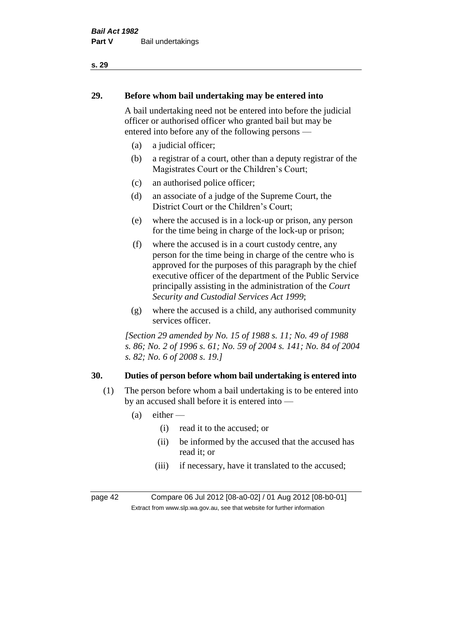# **29. Before whom bail undertaking may be entered into**

A bail undertaking need not be entered into before the judicial officer or authorised officer who granted bail but may be entered into before any of the following persons —

- (a) a judicial officer;
- (b) a registrar of a court, other than a deputy registrar of the Magistrates Court or the Children's Court;
- (c) an authorised police officer;
- (d) an associate of a judge of the Supreme Court, the District Court or the Children's Court;
- (e) where the accused is in a lock-up or prison, any person for the time being in charge of the lock-up or prison;
- (f) where the accused is in a court custody centre, any person for the time being in charge of the centre who is approved for the purposes of this paragraph by the chief executive officer of the department of the Public Service principally assisting in the administration of the *Court Security and Custodial Services Act 1999*;
- (g) where the accused is a child, any authorised community services officer.

*[Section 29 amended by No. 15 of 1988 s. 11; No. 49 of 1988 s. 86; No. 2 of 1996 s. 61; No. 59 of 2004 s. 141; No. 84 of 2004 s. 82; No. 6 of 2008 s. 19.]* 

# **30. Duties of person before whom bail undertaking is entered into**

- (1) The person before whom a bail undertaking is to be entered into by an accused shall before it is entered into —
	- $(a)$  either
		- (i) read it to the accused; or
		- (ii) be informed by the accused that the accused has read it; or
		- (iii) if necessary, have it translated to the accused;

page 42 Compare 06 Jul 2012 [08-a0-02] / 01 Aug 2012 [08-b0-01] Extract from www.slp.wa.gov.au, see that website for further information

**s. 29**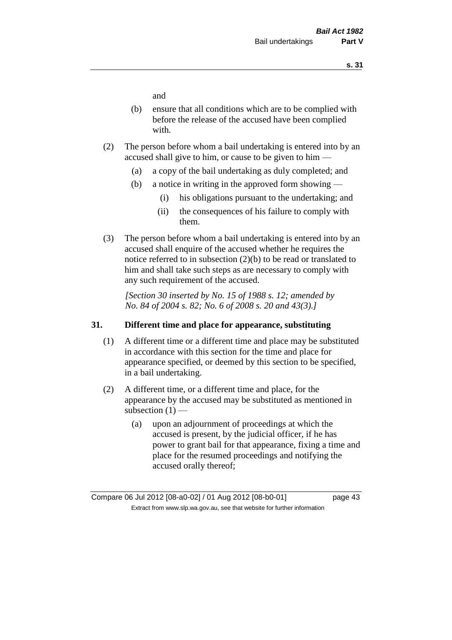and

- (b) ensure that all conditions which are to be complied with before the release of the accused have been complied with.
- (2) The person before whom a bail undertaking is entered into by an accused shall give to him, or cause to be given to him —
	- (a) a copy of the bail undertaking as duly completed; and
	- (b) a notice in writing in the approved form showing
		- (i) his obligations pursuant to the undertaking; and
		- (ii) the consequences of his failure to comply with them.
- (3) The person before whom a bail undertaking is entered into by an accused shall enquire of the accused whether he requires the notice referred to in subsection (2)(b) to be read or translated to him and shall take such steps as are necessary to comply with any such requirement of the accused.

*[Section 30 inserted by No. 15 of 1988 s. 12; amended by No. 84 of 2004 s. 82; No. 6 of 2008 s. 20 and 43(3).]* 

#### **31. Different time and place for appearance, substituting**

- (1) A different time or a different time and place may be substituted in accordance with this section for the time and place for appearance specified, or deemed by this section to be specified, in a bail undertaking.
- (2) A different time, or a different time and place, for the appearance by the accused may be substituted as mentioned in subsection  $(1)$  —
	- (a) upon an adjournment of proceedings at which the accused is present, by the judicial officer, if he has power to grant bail for that appearance, fixing a time and place for the resumed proceedings and notifying the accused orally thereof;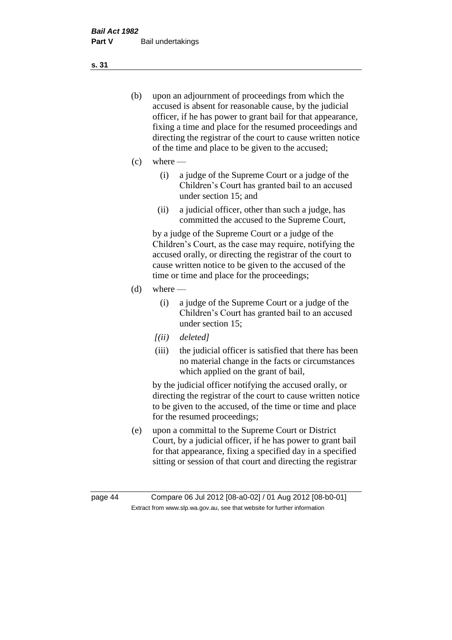- (b) upon an adjournment of proceedings from which the accused is absent for reasonable cause, by the judicial officer, if he has power to grant bail for that appearance, fixing a time and place for the resumed proceedings and directing the registrar of the court to cause written notice of the time and place to be given to the accused;
- (c) where
	- (i) a judge of the Supreme Court or a judge of the Children's Court has granted bail to an accused under section 15; and
	- (ii) a judicial officer, other than such a judge, has committed the accused to the Supreme Court,

by a judge of the Supreme Court or a judge of the Children's Court, as the case may require, notifying the accused orally, or directing the registrar of the court to cause written notice to be given to the accused of the time or time and place for the proceedings;

- $(d)$  where
	- (i) a judge of the Supreme Court or a judge of the Children's Court has granted bail to an accused under section 15;
	- *[(ii) deleted]*
	- (iii) the judicial officer is satisfied that there has been no material change in the facts or circumstances which applied on the grant of bail,

by the judicial officer notifying the accused orally, or directing the registrar of the court to cause written notice to be given to the accused, of the time or time and place for the resumed proceedings;

(e) upon a committal to the Supreme Court or District Court, by a judicial officer, if he has power to grant bail for that appearance, fixing a specified day in a specified sitting or session of that court and directing the registrar

**s. 31**

page 44 Compare 06 Jul 2012 [08-a0-02] / 01 Aug 2012 [08-b0-01] Extract from www.slp.wa.gov.au, see that website for further information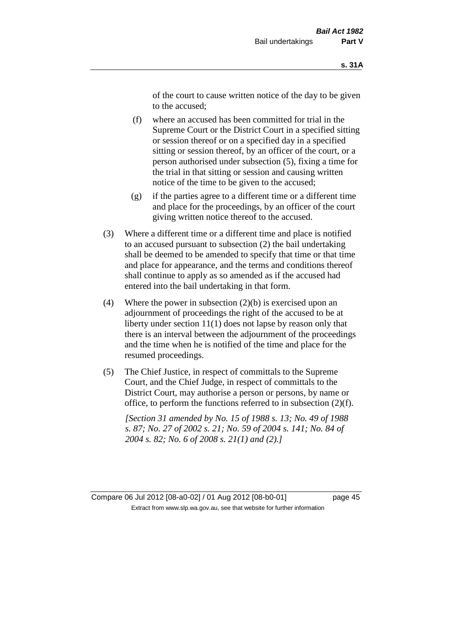of the court to cause written notice of the day to be given to the accused;

- (f) where an accused has been committed for trial in the Supreme Court or the District Court in a specified sitting or session thereof or on a specified day in a specified sitting or session thereof, by an officer of the court, or a person authorised under subsection (5), fixing a time for the trial in that sitting or session and causing written notice of the time to be given to the accused;
- (g) if the parties agree to a different time or a different time and place for the proceedings, by an officer of the court giving written notice thereof to the accused.
- (3) Where a different time or a different time and place is notified to an accused pursuant to subsection (2) the bail undertaking shall be deemed to be amended to specify that time or that time and place for appearance, and the terms and conditions thereof shall continue to apply as so amended as if the accused had entered into the bail undertaking in that form.
- (4) Where the power in subsection  $(2)(b)$  is exercised upon an adjournment of proceedings the right of the accused to be at liberty under section 11(1) does not lapse by reason only that there is an interval between the adjournment of the proceedings and the time when he is notified of the time and place for the resumed proceedings.
- (5) The Chief Justice, in respect of committals to the Supreme Court, and the Chief Judge, in respect of committals to the District Court, may authorise a person or persons, by name or office, to perform the functions referred to in subsection (2)(f).

*[Section 31 amended by No. 15 of 1988 s. 13; No. 49 of 1988 s. 87; No. 27 of 2002 s. 21; No. 59 of 2004 s. 141; No. 84 of 2004 s. 82; No. 6 of 2008 s. 21(1) and (2).]* 

Compare 06 Jul 2012 [08-a0-02] / 01 Aug 2012 [08-b0-01] page 45 Extract from www.slp.wa.gov.au, see that website for further information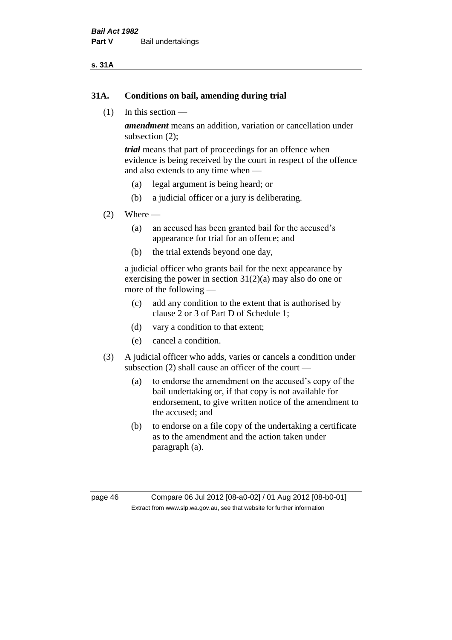#### **s. 31A**

#### **31A. Conditions on bail, amending during trial**

(1) In this section —

*amendment* means an addition, variation or cancellation under subsection (2);

*trial* means that part of proceedings for an offence when evidence is being received by the court in respect of the offence and also extends to any time when —

- (a) legal argument is being heard; or
- (b) a judicial officer or a jury is deliberating.

#### $(2)$  Where —

- (a) an accused has been granted bail for the accused's appearance for trial for an offence; and
- (b) the trial extends beyond one day,

a judicial officer who grants bail for the next appearance by exercising the power in section  $31(2)(a)$  may also do one or more of the following —

- (c) add any condition to the extent that is authorised by clause 2 or 3 of Part D of Schedule 1;
- (d) vary a condition to that extent;
- (e) cancel a condition.
- (3) A judicial officer who adds, varies or cancels a condition under subsection (2) shall cause an officer of the court —
	- (a) to endorse the amendment on the accused's copy of the bail undertaking or, if that copy is not available for endorsement, to give written notice of the amendment to the accused; and
	- (b) to endorse on a file copy of the undertaking a certificate as to the amendment and the action taken under paragraph (a).

page 46 Compare 06 Jul 2012 [08-a0-02] / 01 Aug 2012 [08-b0-01] Extract from www.slp.wa.gov.au, see that website for further information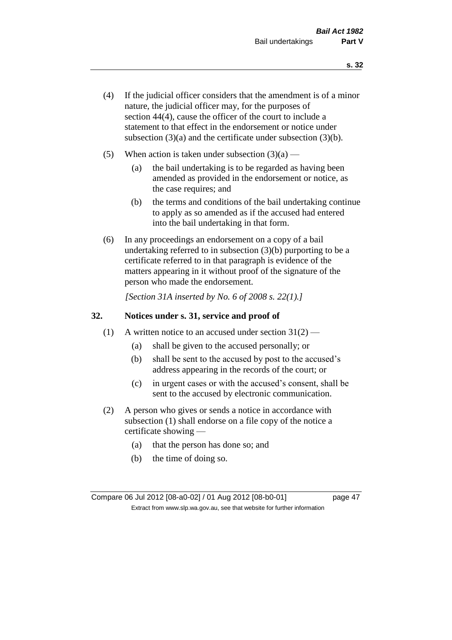- (4) If the judicial officer considers that the amendment is of a minor nature, the judicial officer may, for the purposes of section 44(4), cause the officer of the court to include a statement to that effect in the endorsement or notice under subsection (3)(a) and the certificate under subsection (3)(b).
- (5) When action is taken under subsection  $(3)(a)$ 
	- (a) the bail undertaking is to be regarded as having been amended as provided in the endorsement or notice, as the case requires; and
	- (b) the terms and conditions of the bail undertaking continue to apply as so amended as if the accused had entered into the bail undertaking in that form.
- (6) In any proceedings an endorsement on a copy of a bail undertaking referred to in subsection (3)(b) purporting to be a certificate referred to in that paragraph is evidence of the matters appearing in it without proof of the signature of the person who made the endorsement.

*[Section 31A inserted by No. 6 of 2008 s. 22(1).]*

#### **32. Notices under s. 31, service and proof of**

- (1) A written notice to an accused under section  $31(2)$ 
	- (a) shall be given to the accused personally; or
	- (b) shall be sent to the accused by post to the accused's address appearing in the records of the court; or
	- (c) in urgent cases or with the accused's consent, shall be sent to the accused by electronic communication.
- (2) A person who gives or sends a notice in accordance with subsection (1) shall endorse on a file copy of the notice a certificate showing —
	- (a) that the person has done so; and
	- (b) the time of doing so.

Compare 06 Jul 2012 [08-a0-02] / 01 Aug 2012 [08-b0-01] page 47 Extract from www.slp.wa.gov.au, see that website for further information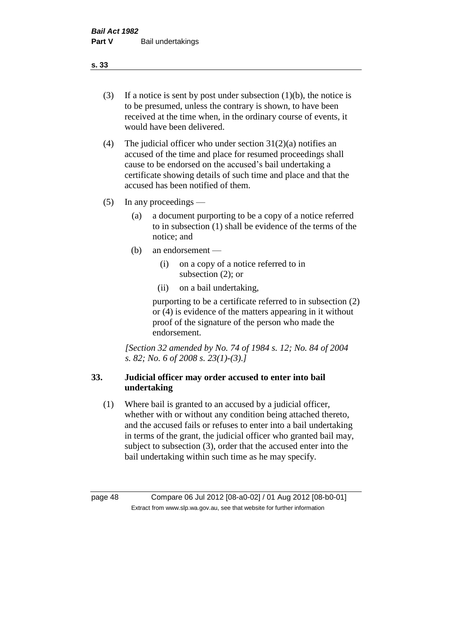- (3) If a notice is sent by post under subsection  $(1)(b)$ , the notice is to be presumed, unless the contrary is shown, to have been received at the time when, in the ordinary course of events, it would have been delivered.
- (4) The judicial officer who under section  $31(2)(a)$  notifies an accused of the time and place for resumed proceedings shall cause to be endorsed on the accused's bail undertaking a certificate showing details of such time and place and that the accused has been notified of them.
- (5) In any proceedings
	- (a) a document purporting to be a copy of a notice referred to in subsection (1) shall be evidence of the terms of the notice; and
	- (b) an endorsement
		- (i) on a copy of a notice referred to in subsection (2); or
		- (ii) on a bail undertaking,

purporting to be a certificate referred to in subsection (2) or (4) is evidence of the matters appearing in it without proof of the signature of the person who made the endorsement.

*[Section 32 amended by No. 74 of 1984 s. 12; No. 84 of 2004 s. 82; No. 6 of 2008 s. 23(1)-(3).]* 

# **33. Judicial officer may order accused to enter into bail undertaking**

(1) Where bail is granted to an accused by a judicial officer, whether with or without any condition being attached thereto, and the accused fails or refuses to enter into a bail undertaking in terms of the grant, the judicial officer who granted bail may, subject to subsection (3), order that the accused enter into the bail undertaking within such time as he may specify.

page 48 Compare 06 Jul 2012 [08-a0-02] / 01 Aug 2012 [08-b0-01] Extract from www.slp.wa.gov.au, see that website for further information

**s. 33**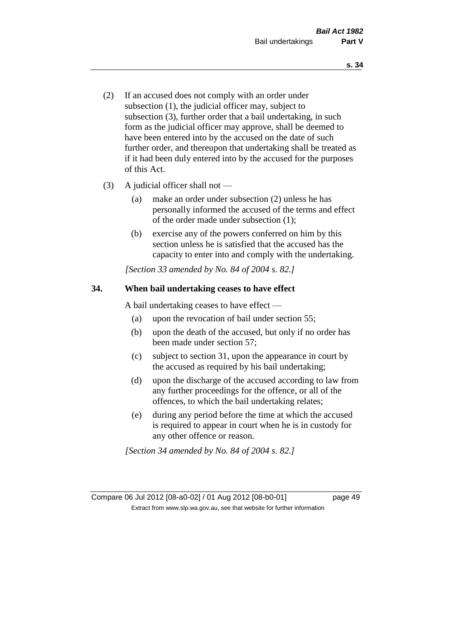- (2) If an accused does not comply with an order under subsection (1), the judicial officer may, subject to subsection (3), further order that a bail undertaking, in such form as the judicial officer may approve, shall be deemed to have been entered into by the accused on the date of such further order, and thereupon that undertaking shall be treated as if it had been duly entered into by the accused for the purposes of this Act.
- (3) A judicial officer shall not
	- (a) make an order under subsection (2) unless he has personally informed the accused of the terms and effect of the order made under subsection (1);
	- (b) exercise any of the powers conferred on him by this section unless he is satisfied that the accused has the capacity to enter into and comply with the undertaking.

*[Section 33 amended by No. 84 of 2004 s. 82.]* 

#### **34. When bail undertaking ceases to have effect**

A bail undertaking ceases to have effect —

- (a) upon the revocation of bail under section 55;
- (b) upon the death of the accused, but only if no order has been made under section 57;
- (c) subject to section 31, upon the appearance in court by the accused as required by his bail undertaking;
- (d) upon the discharge of the accused according to law from any further proceedings for the offence, or all of the offences, to which the bail undertaking relates;
- (e) during any period before the time at which the accused is required to appear in court when he is in custody for any other offence or reason.

*[Section 34 amended by No. 84 of 2004 s. 82.]* 

Compare 06 Jul 2012 [08-a0-02] / 01 Aug 2012 [08-b0-01] page 49 Extract from www.slp.wa.gov.au, see that website for further information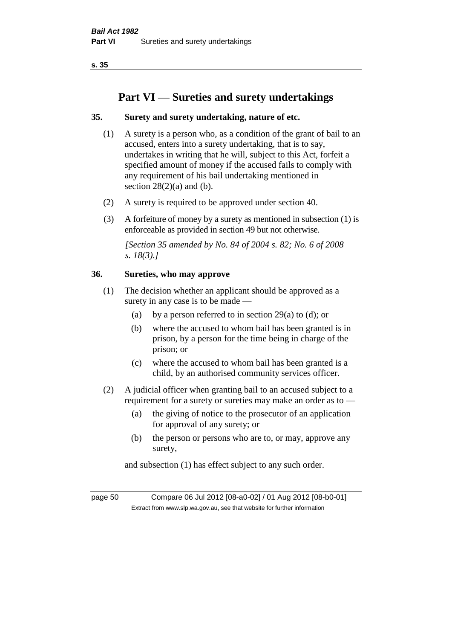# **Part VI — Sureties and surety undertakings**

## **35. Surety and surety undertaking, nature of etc.**

- (1) A surety is a person who, as a condition of the grant of bail to an accused, enters into a surety undertaking, that is to say, undertakes in writing that he will, subject to this Act, forfeit a specified amount of money if the accused fails to comply with any requirement of his bail undertaking mentioned in section  $28(2)(a)$  and (b).
- (2) A surety is required to be approved under section 40.
- (3) A forfeiture of money by a surety as mentioned in subsection (1) is enforceable as provided in section 49 but not otherwise.

*[Section 35 amended by No. 84 of 2004 s. 82; No. 6 of 2008 s. 18(3).]* 

#### **36. Sureties, who may approve**

- (1) The decision whether an applicant should be approved as a surety in any case is to be made —
	- (a) by a person referred to in section 29(a) to (d); or
	- (b) where the accused to whom bail has been granted is in prison, by a person for the time being in charge of the prison; or
	- (c) where the accused to whom bail has been granted is a child, by an authorised community services officer.
- (2) A judicial officer when granting bail to an accused subject to a requirement for a surety or sureties may make an order as to —
	- (a) the giving of notice to the prosecutor of an application for approval of any surety; or
	- (b) the person or persons who are to, or may, approve any surety,

and subsection (1) has effect subject to any such order.

page 50 Compare 06 Jul 2012 [08-a0-02] / 01 Aug 2012 [08-b0-01] Extract from www.slp.wa.gov.au, see that website for further information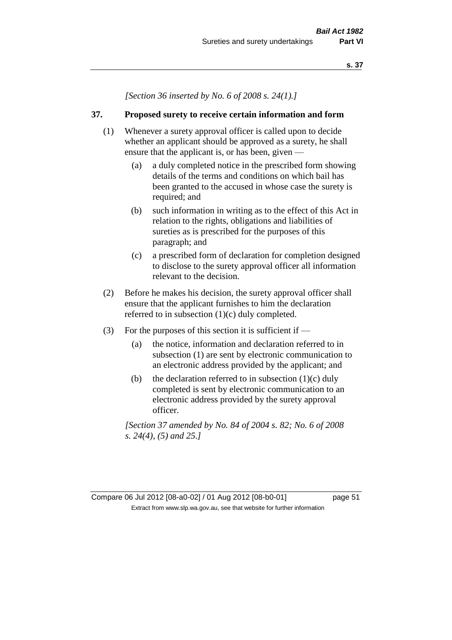*[Section 36 inserted by No. 6 of 2008 s. 24(1).]*

#### **37. Proposed surety to receive certain information and form**

- (1) Whenever a surety approval officer is called upon to decide whether an applicant should be approved as a surety, he shall ensure that the applicant is, or has been, given -
	- (a) a duly completed notice in the prescribed form showing details of the terms and conditions on which bail has been granted to the accused in whose case the surety is required; and
	- (b) such information in writing as to the effect of this Act in relation to the rights, obligations and liabilities of sureties as is prescribed for the purposes of this paragraph; and
	- (c) a prescribed form of declaration for completion designed to disclose to the surety approval officer all information relevant to the decision.
- (2) Before he makes his decision, the surety approval officer shall ensure that the applicant furnishes to him the declaration referred to in subsection (1)(c) duly completed.
- (3) For the purposes of this section it is sufficient if
	- (a) the notice, information and declaration referred to in subsection (1) are sent by electronic communication to an electronic address provided by the applicant; and
	- (b) the declaration referred to in subsection  $(1)(c)$  duly completed is sent by electronic communication to an electronic address provided by the surety approval officer.

*[Section 37 amended by No. 84 of 2004 s. 82; No. 6 of 2008 s. 24(4), (5) and 25.]*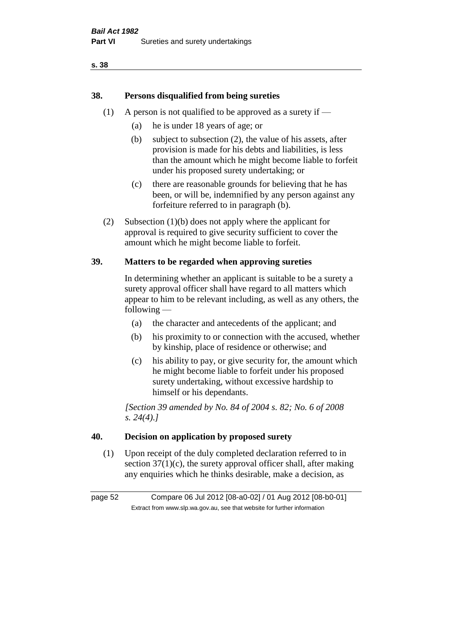# **38. Persons disqualified from being sureties**

- (1) A person is not qualified to be approved as a surety if  $-$ 
	- (a) he is under 18 years of age; or
	- (b) subject to subsection (2), the value of his assets, after provision is made for his debts and liabilities, is less than the amount which he might become liable to forfeit under his proposed surety undertaking; or
	- (c) there are reasonable grounds for believing that he has been, or will be, indemnified by any person against any forfeiture referred to in paragraph (b).
- (2) Subsection (1)(b) does not apply where the applicant for approval is required to give security sufficient to cover the amount which he might become liable to forfeit.

# **39. Matters to be regarded when approving sureties**

In determining whether an applicant is suitable to be a surety a surety approval officer shall have regard to all matters which appear to him to be relevant including, as well as any others, the following —

- (a) the character and antecedents of the applicant; and
- (b) his proximity to or connection with the accused, whether by kinship, place of residence or otherwise; and
- (c) his ability to pay, or give security for, the amount which he might become liable to forfeit under his proposed surety undertaking, without excessive hardship to himself or his dependants.

*[Section 39 amended by No. 84 of 2004 s. 82; No. 6 of 2008 s. 24(4).]* 

#### **40. Decision on application by proposed surety**

(1) Upon receipt of the duly completed declaration referred to in section  $37(1)(c)$ , the surety approval officer shall, after making any enquiries which he thinks desirable, make a decision, as

page 52 Compare 06 Jul 2012 [08-a0-02] / 01 Aug 2012 [08-b0-01] Extract from www.slp.wa.gov.au, see that website for further information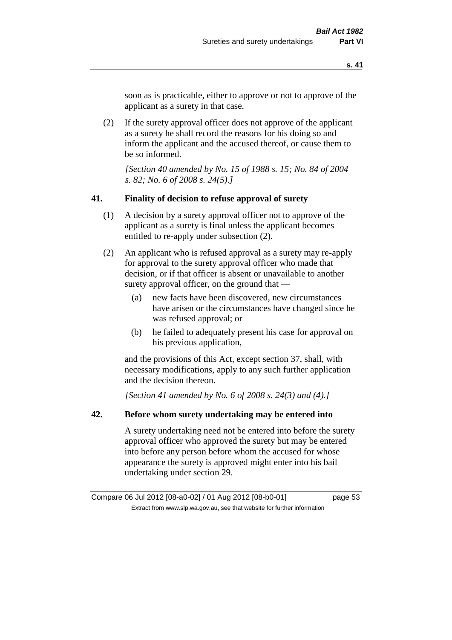soon as is practicable, either to approve or not to approve of the applicant as a surety in that case.

(2) If the surety approval officer does not approve of the applicant as a surety he shall record the reasons for his doing so and inform the applicant and the accused thereof, or cause them to be so informed.

*[Section 40 amended by No. 15 of 1988 s. 15; No. 84 of 2004 s. 82; No. 6 of 2008 s. 24(5).]* 

#### **41. Finality of decision to refuse approval of surety**

- (1) A decision by a surety approval officer not to approve of the applicant as a surety is final unless the applicant becomes entitled to re-apply under subsection (2).
- (2) An applicant who is refused approval as a surety may re-apply for approval to the surety approval officer who made that decision, or if that officer is absent or unavailable to another surety approval officer, on the ground that —
	- (a) new facts have been discovered, new circumstances have arisen or the circumstances have changed since he was refused approval; or
	- (b) he failed to adequately present his case for approval on his previous application,

and the provisions of this Act, except section 37, shall, with necessary modifications, apply to any such further application and the decision thereon.

*[Section 41 amended by No. 6 of 2008 s. 24(3) and (4).]*

#### **42. Before whom surety undertaking may be entered into**

A surety undertaking need not be entered into before the surety approval officer who approved the surety but may be entered into before any person before whom the accused for whose appearance the surety is approved might enter into his bail undertaking under section 29.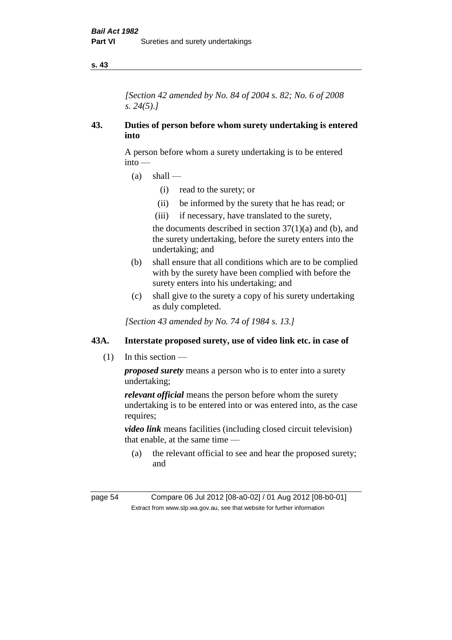*[Section 42 amended by No. 84 of 2004 s. 82; No. 6 of 2008 s. 24(5).]* 

## **43. Duties of person before whom surety undertaking is entered into**

A person before whom a surety undertaking is to be entered into —

- $(a)$  shall
	- (i) read to the surety; or
	- (ii) be informed by the surety that he has read; or
	- (iii) if necessary, have translated to the surety,

the documents described in section  $37(1)(a)$  and (b), and the surety undertaking, before the surety enters into the undertaking; and

- (b) shall ensure that all conditions which are to be complied with by the surety have been complied with before the surety enters into his undertaking; and
- (c) shall give to the surety a copy of his surety undertaking as duly completed.

*[Section 43 amended by No. 74 of 1984 s. 13.]* 

# **43A. Interstate proposed surety, use of video link etc. in case of**

(1) In this section —

*proposed surety* means a person who is to enter into a surety undertaking;

*relevant official* means the person before whom the surety undertaking is to be entered into or was entered into, as the case requires:

*video link* means facilities (including closed circuit television) that enable, at the same time —

(a) the relevant official to see and hear the proposed surety; and

page 54 Compare 06 Jul 2012 [08-a0-02] / 01 Aug 2012 [08-b0-01] Extract from www.slp.wa.gov.au, see that website for further information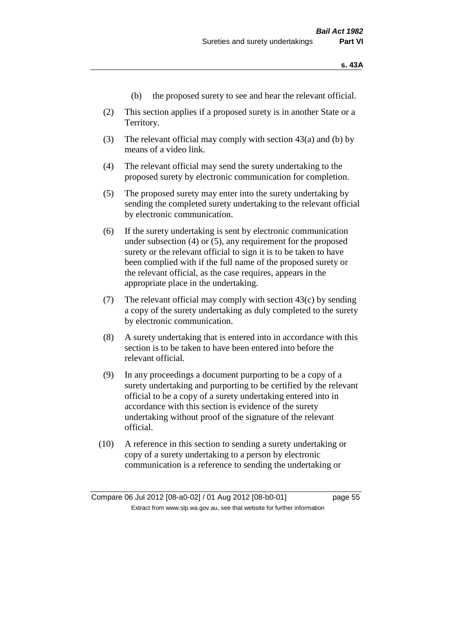- (b) the proposed surety to see and hear the relevant official.
- (2) This section applies if a proposed surety is in another State or a Territory.
- (3) The relevant official may comply with section 43(a) and (b) by means of a video link.
- (4) The relevant official may send the surety undertaking to the proposed surety by electronic communication for completion.
- (5) The proposed surety may enter into the surety undertaking by sending the completed surety undertaking to the relevant official by electronic communication.
- (6) If the surety undertaking is sent by electronic communication under subsection (4) or (5), any requirement for the proposed surety or the relevant official to sign it is to be taken to have been complied with if the full name of the proposed surety or the relevant official, as the case requires, appears in the appropriate place in the undertaking.
- (7) The relevant official may comply with section 43(c) by sending a copy of the surety undertaking as duly completed to the surety by electronic communication.
- (8) A surety undertaking that is entered into in accordance with this section is to be taken to have been entered into before the relevant official.
- (9) In any proceedings a document purporting to be a copy of a surety undertaking and purporting to be certified by the relevant official to be a copy of a surety undertaking entered into in accordance with this section is evidence of the surety undertaking without proof of the signature of the relevant official.
- (10) A reference in this section to sending a surety undertaking or copy of a surety undertaking to a person by electronic communication is a reference to sending the undertaking or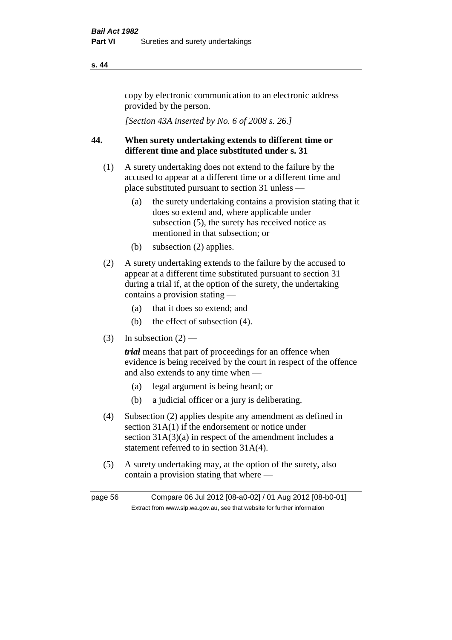copy by electronic communication to an electronic address provided by the person.

*[Section 43A inserted by No. 6 of 2008 s. 26.]*

# **44. When surety undertaking extends to different time or different time and place substituted under s. 31**

- (1) A surety undertaking does not extend to the failure by the accused to appear at a different time or a different time and place substituted pursuant to section 31 unless —
	- (a) the surety undertaking contains a provision stating that it does so extend and, where applicable under subsection (5), the surety has received notice as mentioned in that subsection; or
	- (b) subsection (2) applies.
- (2) A surety undertaking extends to the failure by the accused to appear at a different time substituted pursuant to section 31 during a trial if, at the option of the surety, the undertaking contains a provision stating —
	- (a) that it does so extend; and
	- (b) the effect of subsection (4).
- (3) In subsection  $(2)$  —

*trial* means that part of proceedings for an offence when evidence is being received by the court in respect of the offence and also extends to any time when —

- (a) legal argument is being heard; or
- (b) a judicial officer or a jury is deliberating.
- (4) Subsection (2) applies despite any amendment as defined in section 31A(1) if the endorsement or notice under section  $31A(3)(a)$  in respect of the amendment includes a statement referred to in section 31A(4).
- (5) A surety undertaking may, at the option of the surety, also contain a provision stating that where —

page 56 Compare 06 Jul 2012 [08-a0-02] / 01 Aug 2012 [08-b0-01] Extract from www.slp.wa.gov.au, see that website for further information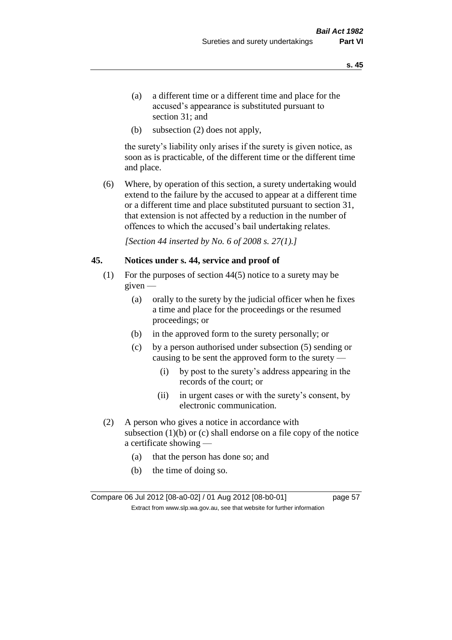- (a) a different time or a different time and place for the accused's appearance is substituted pursuant to section 31; and
- (b) subsection (2) does not apply,

the surety's liability only arises if the surety is given notice, as soon as is practicable, of the different time or the different time and place.

(6) Where, by operation of this section, a surety undertaking would extend to the failure by the accused to appear at a different time or a different time and place substituted pursuant to section 31, that extension is not affected by a reduction in the number of offences to which the accused's bail undertaking relates.

*[Section 44 inserted by No. 6 of 2008 s. 27(1).]*

#### **45. Notices under s. 44, service and proof of**

- (1) For the purposes of section 44(5) notice to a surety may be given —
	- (a) orally to the surety by the judicial officer when he fixes a time and place for the proceedings or the resumed proceedings; or
	- (b) in the approved form to the surety personally; or
	- (c) by a person authorised under subsection (5) sending or causing to be sent the approved form to the surety —
		- (i) by post to the surety's address appearing in the records of the court; or
		- (ii) in urgent cases or with the surety's consent, by electronic communication.
- (2) A person who gives a notice in accordance with subsection  $(1)(b)$  or  $(c)$  shall endorse on a file copy of the notice a certificate showing —
	- (a) that the person has done so; and
	- (b) the time of doing so.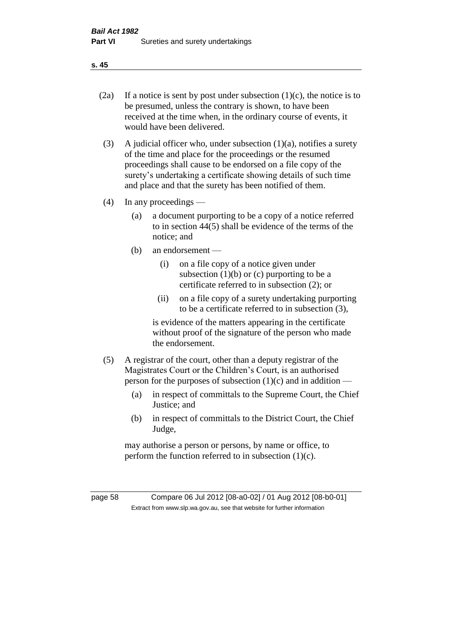- 
- (2a) If a notice is sent by post under subsection  $(1)(c)$ , the notice is to be presumed, unless the contrary is shown, to have been received at the time when, in the ordinary course of events, it would have been delivered.
- (3) A judicial officer who, under subsection  $(1)(a)$ , notifies a surety of the time and place for the proceedings or the resumed proceedings shall cause to be endorsed on a file copy of the surety's undertaking a certificate showing details of such time and place and that the surety has been notified of them.
- (4) In any proceedings
	- (a) a document purporting to be a copy of a notice referred to in section 44(5) shall be evidence of the terms of the notice; and
	- (b) an endorsement
		- (i) on a file copy of a notice given under subsection  $(1)(b)$  or  $(c)$  purporting to be a certificate referred to in subsection (2); or
		- (ii) on a file copy of a surety undertaking purporting to be a certificate referred to in subsection (3),

is evidence of the matters appearing in the certificate without proof of the signature of the person who made the endorsement.

- (5) A registrar of the court, other than a deputy registrar of the Magistrates Court or the Children's Court, is an authorised person for the purposes of subsection  $(1)(c)$  and in addition —
	- (a) in respect of committals to the Supreme Court, the Chief Justice; and
	- (b) in respect of committals to the District Court, the Chief Judge,

may authorise a person or persons, by name or office, to perform the function referred to in subsection  $(1)(c)$ .

page 58 Compare 06 Jul 2012 [08-a0-02] / 01 Aug 2012 [08-b0-01] Extract from www.slp.wa.gov.au, see that website for further information

**s. 45**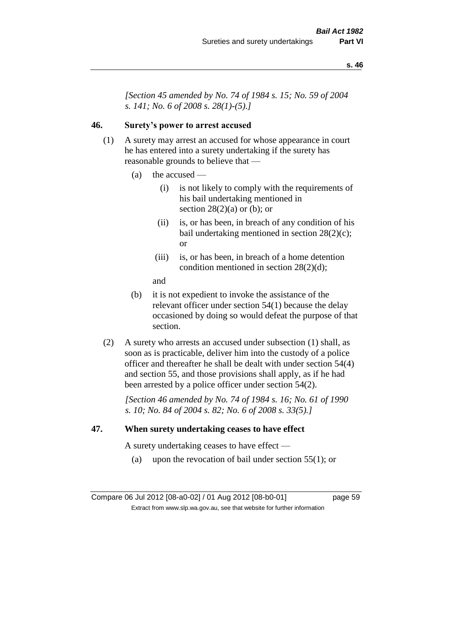*[Section 45 amended by No. 74 of 1984 s. 15; No. 59 of 2004 s. 141; No. 6 of 2008 s. 28(1)-(5).]* 

# **46. Surety's power to arrest accused**

- (1) A surety may arrest an accused for whose appearance in court he has entered into a surety undertaking if the surety has reasonable grounds to believe that —
	- (a) the accused
		- (i) is not likely to comply with the requirements of his bail undertaking mentioned in section  $28(2)(a)$  or (b); or
		- (ii) is, or has been, in breach of any condition of his bail undertaking mentioned in section 28(2)(c); or
		- (iii) is, or has been, in breach of a home detention condition mentioned in section 28(2)(d);
		- and
	- (b) it is not expedient to invoke the assistance of the relevant officer under section 54(1) because the delay occasioned by doing so would defeat the purpose of that section.
- (2) A surety who arrests an accused under subsection (1) shall, as soon as is practicable, deliver him into the custody of a police officer and thereafter he shall be dealt with under section 54(4) and section 55, and those provisions shall apply, as if he had been arrested by a police officer under section 54(2).

*[Section 46 amended by No. 74 of 1984 s. 16; No. 61 of 1990 s. 10; No. 84 of 2004 s. 82; No. 6 of 2008 s. 33(5).]* 

#### **47. When surety undertaking ceases to have effect**

A surety undertaking ceases to have effect —

(a) upon the revocation of bail under section  $55(1)$ ; or

Compare 06 Jul 2012 [08-a0-02] / 01 Aug 2012 [08-b0-01] page 59 Extract from www.slp.wa.gov.au, see that website for further information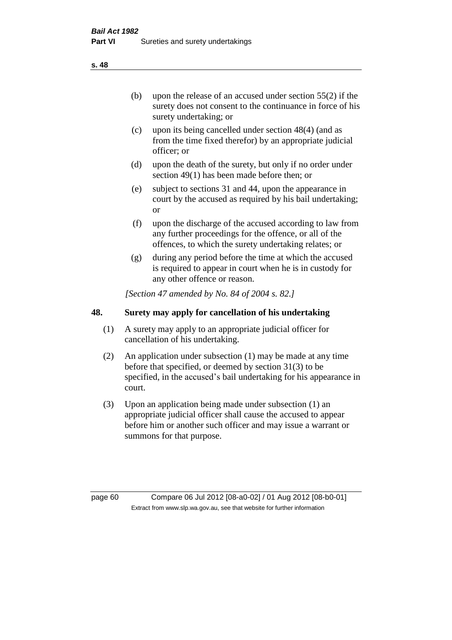(b) upon the release of an accused under section 55(2) if the surety does not consent to the continuance in force of his surety undertaking; or

- (c) upon its being cancelled under section 48(4) (and as from the time fixed therefor) by an appropriate judicial officer; or
- (d) upon the death of the surety, but only if no order under section 49(1) has been made before then; or
- (e) subject to sections 31 and 44, upon the appearance in court by the accused as required by his bail undertaking; or
- (f) upon the discharge of the accused according to law from any further proceedings for the offence, or all of the offences, to which the surety undertaking relates; or
- (g) during any period before the time at which the accused is required to appear in court when he is in custody for any other offence or reason.

*[Section 47 amended by No. 84 of 2004 s. 82.]* 

# **48. Surety may apply for cancellation of his undertaking**

- (1) A surety may apply to an appropriate judicial officer for cancellation of his undertaking.
- (2) An application under subsection (1) may be made at any time before that specified, or deemed by section 31(3) to be specified, in the accused's bail undertaking for his appearance in court.
- (3) Upon an application being made under subsection (1) an appropriate judicial officer shall cause the accused to appear before him or another such officer and may issue a warrant or summons for that purpose.

page 60 Compare 06 Jul 2012 [08-a0-02] / 01 Aug 2012 [08-b0-01] Extract from www.slp.wa.gov.au, see that website for further information

**s. 48**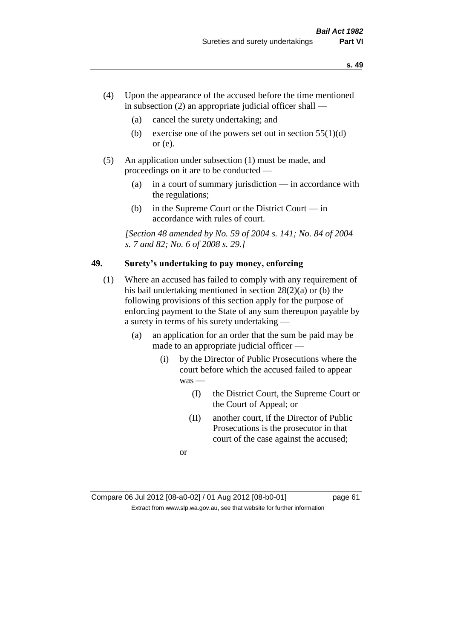- (4) Upon the appearance of the accused before the time mentioned in subsection  $(2)$  an appropriate judicial officer shall —
	- (a) cancel the surety undertaking; and
	- (b) exercise one of the powers set out in section  $55(1)(d)$ or (e).
- (5) An application under subsection (1) must be made, and proceedings on it are to be conducted —
	- (a) in a court of summary jurisdiction in accordance with the regulations;
	- (b) in the Supreme Court or the District Court in accordance with rules of court.

*[Section 48 amended by No. 59 of 2004 s. 141; No. 84 of 2004 s. 7 and 82; No. 6 of 2008 s. 29.]* 

# **49. Surety's undertaking to pay money, enforcing**

- (1) Where an accused has failed to comply with any requirement of his bail undertaking mentioned in section 28(2)(a) or (b) the following provisions of this section apply for the purpose of enforcing payment to the State of any sum thereupon payable by a surety in terms of his surety undertaking —
	- (a) an application for an order that the sum be paid may be made to an appropriate judicial officer —
		- (i) by the Director of Public Prosecutions where the court before which the accused failed to appear was —
			- (I) the District Court, the Supreme Court or the Court of Appeal; or
			- (II) another court, if the Director of Public Prosecutions is the prosecutor in that court of the case against the accused;

or

Compare 06 Jul 2012 [08-a0-02] / 01 Aug 2012 [08-b0-01] page 61 Extract from www.slp.wa.gov.au, see that website for further information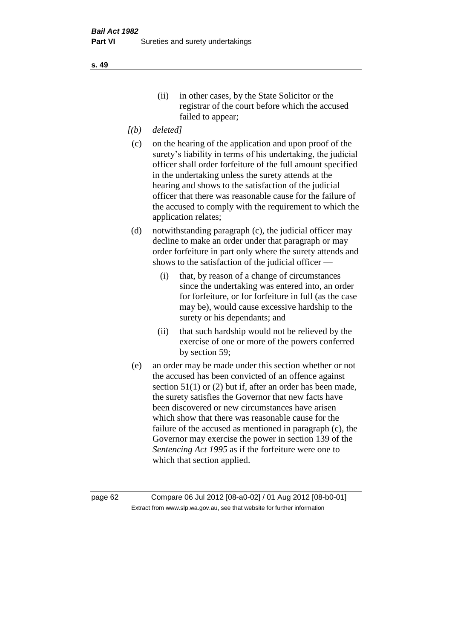- *[(b) deleted]*
- (c) on the hearing of the application and upon proof of the surety's liability in terms of his undertaking, the judicial officer shall order forfeiture of the full amount specified in the undertaking unless the surety attends at the hearing and shows to the satisfaction of the judicial officer that there was reasonable cause for the failure of the accused to comply with the requirement to which the application relates;
- (d) notwithstanding paragraph (c), the judicial officer may decline to make an order under that paragraph or may order forfeiture in part only where the surety attends and shows to the satisfaction of the judicial officer —
	- (i) that, by reason of a change of circumstances since the undertaking was entered into, an order for forfeiture, or for forfeiture in full (as the case may be), would cause excessive hardship to the surety or his dependants; and
	- (ii) that such hardship would not be relieved by the exercise of one or more of the powers conferred by section 59;
- (e) an order may be made under this section whether or not the accused has been convicted of an offence against section 51(1) or (2) but if, after an order has been made, the surety satisfies the Governor that new facts have been discovered or new circumstances have arisen which show that there was reasonable cause for the failure of the accused as mentioned in paragraph (c), the Governor may exercise the power in section 139 of the *Sentencing Act 1995* as if the forfeiture were one to which that section applied.

page 62 Compare 06 Jul 2012 [08-a0-02] / 01 Aug 2012 [08-b0-01] Extract from www.slp.wa.gov.au, see that website for further information

**s. 49**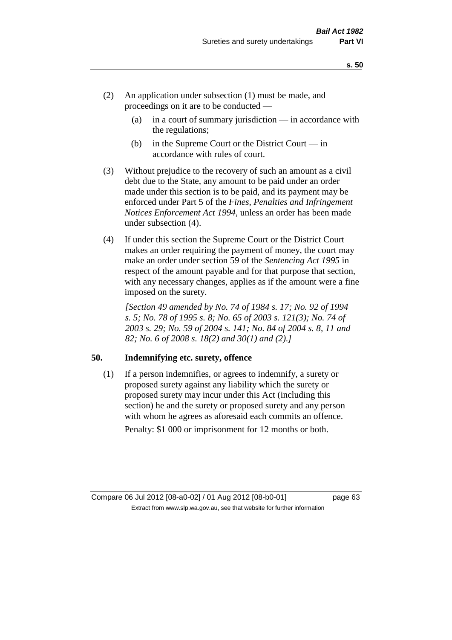- (2) An application under subsection (1) must be made, and proceedings on it are to be conducted —
	- (a) in a court of summary jurisdiction in accordance with the regulations;
	- (b) in the Supreme Court or the District Court  $-\text{in}$ accordance with rules of court.
- (3) Without prejudice to the recovery of such an amount as a civil debt due to the State, any amount to be paid under an order made under this section is to be paid, and its payment may be enforced under Part 5 of the *Fines, Penalties and Infringement Notices Enforcement Act 1994*, unless an order has been made under subsection (4).
- (4) If under this section the Supreme Court or the District Court makes an order requiring the payment of money, the court may make an order under section 59 of the *Sentencing Act 1995* in respect of the amount payable and for that purpose that section, with any necessary changes, applies as if the amount were a fine imposed on the surety.

*[Section 49 amended by No. 74 of 1984 s. 17; No. 92 of 1994 s. 5; No. 78 of 1995 s. 8; No. 65 of 2003 s. 121(3); No. 74 of 2003 s. 29; No. 59 of 2004 s. 141; No. 84 of 2004 s. 8, 11 and 82; No. 6 of 2008 s. 18(2) and 30(1) and (2).]* 

#### **50. Indemnifying etc. surety, offence**

(1) If a person indemnifies, or agrees to indemnify, a surety or proposed surety against any liability which the surety or proposed surety may incur under this Act (including this section) he and the surety or proposed surety and any person with whom he agrees as aforesaid each commits an offence. Penalty: \$1 000 or imprisonment for 12 months or both.

Compare 06 Jul 2012 [08-a0-02] / 01 Aug 2012 [08-b0-01] page 63

Extract from www.slp.wa.gov.au, see that website for further information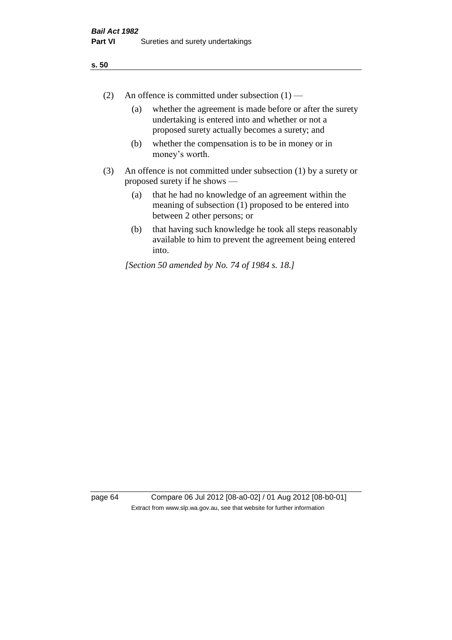- (2) An offence is committed under subsection  $(1)$ 
	- (a) whether the agreement is made before or after the surety undertaking is entered into and whether or not a proposed surety actually becomes a surety; and
	- (b) whether the compensation is to be in money or in money's worth.
- (3) An offence is not committed under subsection (1) by a surety or proposed surety if he shows —
	- (a) that he had no knowledge of an agreement within the meaning of subsection (1) proposed to be entered into between 2 other persons; or
	- (b) that having such knowledge he took all steps reasonably available to him to prevent the agreement being entered into.

*[Section 50 amended by No. 74 of 1984 s. 18.]* 

page 64 Compare 06 Jul 2012 [08-a0-02] / 01 Aug 2012 [08-b0-01] Extract from www.slp.wa.gov.au, see that website for further information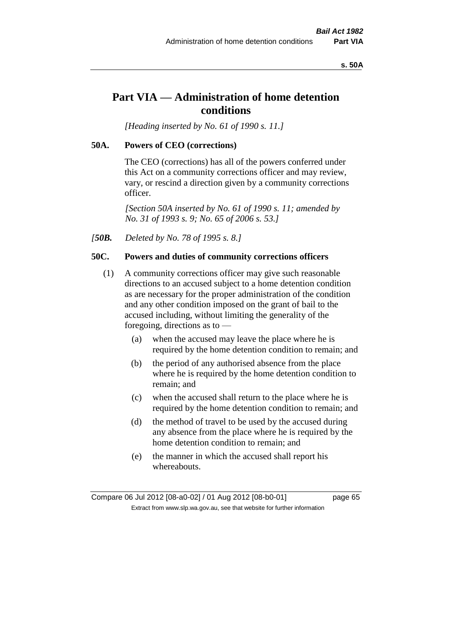#### **s. 50A**

# **Part VIA — Administration of home detention conditions**

*[Heading inserted by No. 61 of 1990 s. 11.]* 

#### **50A. Powers of CEO (corrections)**

The CEO (corrections) has all of the powers conferred under this Act on a community corrections officer and may review, vary, or rescind a direction given by a community corrections officer.

*[Section 50A inserted by No. 61 of 1990 s. 11; amended by No. 31 of 1993 s. 9; No. 65 of 2006 s. 53.]* 

*[50B. Deleted by No. 78 of 1995 s. 8.]* 

#### **50C. Powers and duties of community corrections officers**

- (1) A community corrections officer may give such reasonable directions to an accused subject to a home detention condition as are necessary for the proper administration of the condition and any other condition imposed on the grant of bail to the accused including, without limiting the generality of the foregoing, directions as to —
	- (a) when the accused may leave the place where he is required by the home detention condition to remain; and
	- (b) the period of any authorised absence from the place where he is required by the home detention condition to remain; and
	- (c) when the accused shall return to the place where he is required by the home detention condition to remain; and
	- (d) the method of travel to be used by the accused during any absence from the place where he is required by the home detention condition to remain; and
	- (e) the manner in which the accused shall report his whereabouts.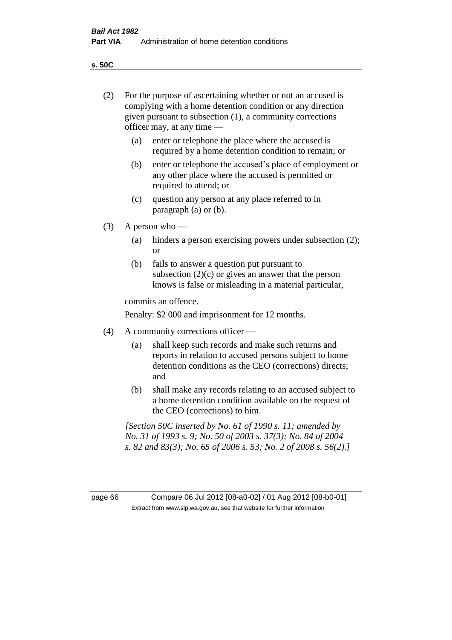**s. 50C**

| (2)     | For the purpose of ascertaining whether or not an accused is<br>complying with a home detention condition or any direction<br>given pursuant to subsection (1), a community corrections<br>officer may, at any time — |                                                                                                                                                                                              |  |
|---------|-----------------------------------------------------------------------------------------------------------------------------------------------------------------------------------------------------------------------|----------------------------------------------------------------------------------------------------------------------------------------------------------------------------------------------|--|
|         | (a)                                                                                                                                                                                                                   | enter or telephone the place where the accused is<br>required by a home detention condition to remain; or                                                                                    |  |
|         | (b)                                                                                                                                                                                                                   | enter or telephone the accused's place of employment or<br>any other place where the accused is permitted or<br>required to attend; or                                                       |  |
|         | (c)                                                                                                                                                                                                                   | question any person at any place referred to in<br>paragraph $(a)$ or $(b)$ .                                                                                                                |  |
| (3)     | A person who $-$                                                                                                                                                                                                      |                                                                                                                                                                                              |  |
|         | (a)                                                                                                                                                                                                                   | hinders a person exercising powers under subsection (2);<br><sub>or</sub>                                                                                                                    |  |
|         | (b)                                                                                                                                                                                                                   | fails to answer a question put pursuant to<br>subsection $(2)(c)$ or gives an answer that the person<br>knows is false or misleading in a material particular,                               |  |
|         |                                                                                                                                                                                                                       | commits an offence.                                                                                                                                                                          |  |
|         |                                                                                                                                                                                                                       | Penalty: \$2 000 and imprisonment for 12 months.                                                                                                                                             |  |
| (4)     | A community corrections officer —                                                                                                                                                                                     |                                                                                                                                                                                              |  |
|         | (a)                                                                                                                                                                                                                   | shall keep such records and make such returns and<br>reports in relation to accused persons subject to home<br>detention conditions as the CEO (corrections) directs;<br>and                 |  |
|         | (b)                                                                                                                                                                                                                   | shall make any records relating to an accused subject to<br>a home detention condition available on the request of<br>the CEO (corrections) to him.                                          |  |
|         |                                                                                                                                                                                                                       | [Section 50C inserted by No. 61 of 1990 s. 11; amended by<br>No. 31 of 1993 s. 9; No. 50 of 2003 s. 37(3); No. 84 of 2004<br>s. 82 and 83(3); No. 65 of 2006 s. 53; No. 2 of 2008 s. 56(2).] |  |
|         |                                                                                                                                                                                                                       |                                                                                                                                                                                              |  |
| page 66 |                                                                                                                                                                                                                       | Compare 06 Jul 2012 [08-a0-02] / 01 Aug 2012 [08-b0-01]<br>Extract from www.slp.wa.gov.au, see that website for further information                                                          |  |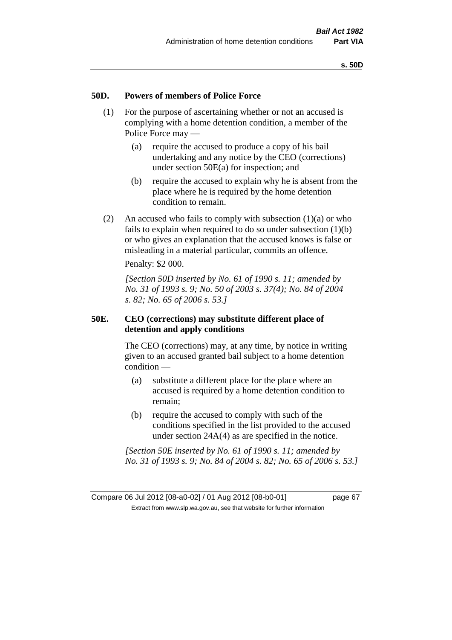#### **50D. Powers of members of Police Force**

- (1) For the purpose of ascertaining whether or not an accused is complying with a home detention condition, a member of the Police Force may —
	- (a) require the accused to produce a copy of his bail undertaking and any notice by the CEO (corrections) under section 50E(a) for inspection; and
	- (b) require the accused to explain why he is absent from the place where he is required by the home detention condition to remain.
- (2) An accused who fails to comply with subsection  $(1)(a)$  or who fails to explain when required to do so under subsection (1)(b) or who gives an explanation that the accused knows is false or misleading in a material particular, commits an offence.

Penalty: \$2 000.

*[Section 50D inserted by No. 61 of 1990 s. 11; amended by No. 31 of 1993 s. 9; No. 50 of 2003 s. 37(4); No. 84 of 2004 s. 82; No. 65 of 2006 s. 53.]* 

#### **50E. CEO (corrections) may substitute different place of detention and apply conditions**

The CEO (corrections) may, at any time, by notice in writing given to an accused granted bail subject to a home detention condition —

- (a) substitute a different place for the place where an accused is required by a home detention condition to remain;
- (b) require the accused to comply with such of the conditions specified in the list provided to the accused under section 24A(4) as are specified in the notice.

*[Section 50E inserted by No. 61 of 1990 s. 11; amended by No. 31 of 1993 s. 9; No. 84 of 2004 s. 82; No. 65 of 2006 s. 53.]*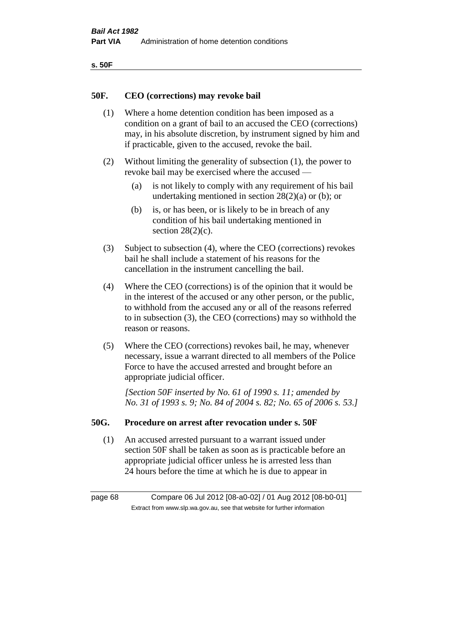| ۰.<br>×<br>-<br>۰.<br>× |  |
|-------------------------|--|
|-------------------------|--|

#### **50F. CEO (corrections) may revoke bail**

- (1) Where a home detention condition has been imposed as a condition on a grant of bail to an accused the CEO (corrections) may, in his absolute discretion, by instrument signed by him and if practicable, given to the accused, revoke the bail.
- (2) Without limiting the generality of subsection (1), the power to revoke bail may be exercised where the accused —
	- (a) is not likely to comply with any requirement of his bail undertaking mentioned in section 28(2)(a) or (b); or
	- (b) is, or has been, or is likely to be in breach of any condition of his bail undertaking mentioned in section  $28(2)(c)$ .
- (3) Subject to subsection (4), where the CEO (corrections) revokes bail he shall include a statement of his reasons for the cancellation in the instrument cancelling the bail.
- (4) Where the CEO (corrections) is of the opinion that it would be in the interest of the accused or any other person, or the public, to withhold from the accused any or all of the reasons referred to in subsection (3), the CEO (corrections) may so withhold the reason or reasons.
- (5) Where the CEO (corrections) revokes bail, he may, whenever necessary, issue a warrant directed to all members of the Police Force to have the accused arrested and brought before an appropriate judicial officer.

*[Section 50F inserted by No. 61 of 1990 s. 11; amended by No. 31 of 1993 s. 9; No. 84 of 2004 s. 82; No. 65 of 2006 s. 53.]* 

#### **50G. Procedure on arrest after revocation under s. 50F**

(1) An accused arrested pursuant to a warrant issued under section 50F shall be taken as soon as is practicable before an appropriate judicial officer unless he is arrested less than 24 hours before the time at which he is due to appear in

page 68 Compare 06 Jul 2012 [08-a0-02] / 01 Aug 2012 [08-b0-01] Extract from www.slp.wa.gov.au, see that website for further information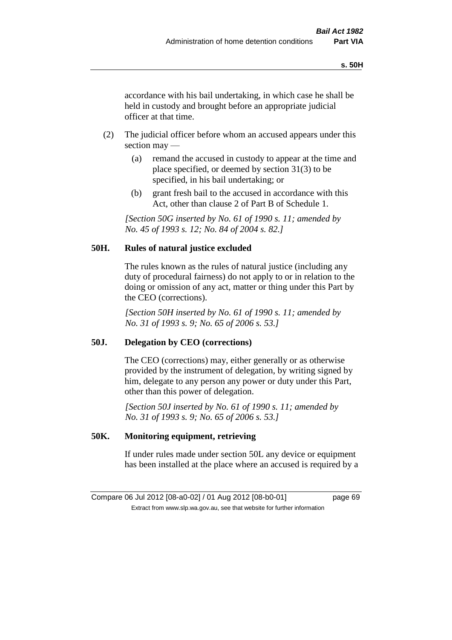accordance with his bail undertaking, in which case he shall be held in custody and brought before an appropriate judicial officer at that time.

- (2) The judicial officer before whom an accused appears under this section may —
	- (a) remand the accused in custody to appear at the time and place specified, or deemed by section 31(3) to be specified, in his bail undertaking; or
	- (b) grant fresh bail to the accused in accordance with this Act, other than clause 2 of Part B of Schedule 1.

*[Section 50G inserted by No. 61 of 1990 s. 11; amended by No. 45 of 1993 s. 12; No. 84 of 2004 s. 82.]* 

# **50H. Rules of natural justice excluded**

The rules known as the rules of natural justice (including any duty of procedural fairness) do not apply to or in relation to the doing or omission of any act, matter or thing under this Part by the CEO (corrections).

*[Section 50H inserted by No. 61 of 1990 s. 11; amended by No. 31 of 1993 s. 9; No. 65 of 2006 s. 53.]* 

#### **50J. Delegation by CEO (corrections)**

The CEO (corrections) may, either generally or as otherwise provided by the instrument of delegation, by writing signed by him, delegate to any person any power or duty under this Part, other than this power of delegation.

*[Section 50J inserted by No. 61 of 1990 s. 11; amended by No. 31 of 1993 s. 9; No. 65 of 2006 s. 53.]* 

## **50K. Monitoring equipment, retrieving**

If under rules made under section 50L any device or equipment has been installed at the place where an accused is required by a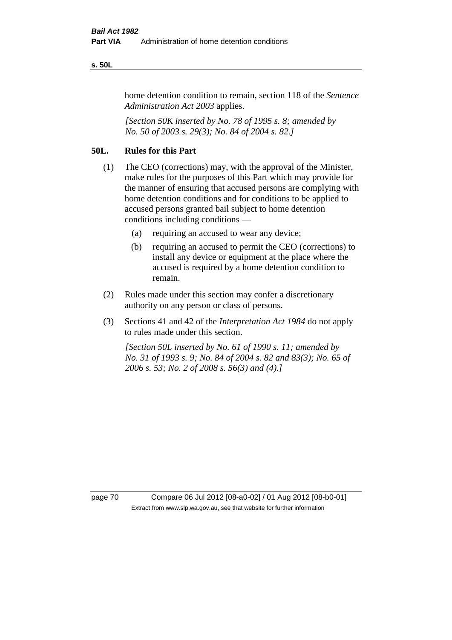#### **s. 50L**

home detention condition to remain, section 118 of the *Sentence Administration Act 2003* applies.

*[Section 50K inserted by No. 78 of 1995 s. 8; amended by No. 50 of 2003 s. 29(3); No. 84 of 2004 s. 82.]* 

# **50L. Rules for this Part**

- (1) The CEO (corrections) may, with the approval of the Minister, make rules for the purposes of this Part which may provide for the manner of ensuring that accused persons are complying with home detention conditions and for conditions to be applied to accused persons granted bail subject to home detention conditions including conditions —
	- (a) requiring an accused to wear any device;
	- (b) requiring an accused to permit the CEO (corrections) to install any device or equipment at the place where the accused is required by a home detention condition to remain.
- (2) Rules made under this section may confer a discretionary authority on any person or class of persons.
- (3) Sections 41 and 42 of the *Interpretation Act 1984* do not apply to rules made under this section.

*[Section 50L inserted by No. 61 of 1990 s. 11; amended by No. 31 of 1993 s. 9; No. 84 of 2004 s. 82 and 83(3); No. 65 of 2006 s. 53; No. 2 of 2008 s. 56(3) and (4).]* 

page 70 Compare 06 Jul 2012 [08-a0-02] / 01 Aug 2012 [08-b0-01] Extract from www.slp.wa.gov.au, see that website for further information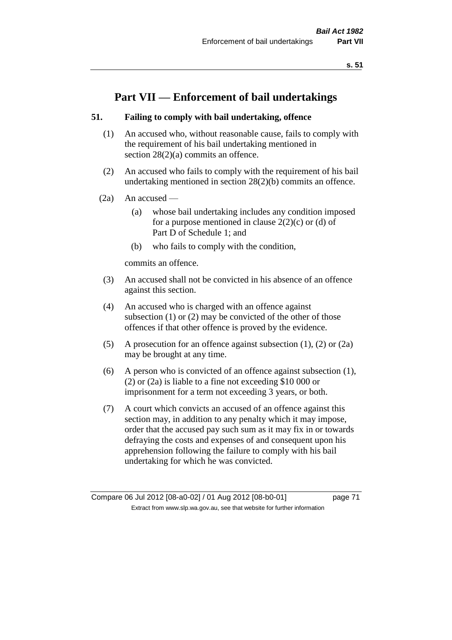# **Part VII — Enforcement of bail undertakings**

# **51. Failing to comply with bail undertaking, offence**

- (1) An accused who, without reasonable cause, fails to comply with the requirement of his bail undertaking mentioned in section 28(2)(a) commits an offence.
- (2) An accused who fails to comply with the requirement of his bail undertaking mentioned in section 28(2)(b) commits an offence.
- $(2a)$  An accused
	- (a) whose bail undertaking includes any condition imposed for a purpose mentioned in clause  $2(2)(c)$  or (d) of Part D of Schedule 1; and
	- (b) who fails to comply with the condition,

commits an offence.

- (3) An accused shall not be convicted in his absence of an offence against this section.
- (4) An accused who is charged with an offence against subsection (1) or (2) may be convicted of the other of those offences if that other offence is proved by the evidence.
- (5) A prosecution for an offence against subsection (1), (2) or (2a) may be brought at any time.
- (6) A person who is convicted of an offence against subsection (1), (2) or (2a) is liable to a fine not exceeding \$10 000 or imprisonment for a term not exceeding 3 years, or both.
- (7) A court which convicts an accused of an offence against this section may, in addition to any penalty which it may impose, order that the accused pay such sum as it may fix in or towards defraying the costs and expenses of and consequent upon his apprehension following the failure to comply with his bail undertaking for which he was convicted.

Compare 06 Jul 2012 [08-a0-02] / 01 Aug 2012 [08-b0-01] page 71 Extract from www.slp.wa.gov.au, see that website for further information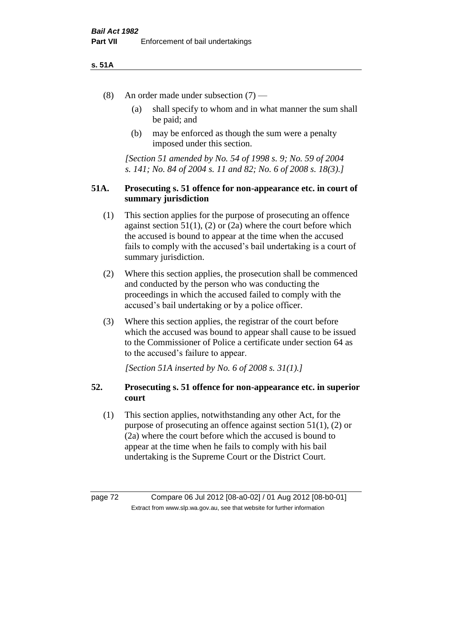#### **s. 51A**

- (8) An order made under subsection (7)
	- (a) shall specify to whom and in what manner the sum shall be paid; and
	- (b) may be enforced as though the sum were a penalty imposed under this section.

*[Section 51 amended by No. 54 of 1998 s. 9; No. 59 of 2004 s. 141; No. 84 of 2004 s. 11 and 82; No. 6 of 2008 s. 18(3).]*

## **51A. Prosecuting s. 51 offence for non-appearance etc. in court of summary jurisdiction**

- (1) This section applies for the purpose of prosecuting an offence against section  $51(1)$ ,  $(2)$  or  $(2a)$  where the court before which the accused is bound to appear at the time when the accused fails to comply with the accused's bail undertaking is a court of summary jurisdiction.
- (2) Where this section applies, the prosecution shall be commenced and conducted by the person who was conducting the proceedings in which the accused failed to comply with the accused's bail undertaking or by a police officer.
- (3) Where this section applies, the registrar of the court before which the accused was bound to appear shall cause to be issued to the Commissioner of Police a certificate under section 64 as to the accused's failure to appear.

*[Section 51A inserted by No. 6 of 2008 s. 31(1).]*

# **52. Prosecuting s. 51 offence for non-appearance etc. in superior court**

(1) This section applies, notwithstanding any other Act, for the purpose of prosecuting an offence against section 51(1), (2) or (2a) where the court before which the accused is bound to appear at the time when he fails to comply with his bail undertaking is the Supreme Court or the District Court.

page 72 Compare 06 Jul 2012 [08-a0-02] / 01 Aug 2012 [08-b0-01] Extract from www.slp.wa.gov.au, see that website for further information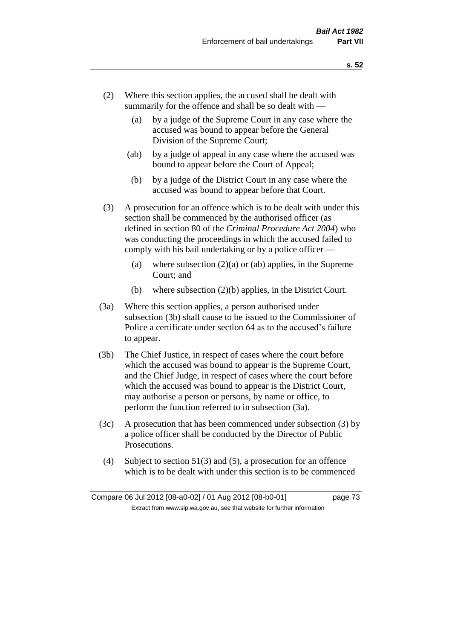- (2) Where this section applies, the accused shall be dealt with summarily for the offence and shall be so dealt with —
	- (a) by a judge of the Supreme Court in any case where the accused was bound to appear before the General Division of the Supreme Court;
	- (ab) by a judge of appeal in any case where the accused was bound to appear before the Court of Appeal;
	- (b) by a judge of the District Court in any case where the accused was bound to appear before that Court.
- (3) A prosecution for an offence which is to be dealt with under this section shall be commenced by the authorised officer (as defined in section 80 of the *Criminal Procedure Act 2004*) who was conducting the proceedings in which the accused failed to comply with his bail undertaking or by a police officer —
	- (a) where subsection  $(2)(a)$  or (ab) applies, in the Supreme Court; and
	- (b) where subsection (2)(b) applies, in the District Court.
- (3a) Where this section applies, a person authorised under subsection (3b) shall cause to be issued to the Commissioner of Police a certificate under section 64 as to the accused's failure to appear.
- (3b) The Chief Justice, in respect of cases where the court before which the accused was bound to appear is the Supreme Court, and the Chief Judge, in respect of cases where the court before which the accused was bound to appear is the District Court, may authorise a person or persons, by name or office, to perform the function referred to in subsection (3a).
- (3c) A prosecution that has been commenced under subsection (3) by a police officer shall be conducted by the Director of Public Prosecutions.
- (4) Subject to section 51(3) and (5), a prosecution for an offence which is to be dealt with under this section is to be commenced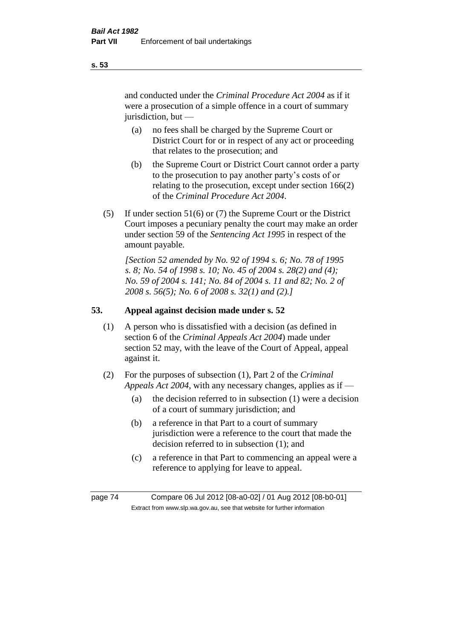and conducted under the *Criminal Procedure Act 2004* as if it were a prosecution of a simple offence in a court of summary jurisdiction, but —

- (a) no fees shall be charged by the Supreme Court or District Court for or in respect of any act or proceeding that relates to the prosecution; and
- (b) the Supreme Court or District Court cannot order a party to the prosecution to pay another party's costs of or relating to the prosecution, except under section 166(2) of the *Criminal Procedure Act 2004*.
- (5) If under section 51(6) or (7) the Supreme Court or the District Court imposes a pecuniary penalty the court may make an order under section 59 of the *Sentencing Act 1995* in respect of the amount payable.

*[Section 52 amended by No. 92 of 1994 s. 6; No. 78 of 1995 s. 8; No. 54 of 1998 s. 10; No. 45 of 2004 s. 28(2) and (4); No. 59 of 2004 s. 141; No. 84 of 2004 s. 11 and 82; No. 2 of 2008 s. 56(5); No. 6 of 2008 s. 32(1) and (2).]* 

# **53. Appeal against decision made under s. 52**

- (1) A person who is dissatisfied with a decision (as defined in section 6 of the *Criminal Appeals Act 2004*) made under section 52 may, with the leave of the Court of Appeal, appeal against it.
- (2) For the purposes of subsection (1), Part 2 of the *Criminal Appeals Act 2004*, with any necessary changes, applies as if —
	- (a) the decision referred to in subsection (1) were a decision of a court of summary jurisdiction; and
	- (b) a reference in that Part to a court of summary jurisdiction were a reference to the court that made the decision referred to in subsection (1); and
	- (c) a reference in that Part to commencing an appeal were a reference to applying for leave to appeal.

page 74 Compare 06 Jul 2012 [08-a0-02] / 01 Aug 2012 [08-b0-01] Extract from www.slp.wa.gov.au, see that website for further information

**s. 53**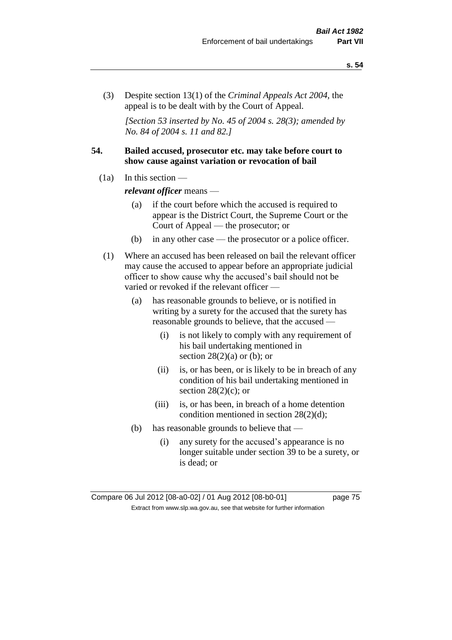(3) Despite section 13(1) of the *Criminal Appeals Act 2004*, the appeal is to be dealt with by the Court of Appeal.

*[Section 53 inserted by No. 45 of 2004 s. 28(3); amended by No. 84 of 2004 s. 11 and 82.]*

# **54. Bailed accused, prosecutor etc. may take before court to show cause against variation or revocation of bail**

 $(1a)$  In this section —

*relevant officer* means —

- (a) if the court before which the accused is required to appear is the District Court, the Supreme Court or the Court of Appeal — the prosecutor; or
- (b) in any other case the prosecutor or a police officer.
- (1) Where an accused has been released on bail the relevant officer may cause the accused to appear before an appropriate judicial officer to show cause why the accused's bail should not be varied or revoked if the relevant officer —
	- (a) has reasonable grounds to believe, or is notified in writing by a surety for the accused that the surety has reasonable grounds to believe, that the accused —
		- (i) is not likely to comply with any requirement of his bail undertaking mentioned in section  $28(2)(a)$  or (b); or
		- (ii) is, or has been, or is likely to be in breach of any condition of his bail undertaking mentioned in section  $28(2)(c)$ ; or
		- (iii) is, or has been, in breach of a home detention condition mentioned in section 28(2)(d);
	- (b) has reasonable grounds to believe that
		- (i) any surety for the accused's appearance is no longer suitable under section 39 to be a surety, or is dead; or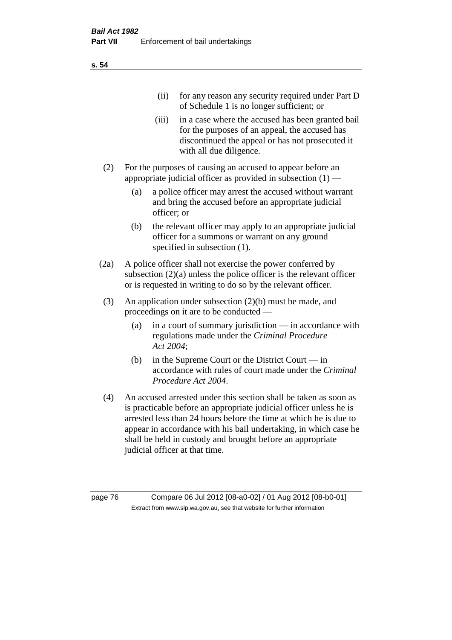| (11)  | for any reason any security required under Part D<br>of Schedule 1 is no longer sufficient; or                                                                                     |
|-------|------------------------------------------------------------------------------------------------------------------------------------------------------------------------------------|
| (iii) | in a case where the accused has been granted bail<br>for the purposes of an appeal, the accused has<br>discontinued the appeal or has not prosecuted it<br>with all due diligence. |

- (2) For the purposes of causing an accused to appear before an appropriate judicial officer as provided in subsection  $(1)$  —
	- (a) a police officer may arrest the accused without warrant and bring the accused before an appropriate judicial officer; or
	- (b) the relevant officer may apply to an appropriate judicial officer for a summons or warrant on any ground specified in subsection  $(1)$ .
- (2a) A police officer shall not exercise the power conferred by subsection (2)(a) unless the police officer is the relevant officer or is requested in writing to do so by the relevant officer.
- (3) An application under subsection (2)(b) must be made, and proceedings on it are to be conducted —
	- (a) in a court of summary jurisdiction in accordance with regulations made under the *Criminal Procedure Act 2004*;
	- (b) in the Supreme Court or the District Court in accordance with rules of court made under the *Criminal Procedure Act 2004*.
- (4) An accused arrested under this section shall be taken as soon as is practicable before an appropriate judicial officer unless he is arrested less than 24 hours before the time at which he is due to appear in accordance with his bail undertaking, in which case he shall be held in custody and brought before an appropriate judicial officer at that time.

page 76 Compare 06 Jul 2012 [08-a0-02] / 01 Aug 2012 [08-b0-01] Extract from www.slp.wa.gov.au, see that website for further information

**s. 54**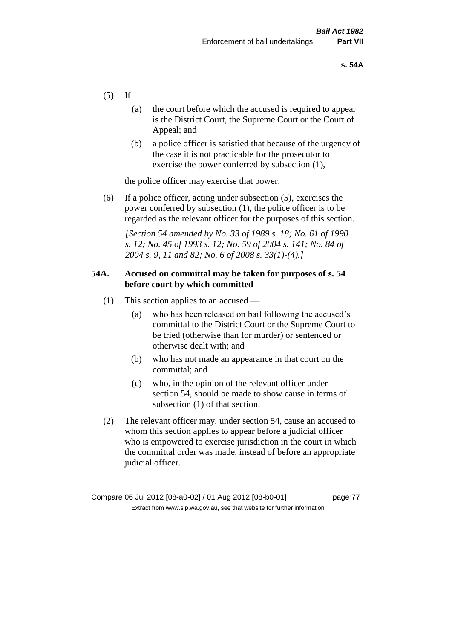- $(5)$  If
	- (a) the court before which the accused is required to appear is the District Court, the Supreme Court or the Court of Appeal; and
	- (b) a police officer is satisfied that because of the urgency of the case it is not practicable for the prosecutor to exercise the power conferred by subsection (1),

the police officer may exercise that power.

(6) If a police officer, acting under subsection (5), exercises the power conferred by subsection (1), the police officer is to be regarded as the relevant officer for the purposes of this section.

*[Section 54 amended by No. 33 of 1989 s. 18; No. 61 of 1990 s. 12; No. 45 of 1993 s. 12; No. 59 of 2004 s. 141; No. 84 of 2004 s. 9, 11 and 82; No. 6 of 2008 s. 33(1)-(4).]* 

# **54A. Accused on committal may be taken for purposes of s. 54 before court by which committed**

- (1) This section applies to an accused
	- (a) who has been released on bail following the accused's committal to the District Court or the Supreme Court to be tried (otherwise than for murder) or sentenced or otherwise dealt with; and
	- (b) who has not made an appearance in that court on the committal; and
	- (c) who, in the opinion of the relevant officer under section 54, should be made to show cause in terms of subsection (1) of that section.
- (2) The relevant officer may, under section 54, cause an accused to whom this section applies to appear before a judicial officer who is empowered to exercise jurisdiction in the court in which the committal order was made, instead of before an appropriate judicial officer.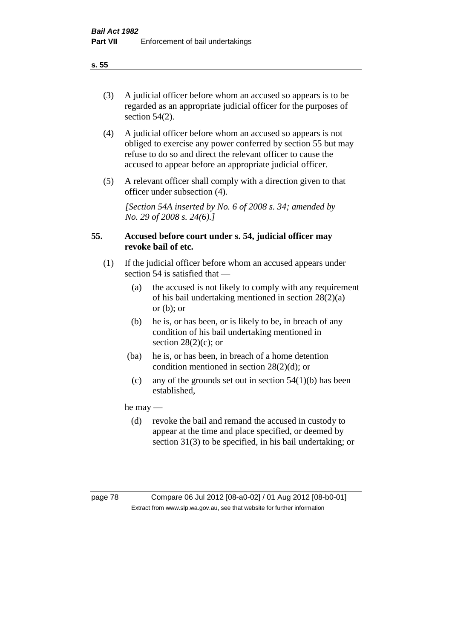(3) A judicial officer before whom an accused so appears is to be regarded as an appropriate judicial officer for the purposes of section 54(2).

- (4) A judicial officer before whom an accused so appears is not obliged to exercise any power conferred by section 55 but may refuse to do so and direct the relevant officer to cause the accused to appear before an appropriate judicial officer.
- (5) A relevant officer shall comply with a direction given to that officer under subsection (4).

*[Section 54A inserted by No. 6 of 2008 s. 34; amended by No. 29 of 2008 s. 24(6).]*

# **55. Accused before court under s. 54, judicial officer may revoke bail of etc.**

- (1) If the judicial officer before whom an accused appears under section 54 is satisfied that —
	- (a) the accused is not likely to comply with any requirement of his bail undertaking mentioned in section 28(2)(a) or  $(b)$ ; or
	- (b) he is, or has been, or is likely to be, in breach of any condition of his bail undertaking mentioned in section  $28(2)(c)$ ; or
	- (ba) he is, or has been, in breach of a home detention condition mentioned in section 28(2)(d); or
		- (c) any of the grounds set out in section  $54(1)(b)$  has been established,

he may —

(d) revoke the bail and remand the accused in custody to appear at the time and place specified, or deemed by section 31(3) to be specified, in his bail undertaking; or

**s. 55**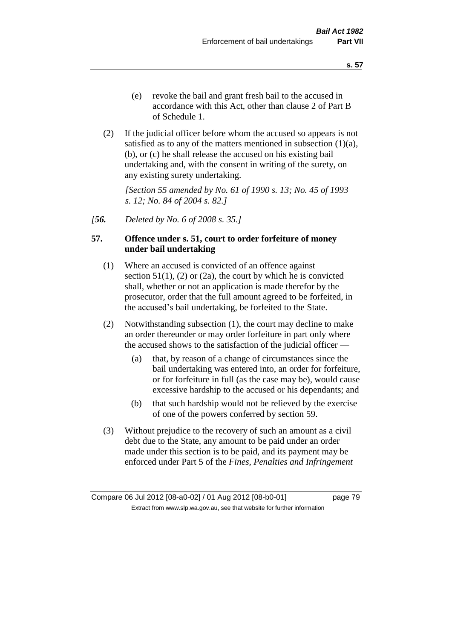(2) If the judicial officer before whom the accused so appears is not satisfied as to any of the matters mentioned in subsection  $(1)(a)$ , (b), or (c) he shall release the accused on his existing bail undertaking and, with the consent in writing of the surety, on any existing surety undertaking.

*[Section 55 amended by No. 61 of 1990 s. 13; No. 45 of 1993 s. 12; No. 84 of 2004 s. 82.]* 

*[56. Deleted by No. 6 of 2008 s. 35.]*

# **57. Offence under s. 51, court to order forfeiture of money under bail undertaking**

- (1) Where an accused is convicted of an offence against section  $51(1)$ ,  $(2)$  or  $(2a)$ , the court by which he is convicted shall, whether or not an application is made therefor by the prosecutor, order that the full amount agreed to be forfeited, in the accused's bail undertaking, be forfeited to the State.
- (2) Notwithstanding subsection (1), the court may decline to make an order thereunder or may order forfeiture in part only where the accused shows to the satisfaction of the judicial officer —
	- (a) that, by reason of a change of circumstances since the bail undertaking was entered into, an order for forfeiture, or for forfeiture in full (as the case may be), would cause excessive hardship to the accused or his dependants; and
	- (b) that such hardship would not be relieved by the exercise of one of the powers conferred by section 59.
- (3) Without prejudice to the recovery of such an amount as a civil debt due to the State, any amount to be paid under an order made under this section is to be paid, and its payment may be enforced under Part 5 of the *Fines, Penalties and Infringement*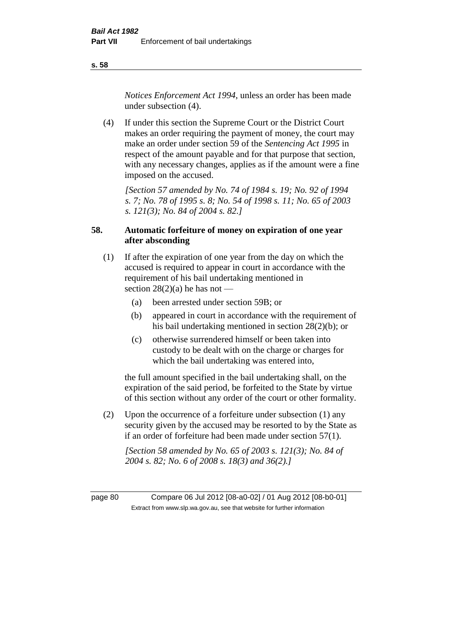*Notices Enforcement Act 1994*, unless an order has been made under subsection (4).

(4) If under this section the Supreme Court or the District Court makes an order requiring the payment of money, the court may make an order under section 59 of the *Sentencing Act 1995* in respect of the amount payable and for that purpose that section, with any necessary changes, applies as if the amount were a fine imposed on the accused.

*[Section 57 amended by No. 74 of 1984 s. 19; No. 92 of 1994 s. 7; No. 78 of 1995 s. 8; No. 54 of 1998 s. 11; No. 65 of 2003 s. 121(3); No. 84 of 2004 s. 82.]* 

# **58. Automatic forfeiture of money on expiration of one year after absconding**

- (1) If after the expiration of one year from the day on which the accused is required to appear in court in accordance with the requirement of his bail undertaking mentioned in section  $28(2)(a)$  he has not —
	- (a) been arrested under section 59B; or
	- (b) appeared in court in accordance with the requirement of his bail undertaking mentioned in section 28(2)(b); or
	- (c) otherwise surrendered himself or been taken into custody to be dealt with on the charge or charges for which the bail undertaking was entered into,

the full amount specified in the bail undertaking shall, on the expiration of the said period, be forfeited to the State by virtue of this section without any order of the court or other formality.

(2) Upon the occurrence of a forfeiture under subsection (1) any security given by the accused may be resorted to by the State as if an order of forfeiture had been made under section 57(1).

*[Section 58 amended by No. 65 of 2003 s. 121(3); No. 84 of 2004 s. 82; No. 6 of 2008 s. 18(3) and 36(2).]*

page 80 Compare 06 Jul 2012 [08-a0-02] / 01 Aug 2012 [08-b0-01] Extract from www.slp.wa.gov.au, see that website for further information

**s. 58**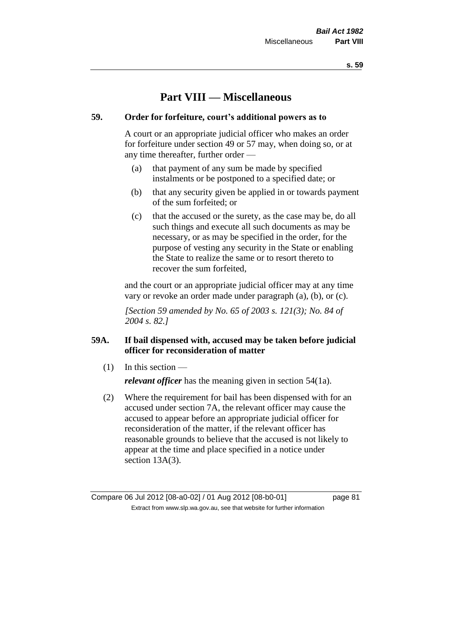# **Part VIII — Miscellaneous**

# **59. Order for forfeiture, court's additional powers as to**

A court or an appropriate judicial officer who makes an order for forfeiture under section 49 or 57 may, when doing so, or at any time thereafter, further order —

- (a) that payment of any sum be made by specified instalments or be postponed to a specified date; or
- (b) that any security given be applied in or towards payment of the sum forfeited; or
- (c) that the accused or the surety, as the case may be, do all such things and execute all such documents as may be necessary, or as may be specified in the order, for the purpose of vesting any security in the State or enabling the State to realize the same or to resort thereto to recover the sum forfeited,

and the court or an appropriate judicial officer may at any time vary or revoke an order made under paragraph (a), (b), or (c).

*[Section 59 amended by No. 65 of 2003 s. 121(3); No. 84 of 2004 s. 82.]*

# **59A. If bail dispensed with, accused may be taken before judicial officer for reconsideration of matter**

(1) In this section —

*relevant officer* has the meaning given in section 54(1a).

(2) Where the requirement for bail has been dispensed with for an accused under section 7A, the relevant officer may cause the accused to appear before an appropriate judicial officer for reconsideration of the matter, if the relevant officer has reasonable grounds to believe that the accused is not likely to appear at the time and place specified in a notice under section 13A(3).

Compare 06 Jul 2012 [08-a0-02] / 01 Aug 2012 [08-b0-01] page 81 Extract from www.slp.wa.gov.au, see that website for further information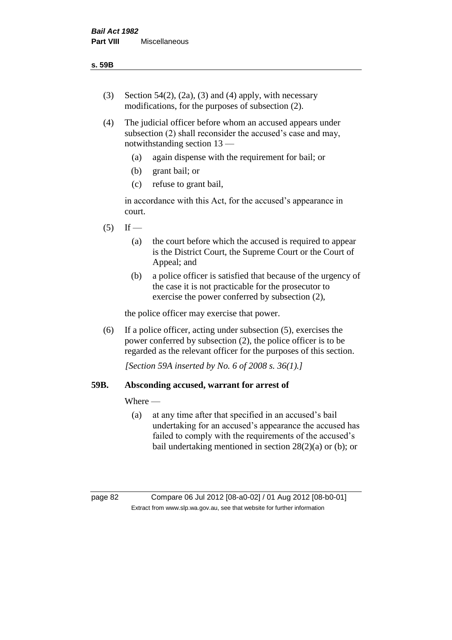- (3) Section 54(2), (2a), (3) and (4) apply, with necessary modifications, for the purposes of subsection (2).
- (4) The judicial officer before whom an accused appears under subsection (2) shall reconsider the accused's case and may, notwithstanding section 13 —
	- (a) again dispense with the requirement for bail; or
	- (b) grant bail; or
	- (c) refuse to grant bail,

in accordance with this Act, for the accused's appearance in court.

- $(5)$  If
	- (a) the court before which the accused is required to appear is the District Court, the Supreme Court or the Court of Appeal; and
	- (b) a police officer is satisfied that because of the urgency of the case it is not practicable for the prosecutor to exercise the power conferred by subsection (2),

the police officer may exercise that power.

(6) If a police officer, acting under subsection (5), exercises the power conferred by subsection (2), the police officer is to be regarded as the relevant officer for the purposes of this section.

*[Section 59A inserted by No. 6 of 2008 s. 36(1).]*

# **59B. Absconding accused, warrant for arrest of**

Where —

(a) at any time after that specified in an accused's bail undertaking for an accused's appearance the accused has failed to comply with the requirements of the accused's bail undertaking mentioned in section 28(2)(a) or (b); or

page 82 Compare 06 Jul 2012 [08-a0-02] / 01 Aug 2012 [08-b0-01] Extract from www.slp.wa.gov.au, see that website for further information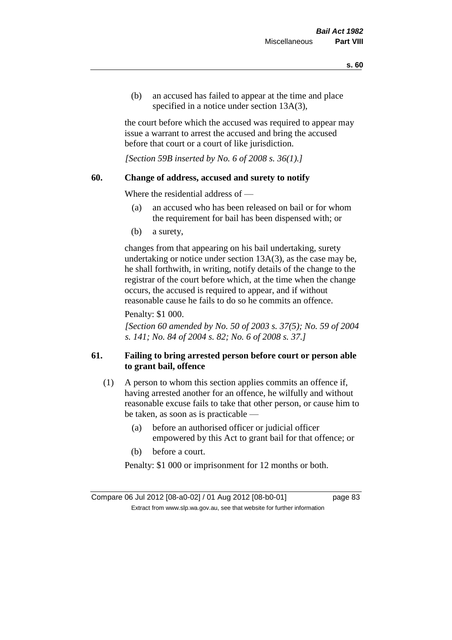(b) an accused has failed to appear at the time and place specified in a notice under section 13A(3).

the court before which the accused was required to appear may issue a warrant to arrest the accused and bring the accused before that court or a court of like jurisdiction.

*[Section 59B inserted by No. 6 of 2008 s. 36(1).]*

## **60. Change of address, accused and surety to notify**

Where the residential address of —

- (a) an accused who has been released on bail or for whom the requirement for bail has been dispensed with; or
- (b) a surety,

changes from that appearing on his bail undertaking, surety undertaking or notice under section 13A(3), as the case may be, he shall forthwith, in writing, notify details of the change to the registrar of the court before which, at the time when the change occurs, the accused is required to appear, and if without reasonable cause he fails to do so he commits an offence.

Penalty: \$1 000.

*[Section 60 amended by No. 50 of 2003 s. 37(5); No. 59 of 2004 s. 141; No. 84 of 2004 s. 82; No. 6 of 2008 s. 37.]*

# **61. Failing to bring arrested person before court or person able to grant bail, offence**

- (1) A person to whom this section applies commits an offence if, having arrested another for an offence, he wilfully and without reasonable excuse fails to take that other person, or cause him to be taken, as soon as is practicable —
	- (a) before an authorised officer or judicial officer empowered by this Act to grant bail for that offence; or
	- (b) before a court.

Penalty: \$1 000 or imprisonment for 12 months or both.

Compare 06 Jul 2012 [08-a0-02] / 01 Aug 2012 [08-b0-01] page 83 Extract from www.slp.wa.gov.au, see that website for further information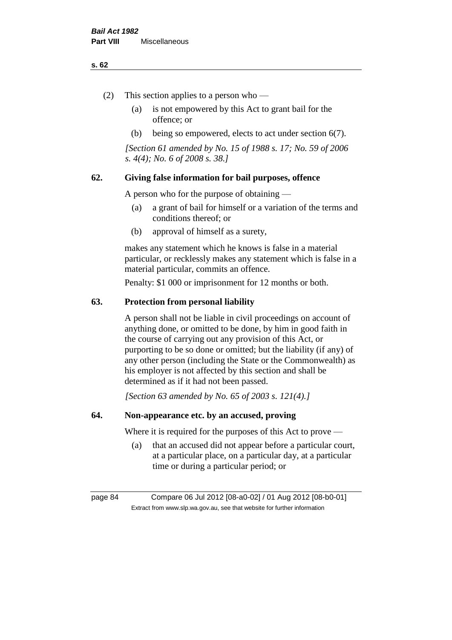#### **s. 62**

- (2) This section applies to a person who
	- (a) is not empowered by this Act to grant bail for the offence; or
	- (b) being so empowered, elects to act under section 6(7).

*[Section 61 amended by No. 15 of 1988 s. 17; No. 59 of 2006 s. 4(4); No. 6 of 2008 s. 38.]* 

# **62. Giving false information for bail purposes, offence**

A person who for the purpose of obtaining —

- (a) a grant of bail for himself or a variation of the terms and conditions thereof; or
- (b) approval of himself as a surety,

makes any statement which he knows is false in a material particular, or recklessly makes any statement which is false in a material particular, commits an offence.

Penalty: \$1 000 or imprisonment for 12 months or both.

#### **63. Protection from personal liability**

A person shall not be liable in civil proceedings on account of anything done, or omitted to be done, by him in good faith in the course of carrying out any provision of this Act, or purporting to be so done or omitted; but the liability (if any) of any other person (including the State or the Commonwealth) as his employer is not affected by this section and shall be determined as if it had not been passed.

*[Section 63 amended by No. 65 of 2003 s. 121(4).]*

# **64. Non-appearance etc. by an accused, proving**

Where it is required for the purposes of this Act to prove —

(a) that an accused did not appear before a particular court, at a particular place, on a particular day, at a particular time or during a particular period; or

page 84 Compare 06 Jul 2012 [08-a0-02] / 01 Aug 2012 [08-b0-01] Extract from www.slp.wa.gov.au, see that website for further information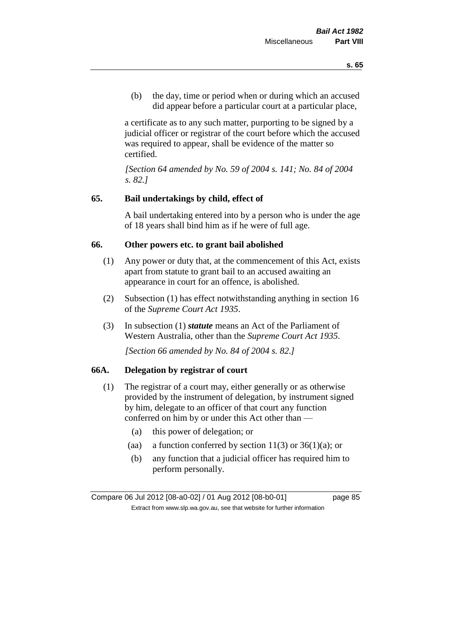(b) the day, time or period when or during which an accused did appear before a particular court at a particular place,

a certificate as to any such matter, purporting to be signed by a judicial officer or registrar of the court before which the accused was required to appear, shall be evidence of the matter so certified.

*[Section 64 amended by No. 59 of 2004 s. 141; No. 84 of 2004 s. 82.]* 

# **65. Bail undertakings by child, effect of**

A bail undertaking entered into by a person who is under the age of 18 years shall bind him as if he were of full age.

#### **66. Other powers etc. to grant bail abolished**

- (1) Any power or duty that, at the commencement of this Act, exists apart from statute to grant bail to an accused awaiting an appearance in court for an offence, is abolished.
- (2) Subsection (1) has effect notwithstanding anything in section 16 of the *Supreme Court Act 1935*.
- (3) In subsection (1) *statute* means an Act of the Parliament of Western Australia, other than the *Supreme Court Act 1935*.

*[Section 66 amended by No. 84 of 2004 s. 82.]*

## **66A. Delegation by registrar of court**

- (1) The registrar of a court may, either generally or as otherwise provided by the instrument of delegation, by instrument signed by him, delegate to an officer of that court any function conferred on him by or under this Act other than —
	- (a) this power of delegation; or
	- (aa) a function conferred by section  $11(3)$  or  $36(1)(a)$ ; or
	- (b) any function that a judicial officer has required him to perform personally.

Compare 06 Jul 2012 [08-a0-02] / 01 Aug 2012 [08-b0-01] page 85 Extract from www.slp.wa.gov.au, see that website for further information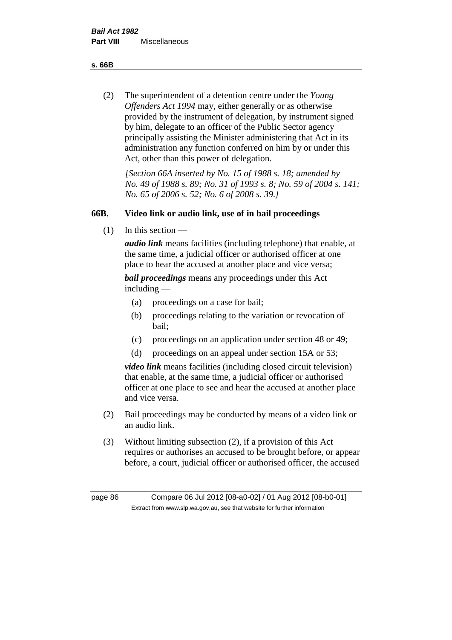**s. 66B**

(2) The superintendent of a detention centre under the *Young Offenders Act 1994* may, either generally or as otherwise provided by the instrument of delegation, by instrument signed by him, delegate to an officer of the Public Sector agency principally assisting the Minister administering that Act in its administration any function conferred on him by or under this Act, other than this power of delegation.

*[Section 66A inserted by No. 15 of 1988 s. 18; amended by No. 49 of 1988 s. 89; No. 31 of 1993 s. 8; No. 59 of 2004 s. 141; No. 65 of 2006 s. 52; No. 6 of 2008 s. 39.]* 

# **66B. Video link or audio link, use of in bail proceedings**

(1) In this section —

*audio link* means facilities (including telephone) that enable, at the same time, a judicial officer or authorised officer at one place to hear the accused at another place and vice versa;

*bail proceedings* means any proceedings under this Act including —

- (a) proceedings on a case for bail;
- (b) proceedings relating to the variation or revocation of bail;
- (c) proceedings on an application under section 48 or 49;
- (d) proceedings on an appeal under section 15A or 53;

*video link* means facilities (including closed circuit television) that enable, at the same time, a judicial officer or authorised officer at one place to see and hear the accused at another place and vice versa.

- (2) Bail proceedings may be conducted by means of a video link or an audio link.
- (3) Without limiting subsection (2), if a provision of this Act requires or authorises an accused to be brought before, or appear before, a court, judicial officer or authorised officer, the accused

page 86 Compare 06 Jul 2012 [08-a0-02] / 01 Aug 2012 [08-b0-01] Extract from www.slp.wa.gov.au, see that website for further information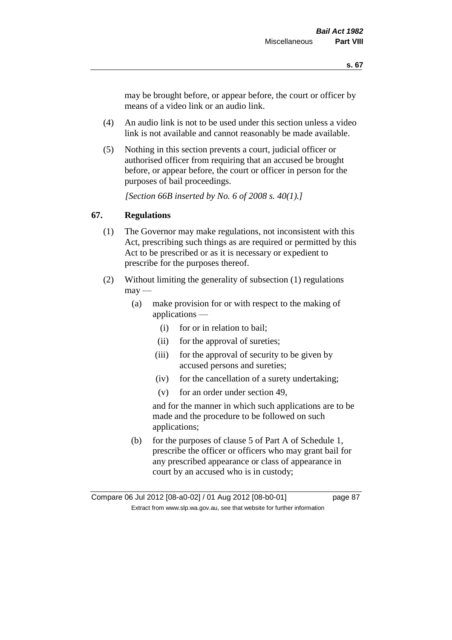may be brought before, or appear before, the court or officer by means of a video link or an audio link.

- (4) An audio link is not to be used under this section unless a video link is not available and cannot reasonably be made available.
- (5) Nothing in this section prevents a court, judicial officer or authorised officer from requiring that an accused be brought before, or appear before, the court or officer in person for the purposes of bail proceedings.

*[Section 66B inserted by No. 6 of 2008 s. 40(1).]*

# **67. Regulations**

- (1) The Governor may make regulations, not inconsistent with this Act, prescribing such things as are required or permitted by this Act to be prescribed or as it is necessary or expedient to prescribe for the purposes thereof.
- (2) Without limiting the generality of subsection (1) regulations  $\text{max}$  —
	- (a) make provision for or with respect to the making of applications —
		- (i) for or in relation to bail;
		- (ii) for the approval of sureties;
		- (iii) for the approval of security to be given by accused persons and sureties;
		- (iv) for the cancellation of a surety undertaking;
		- (v) for an order under section 49,

and for the manner in which such applications are to be made and the procedure to be followed on such applications;

(b) for the purposes of clause 5 of Part A of Schedule 1, prescribe the officer or officers who may grant bail for any prescribed appearance or class of appearance in court by an accused who is in custody;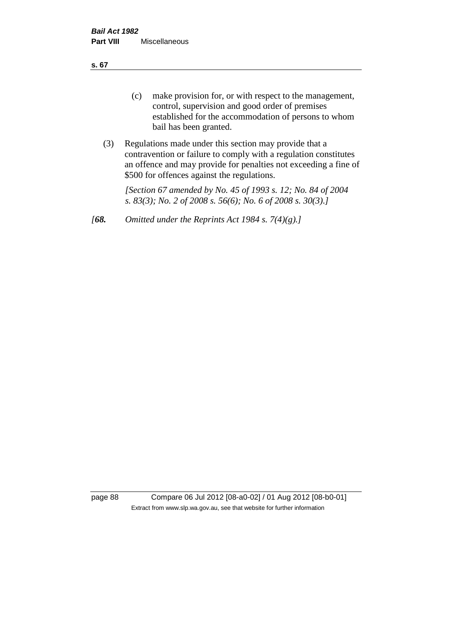**s. 67**

- (c) make provision for, or with respect to the management, control, supervision and good order of premises established for the accommodation of persons to whom bail has been granted.
- (3) Regulations made under this section may provide that a contravention or failure to comply with a regulation constitutes an offence and may provide for penalties not exceeding a fine of \$500 for offences against the regulations.

*[Section 67 amended by No. 45 of 1993 s. 12; No. 84 of 2004 s. 83(3); No. 2 of 2008 s. 56(6); No. 6 of 2008 s. 30(3).]* 

*[68. Omitted under the Reprints Act 1984 s. 7(4)(g).]*

page 88 Compare 06 Jul 2012 [08-a0-02] / 01 Aug 2012 [08-b0-01] Extract from www.slp.wa.gov.au, see that website for further information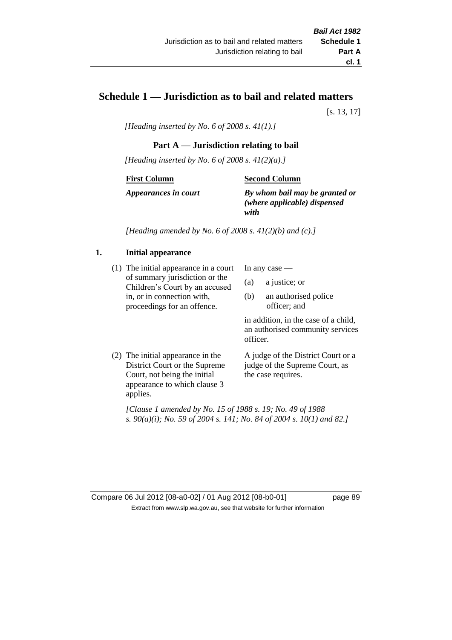# **Schedule 1 — Jurisdiction as to bail and related matters**

[s. 13, 17]

*[Heading inserted by No. 6 of 2008 s. 41(1).]*

# **Part A** — **Jurisdiction relating to bail**

*[Heading inserted by No. 6 of 2008 s. 41(2)(a).]*

#### **First Column**

#### **Second Column**

*Appearances in court*

*By whom bail may be granted or (where applicable) dispensed with*

*[Heading amended by No. 6 of 2008 s. 41(2)(b) and (c).]*

# **1. Initial appearance**

(1) The initial appearance in a court of summary jurisdiction or the Children's Court by an accused in, or in connection with, proceedings for an offence.

In any case —

- (a) a justice; or
- (b) an authorised police officer; and

in addition, in the case of a child, an authorised community services officer.

(2) The initial appearance in the District Court or the Supreme Court, not being the initial appearance to which clause 3 applies. A judge of the District Court or a

judge of the Supreme Court, as the case requires.

*[Clause 1 amended by No. 15 of 1988 s. 19; No. 49 of 1988 s. 90(a)(i); No. 59 of 2004 s. 141; No. 84 of 2004 s. 10(1) and 82.]*

Compare 06 Jul 2012 [08-a0-02] / 01 Aug 2012 [08-b0-01] page 89 Extract from www.slp.wa.gov.au, see that website for further information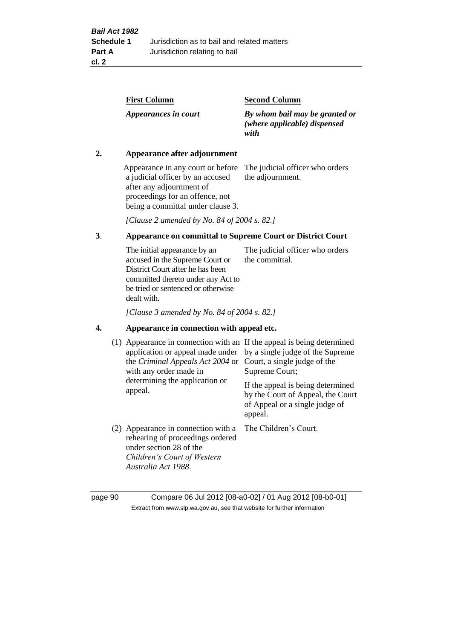| <b>First Column</b>  | <b>Second Column</b>                                                   |
|----------------------|------------------------------------------------------------------------|
| Appearances in court | By whom bail may be granted or<br>(where applicable) dispensed<br>with |

## **2. Appearance after adjournment**

Appearance in any court or before The judicial officer who orders a judicial officer by an accused after any adjournment of proceedings for an offence, not being a committal under clause 3.

the adjournment.

*[Clause 2 amended by No. 84 of 2004 s. 82.]*

# **3**. **Appearance on committal to Supreme Court or District Court**

The initial appearance by an accused in the Supreme Court or District Court after he has been committed thereto under any Act to be tried or sentenced or otherwise dealt with. The judicial officer who orders the committal.

*[Clause 3 amended by No. 84 of 2004 s. 82.]*

#### **4. Appearance in connection with appeal etc.**

| (1) Appearance in connection with an If the appeal is being determined<br>application or appeal made under<br>the <i>Criminal Appeals Act 2004</i> or<br>with any order made in<br>determining the application or<br>appeal. | by a single judge of the Supreme<br>Court, a single judge of the<br>Supreme Court;<br>If the appeal is being determined<br>by the Court of Appeal, the Court<br>of Appeal or a single judge of<br>appeal. |
|------------------------------------------------------------------------------------------------------------------------------------------------------------------------------------------------------------------------------|-----------------------------------------------------------------------------------------------------------------------------------------------------------------------------------------------------------|
| (2) Appearance in connection with a<br>rehearing of proceedings ordered<br>under section 28 of the<br>Children's Court of Western<br>Australia Act 1988.                                                                     | The Children's Court.                                                                                                                                                                                     |

page 90 Compare 06 Jul 2012 [08-a0-02] / 01 Aug 2012 [08-b0-01] Extract from www.slp.wa.gov.au, see that website for further information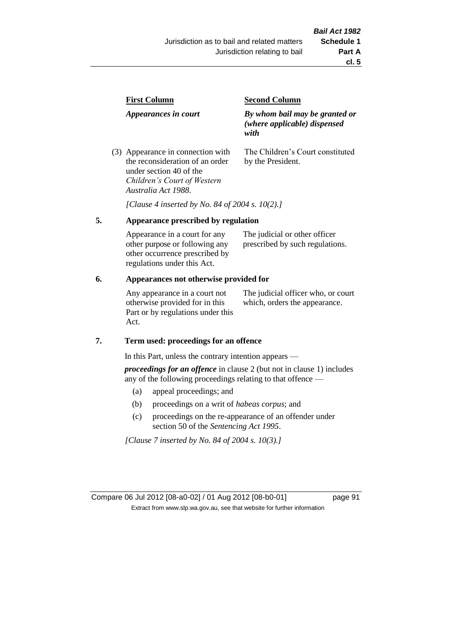| <b>First Column</b>                                                  | <b>Second Column</b>                                                   |  |
|----------------------------------------------------------------------|------------------------------------------------------------------------|--|
| Appearances in court                                                 | By whom bail may be granted or<br>(where applicable) dispensed<br>with |  |
| (3) Appearance in connection with<br>the reconsideration of an order | The Children's Court constituted<br>by the President.                  |  |

*[Clause 4 inserted by No. 84 of 2004 s. 10(2).]*

# **5. Appearance prescribed by regulation**

under section 40 of the *Children's Court of Western* 

*Australia Act 1988*.

| Appearance in a court for any  | The judicial or other officer   |
|--------------------------------|---------------------------------|
| other purpose or following any | prescribed by such regulations. |
| other occurrence prescribed by |                                 |
| regulations under this Act.    |                                 |

#### **6. Appearances not otherwise provided for**

Any appearance in a court not otherwise provided for in this Part or by regulations under this Act.

The judicial officer who, or court which, orders the appearance.

#### **7. Term used: proceedings for an offence**

In this Part, unless the contrary intention appears —

*proceedings for an offence* in clause 2 (but not in clause 1) includes any of the following proceedings relating to that offence —

- (a) appeal proceedings; and
- (b) proceedings on a writ of *habeas corpus*; and
- (c) proceedings on the re-appearance of an offender under section 50 of the *Sentencing Act 1995*.

*[Clause 7 inserted by No. 84 of 2004 s. 10(3).]*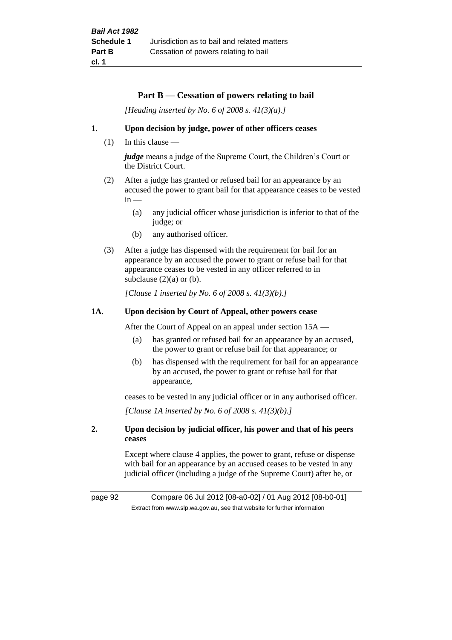#### **Part B** — **Cessation of powers relating to bail**

*[Heading inserted by No. 6 of 2008 s. 41(3)(a).]*

#### **1. Upon decision by judge, power of other officers ceases**

 $(1)$  In this clause —

*judge* means a judge of the Supreme Court, the Children's Court or the District Court.

- (2) After a judge has granted or refused bail for an appearance by an accused the power to grant bail for that appearance ceases to be vested  $in -$ 
	- (a) any judicial officer whose jurisdiction is inferior to that of the judge; or
	- (b) any authorised officer.
- (3) After a judge has dispensed with the requirement for bail for an appearance by an accused the power to grant or refuse bail for that appearance ceases to be vested in any officer referred to in subclause  $(2)(a)$  or  $(b)$ .

*[Clause 1 inserted by No. 6 of 2008 s. 41(3)(b).]*

#### **1A. Upon decision by Court of Appeal, other powers cease**

After the Court of Appeal on an appeal under section 15A —

- (a) has granted or refused bail for an appearance by an accused, the power to grant or refuse bail for that appearance; or
- (b) has dispensed with the requirement for bail for an appearance by an accused, the power to grant or refuse bail for that appearance,

ceases to be vested in any judicial officer or in any authorised officer.

*[Clause 1A inserted by No. 6 of 2008 s. 41(3)(b).]*

#### **2. Upon decision by judicial officer, his power and that of his peers ceases**

Except where clause 4 applies, the power to grant, refuse or dispense with bail for an appearance by an accused ceases to be vested in any judicial officer (including a judge of the Supreme Court) after he, or

page 92 Compare 06 Jul 2012 [08-a0-02] / 01 Aug 2012 [08-b0-01] Extract from www.slp.wa.gov.au, see that website for further information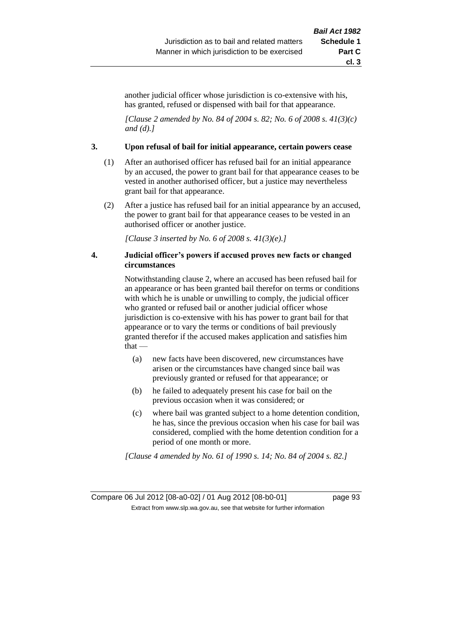another judicial officer whose jurisdiction is co-extensive with his, has granted, refused or dispensed with bail for that appearance.

*[Clause 2 amended by No. 84 of 2004 s. 82; No. 6 of 2008 s. 41(3)(c) and (d).]*

#### **3. Upon refusal of bail for initial appearance, certain powers cease**

- (1) After an authorised officer has refused bail for an initial appearance by an accused, the power to grant bail for that appearance ceases to be vested in another authorised officer, but a justice may nevertheless grant bail for that appearance.
- (2) After a justice has refused bail for an initial appearance by an accused, the power to grant bail for that appearance ceases to be vested in an authorised officer or another justice.

*[Clause 3 inserted by No. 6 of 2008 s. 41(3)(e).]*

#### **4. Judicial officer's powers if accused proves new facts or changed circumstances**

Notwithstanding clause 2, where an accused has been refused bail for an appearance or has been granted bail therefor on terms or conditions with which he is unable or unwilling to comply, the judicial officer who granted or refused bail or another judicial officer whose jurisdiction is co-extensive with his has power to grant bail for that appearance or to vary the terms or conditions of bail previously granted therefor if the accused makes application and satisfies him that —

- (a) new facts have been discovered, new circumstances have arisen or the circumstances have changed since bail was previously granted or refused for that appearance; or
- (b) he failed to adequately present his case for bail on the previous occasion when it was considered; or
- (c) where bail was granted subject to a home detention condition, he has, since the previous occasion when his case for bail was considered, complied with the home detention condition for a period of one month or more.

*[Clause 4 amended by No. 61 of 1990 s. 14; No. 84 of 2004 s. 82.]*

Compare 06 Jul 2012 [08-a0-02] / 01 Aug 2012 [08-b0-01] page 93 Extract from www.slp.wa.gov.au, see that website for further information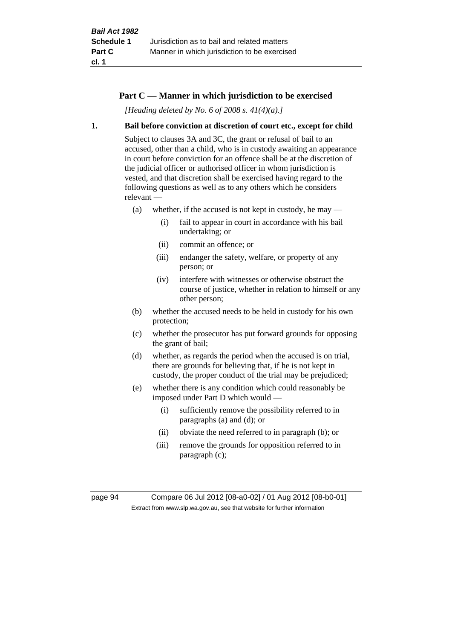## **Part C — Manner in which jurisdiction to be exercised**

*[Heading deleted by No. 6 of 2008 s. 41(4)(a).]*

#### **1. Bail before conviction at discretion of court etc., except for child**

Subject to clauses 3A and 3C, the grant or refusal of bail to an accused, other than a child, who is in custody awaiting an appearance in court before conviction for an offence shall be at the discretion of the judicial officer or authorised officer in whom jurisdiction is vested, and that discretion shall be exercised having regard to the following questions as well as to any others which he considers relevant —

- (a) whether, if the accused is not kept in custody, he may
	- (i) fail to appear in court in accordance with his bail undertaking; or
	- (ii) commit an offence; or
	- (iii) endanger the safety, welfare, or property of any person; or
	- (iv) interfere with witnesses or otherwise obstruct the course of justice, whether in relation to himself or any other person;
- (b) whether the accused needs to be held in custody for his own protection;
- (c) whether the prosecutor has put forward grounds for opposing the grant of bail;
- (d) whether, as regards the period when the accused is on trial, there are grounds for believing that, if he is not kept in custody, the proper conduct of the trial may be prejudiced;
- (e) whether there is any condition which could reasonably be imposed under Part D which would —
	- (i) sufficiently remove the possibility referred to in paragraphs (a) and (d); or
	- (ii) obviate the need referred to in paragraph (b); or
	- (iii) remove the grounds for opposition referred to in paragraph (c);

page 94 Compare 06 Jul 2012 [08-a0-02] / 01 Aug 2012 [08-b0-01] Extract from www.slp.wa.gov.au, see that website for further information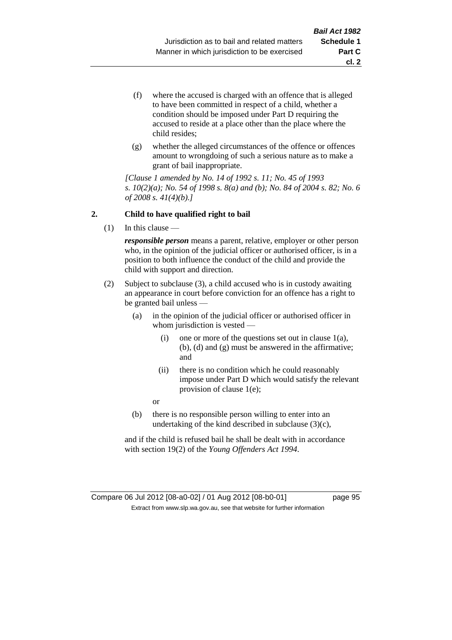- (f) where the accused is charged with an offence that is alleged to have been committed in respect of a child, whether a condition should be imposed under Part D requiring the accused to reside at a place other than the place where the child resides;
- (g) whether the alleged circumstances of the offence or offences amount to wrongdoing of such a serious nature as to make a grant of bail inappropriate.

*[Clause 1 amended by No. 14 of 1992 s. 11; No. 45 of 1993 s. 10(2)(a); No. 54 of 1998 s. 8(a) and (b); No. 84 of 2004 s. 82; No. 6 of 2008 s. 41(4)(b).]*

## **2. Child to have qualified right to bail**

(1) In this clause —

*responsible person* means a parent, relative, employer or other person who, in the opinion of the judicial officer or authorised officer, is in a position to both influence the conduct of the child and provide the child with support and direction.

- (2) Subject to subclause (3), a child accused who is in custody awaiting an appearance in court before conviction for an offence has a right to be granted bail unless —
	- (a) in the opinion of the judicial officer or authorised officer in whom jurisdiction is vested —
		- (i) one or more of the questions set out in clause 1(a), (b), (d) and (g) must be answered in the affirmative; and
		- (ii) there is no condition which he could reasonably impose under Part D which would satisfy the relevant provision of clause 1(e);
		- or
	- (b) there is no responsible person willing to enter into an undertaking of the kind described in subclause (3)(c),

and if the child is refused bail he shall be dealt with in accordance with section 19(2) of the *Young Offenders Act 1994*.

Compare 06 Jul 2012 [08-a0-02] / 01 Aug 2012 [08-b0-01] page 95 Extract from www.slp.wa.gov.au, see that website for further information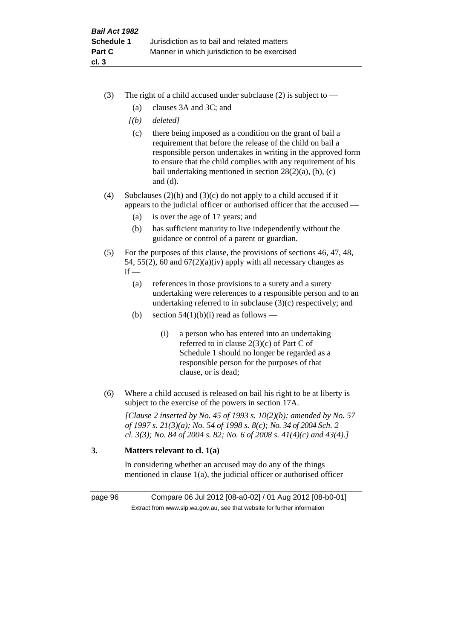- (3) The right of a child accused under subclause (2) is subject to  $-$ 
	- (a) clauses 3A and 3C; and
	- *[(b) deleted]*
	- (c) there being imposed as a condition on the grant of bail a requirement that before the release of the child on bail a responsible person undertakes in writing in the approved form to ensure that the child complies with any requirement of his bail undertaking mentioned in section 28(2)(a), (b), (c) and (d).
- (4) Subclauses (2)(b) and (3)(c) do not apply to a child accused if it appears to the judicial officer or authorised officer that the accused —
	- (a) is over the age of 17 years; and
	- (b) has sufficient maturity to live independently without the guidance or control of a parent or guardian.
- (5) For the purposes of this clause, the provisions of sections 46, 47, 48, 54, 55(2), 60 and  $67(2)(a)(iv)$  apply with all necessary changes as  $if -$ 
	- (a) references in those provisions to a surety and a surety undertaking were references to a responsible person and to an undertaking referred to in subclause (3)(c) respectively; and
	- (b) section  $54(1)(b)(i)$  read as follows
		- (i) a person who has entered into an undertaking referred to in clause 2(3)(c) of Part C of Schedule 1 should no longer be regarded as a responsible person for the purposes of that clause, or is dead;
- (6) Where a child accused is released on bail his right to be at liberty is subject to the exercise of the powers in section 17A.

*[Clause 2 inserted by No. 45 of 1993 s. 10(2)(b); amended by No. 57 of 1997 s. 21(3)(a); No. 54 of 1998 s. 8(c); No. 34 of 2004 Sch. 2 cl. 3(3); No. 84 of 2004 s. 82; No. 6 of 2008 s. 41(4)(c) and 43(4).]*

# **3. Matters relevant to cl. 1(a)**

In considering whether an accused may do any of the things mentioned in clause 1(a), the judicial officer or authorised officer

page 96 Compare 06 Jul 2012 [08-a0-02] / 01 Aug 2012 [08-b0-01] Extract from www.slp.wa.gov.au, see that website for further information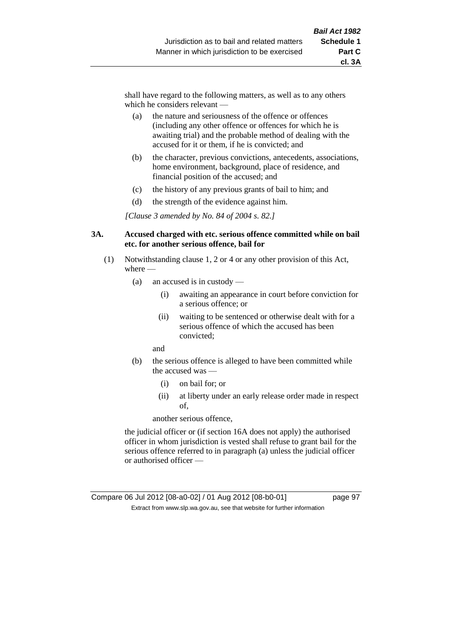shall have regard to the following matters, as well as to any others which he considers relevant —

- (a) the nature and seriousness of the offence or offences (including any other offence or offences for which he is awaiting trial) and the probable method of dealing with the accused for it or them, if he is convicted; and
- (b) the character, previous convictions, antecedents, associations, home environment, background, place of residence, and financial position of the accused; and
- (c) the history of any previous grants of bail to him; and
- (d) the strength of the evidence against him.

*[Clause 3 amended by No. 84 of 2004 s. 82.]*

#### **3A. Accused charged with etc. serious offence committed while on bail etc. for another serious offence, bail for**

- (1) Notwithstanding clause 1, 2 or 4 or any other provision of this Act, where —
	- (a) an accused is in custody
		- (i) awaiting an appearance in court before conviction for a serious offence; or
		- (ii) waiting to be sentenced or otherwise dealt with for a serious offence of which the accused has been convicted;

and

- (b) the serious offence is alleged to have been committed while the accused was —
	- (i) on bail for; or
	- (ii) at liberty under an early release order made in respect of,

another serious offence,

the judicial officer or (if section 16A does not apply) the authorised officer in whom jurisdiction is vested shall refuse to grant bail for the serious offence referred to in paragraph (a) unless the judicial officer or authorised officer —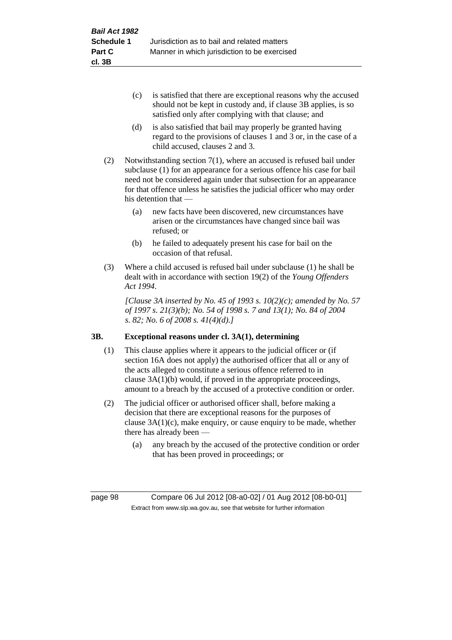- (c) is satisfied that there are exceptional reasons why the accused should not be kept in custody and, if clause 3B applies, is so satisfied only after complying with that clause; and
- (d) is also satisfied that bail may properly be granted having regard to the provisions of clauses 1 and 3 or, in the case of a child accused, clauses 2 and 3.
- (2) Notwithstanding section 7(1), where an accused is refused bail under subclause (1) for an appearance for a serious offence his case for bail need not be considered again under that subsection for an appearance for that offence unless he satisfies the judicial officer who may order his detention that —
	- (a) new facts have been discovered, new circumstances have arisen or the circumstances have changed since bail was refused; or
	- (b) he failed to adequately present his case for bail on the occasion of that refusal.
- (3) Where a child accused is refused bail under subclause (1) he shall be dealt with in accordance with section 19(2) of the *Young Offenders Act 1994*.

*[Clause 3A inserted by No. 45 of 1993 s. 10(2)(c); amended by No. 57 of 1997 s. 21(3)(b); No. 54 of 1998 s. 7 and 13(1); No. 84 of 2004 s. 82; No. 6 of 2008 s. 41(4)(d).]*

# **3B. Exceptional reasons under cl. 3A(1), determining**

- (1) This clause applies where it appears to the judicial officer or (if section 16A does not apply) the authorised officer that all or any of the acts alleged to constitute a serious offence referred to in clause 3A(1)(b) would, if proved in the appropriate proceedings, amount to a breach by the accused of a protective condition or order.
- (2) The judicial officer or authorised officer shall, before making a decision that there are exceptional reasons for the purposes of clause  $3A(1)(c)$ , make enquiry, or cause enquiry to be made, whether there has already been —
	- (a) any breach by the accused of the protective condition or order that has been proved in proceedings; or

page 98 Compare 06 Jul 2012 [08-a0-02] / 01 Aug 2012 [08-b0-01] Extract from www.slp.wa.gov.au, see that website for further information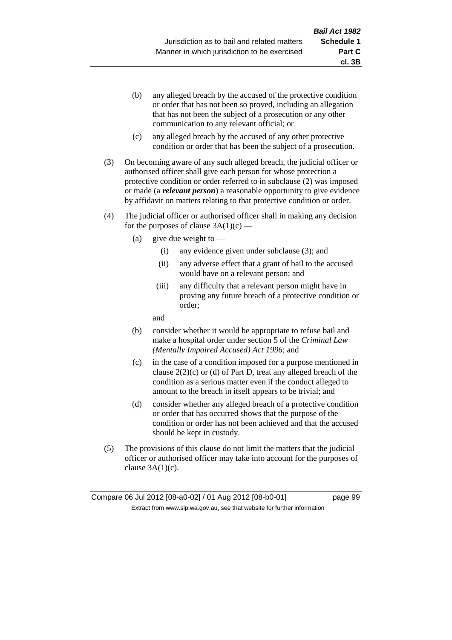- (b) any alleged breach by the accused of the protective condition or order that has not been so proved, including an allegation that has not been the subject of a prosecution or any other communication to any relevant official; or
- (c) any alleged breach by the accused of any other protective condition or order that has been the subject of a prosecution.
- (3) On becoming aware of any such alleged breach, the judicial officer or authorised officer shall give each person for whose protection a protective condition or order referred to in subclause (2) was imposed or made (a *relevant person*) a reasonable opportunity to give evidence by affidavit on matters relating to that protective condition or order.
- (4) The judicial officer or authorised officer shall in making any decision for the purposes of clause  $3A(1)(c)$  —
	- (a) give due weight to  $-$ 
		- (i) any evidence given under subclause (3); and
		- (ii) any adverse effect that a grant of bail to the accused would have on a relevant person; and
		- (iii) any difficulty that a relevant person might have in proving any future breach of a protective condition or order;

and

- (b) consider whether it would be appropriate to refuse bail and make a hospital order under section 5 of the *Criminal Law (Mentally Impaired Accused) Act 1996*; and
- (c) in the case of a condition imposed for a purpose mentioned in clause 2(2)(c) or (d) of Part D, treat any alleged breach of the condition as a serious matter even if the conduct alleged to amount to the breach in itself appears to be trivial; and
- (d) consider whether any alleged breach of a protective condition or order that has occurred shows that the purpose of the condition or order has not been achieved and that the accused should be kept in custody.
- (5) The provisions of this clause do not limit the matters that the judicial officer or authorised officer may take into account for the purposes of clause  $3A(1)(c)$ .

**cl. 3B**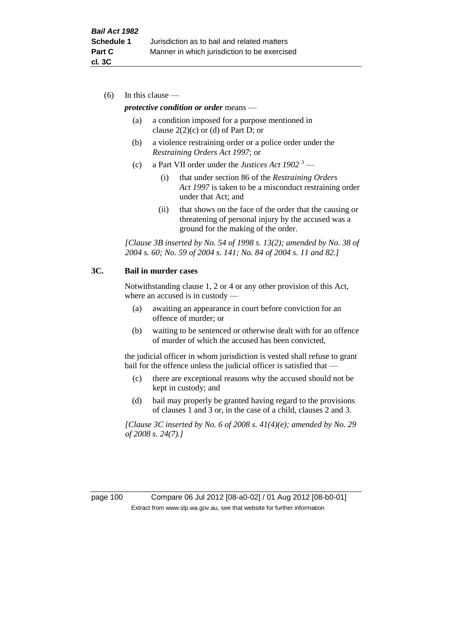(6) In this clause —

#### *protective condition or order* means —

- (a) a condition imposed for a purpose mentioned in clause  $2(2)(c)$  or (d) of Part D; or
- (b) a violence restraining order or a police order under the *Restraining Orders Act 1997*; or
- (c) a Part VII order under the *Justices Act 1902* <sup>3</sup>
	- (i) that under section 86 of the *Restraining Orders Act 1997* is taken to be a misconduct restraining order under that Act; and
	- (ii) that shows on the face of the order that the causing or threatening of personal injury by the accused was a ground for the making of the order.

*[Clause 3B inserted by No. 54 of 1998 s. 13(2); amended by No. 38 of 2004 s. 60; No. 59 of 2004 s. 141; No. 84 of 2004 s. 11 and 82.]*

#### **3C. Bail in murder cases**

Notwithstanding clause 1, 2 or 4 or any other provision of this Act, where an accused is in custody —

- (a) awaiting an appearance in court before conviction for an offence of murder; or
- (b) waiting to be sentenced or otherwise dealt with for an offence of murder of which the accused has been convicted,

the judicial officer in whom jurisdiction is vested shall refuse to grant bail for the offence unless the judicial officer is satisfied that -

- (c) there are exceptional reasons why the accused should not be kept in custody; and
- (d) bail may properly be granted having regard to the provisions of clauses 1 and 3 or, in the case of a child, clauses 2 and 3.

*[Clause 3C inserted by No. 6 of 2008 s. 41(4)(e); amended by No. 29 of 2008 s. 24(7).]*

page 100 Compare 06 Jul 2012 [08-a0-02] / 01 Aug 2012 [08-b0-01] Extract from www.slp.wa.gov.au, see that website for further information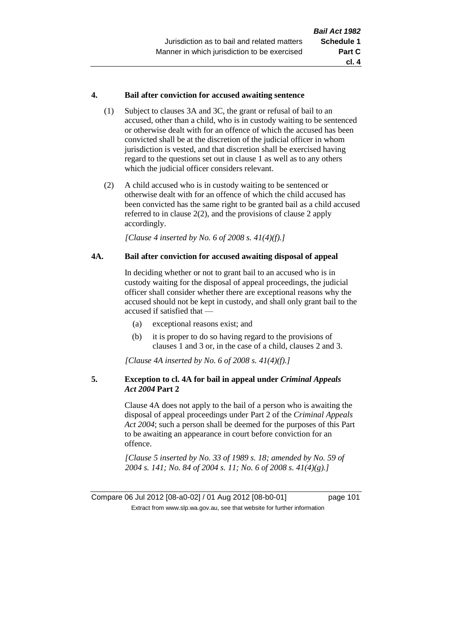## **4. Bail after conviction for accused awaiting sentence**

- (1) Subject to clauses 3A and 3C, the grant or refusal of bail to an accused, other than a child, who is in custody waiting to be sentenced or otherwise dealt with for an offence of which the accused has been convicted shall be at the discretion of the judicial officer in whom jurisdiction is vested, and that discretion shall be exercised having regard to the questions set out in clause 1 as well as to any others which the judicial officer considers relevant.
- (2) A child accused who is in custody waiting to be sentenced or otherwise dealt with for an offence of which the child accused has been convicted has the same right to be granted bail as a child accused referred to in clause 2(2), and the provisions of clause 2 apply accordingly.

*[Clause 4 inserted by No. 6 of 2008 s. 41(4)(f).]*

#### **4A. Bail after conviction for accused awaiting disposal of appeal**

In deciding whether or not to grant bail to an accused who is in custody waiting for the disposal of appeal proceedings, the judicial officer shall consider whether there are exceptional reasons why the accused should not be kept in custody, and shall only grant bail to the accused if satisfied that —

- (a) exceptional reasons exist; and
- (b) it is proper to do so having regard to the provisions of clauses 1 and 3 or, in the case of a child, clauses 2 and 3.

*[Clause 4A inserted by No. 6 of 2008 s. 41(4)(f).]*

## **5. Exception to cl. 4A for bail in appeal under** *Criminal Appeals Act 2004* **Part 2**

Clause 4A does not apply to the bail of a person who is awaiting the disposal of appeal proceedings under Part 2 of the *Criminal Appeals Act 2004*; such a person shall be deemed for the purposes of this Part to be awaiting an appearance in court before conviction for an offence.

*[Clause 5 inserted by No. 33 of 1989 s. 18; amended by No. 59 of 2004 s. 141; No. 84 of 2004 s. 11; No. 6 of 2008 s. 41(4)(g).]*

Compare 06 Jul 2012 [08-a0-02] / 01 Aug 2012 [08-b0-01] page 101 Extract from www.slp.wa.gov.au, see that website for further information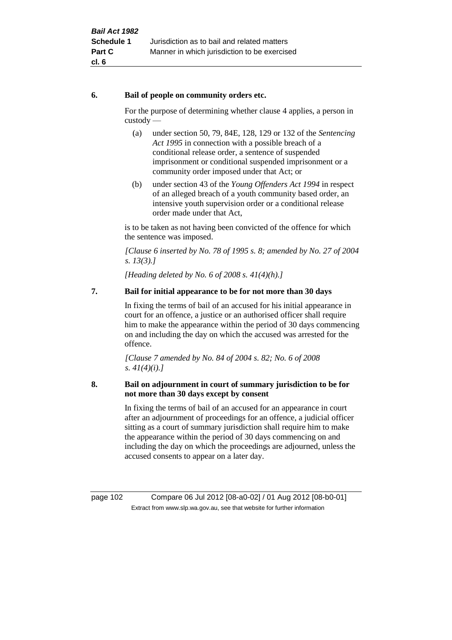## **6. Bail of people on community orders etc.**

For the purpose of determining whether clause 4 applies, a person in custody —

- (a) under section 50, 79, 84E, 128, 129 or 132 of the *Sentencing Act 1995* in connection with a possible breach of a conditional release order, a sentence of suspended imprisonment or conditional suspended imprisonment or a community order imposed under that Act; or
- (b) under section 43 of the *Young Offenders Act 1994* in respect of an alleged breach of a youth community based order, an intensive youth supervision order or a conditional release order made under that Act,

is to be taken as not having been convicted of the offence for which the sentence was imposed.

*[Clause 6 inserted by No. 78 of 1995 s. 8; amended by No. 27 of 2004 s. 13(3).]*

*[Heading deleted by No. 6 of 2008 s. 41(4)(h).]*

# **7. Bail for initial appearance to be for not more than 30 days**

In fixing the terms of bail of an accused for his initial appearance in court for an offence, a justice or an authorised officer shall require him to make the appearance within the period of 30 days commencing on and including the day on which the accused was arrested for the offence.

*[Clause 7 amended by No. 84 of 2004 s. 82; No. 6 of 2008 s. 41(4)(i).]*

## **8. Bail on adjournment in court of summary jurisdiction to be for not more than 30 days except by consent**

In fixing the terms of bail of an accused for an appearance in court after an adjournment of proceedings for an offence, a judicial officer sitting as a court of summary jurisdiction shall require him to make the appearance within the period of 30 days commencing on and including the day on which the proceedings are adjourned, unless the accused consents to appear on a later day.

page 102 Compare 06 Jul 2012 [08-a0-02] / 01 Aug 2012 [08-b0-01] Extract from www.slp.wa.gov.au, see that website for further information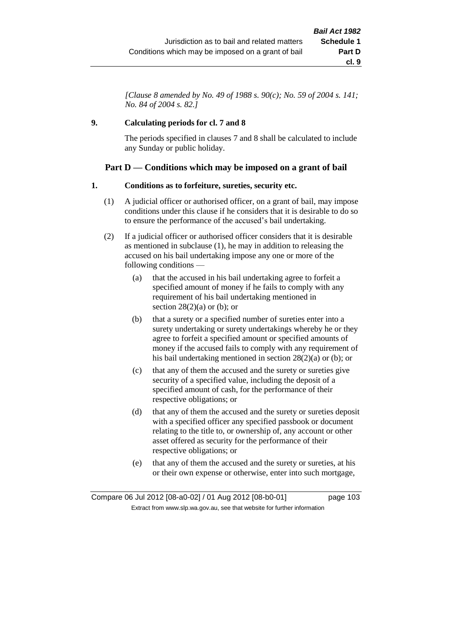*[Clause 8 amended by No. 49 of 1988 s. 90(c); No. 59 of 2004 s. 141; No. 84 of 2004 s. 82.]*

## **9. Calculating periods for cl. 7 and 8**

The periods specified in clauses 7 and 8 shall be calculated to include any Sunday or public holiday.

# **Part D — Conditions which may be imposed on a grant of bail**

## **1. Conditions as to forfeiture, sureties, security etc.**

- (1) A judicial officer or authorised officer, on a grant of bail, may impose conditions under this clause if he considers that it is desirable to do so to ensure the performance of the accused's bail undertaking.
- (2) If a judicial officer or authorised officer considers that it is desirable as mentioned in subclause (1), he may in addition to releasing the accused on his bail undertaking impose any one or more of the following conditions —
	- (a) that the accused in his bail undertaking agree to forfeit a specified amount of money if he fails to comply with any requirement of his bail undertaking mentioned in section  $28(2)(a)$  or (b); or
	- (b) that a surety or a specified number of sureties enter into a surety undertaking or surety undertakings whereby he or they agree to forfeit a specified amount or specified amounts of money if the accused fails to comply with any requirement of his bail undertaking mentioned in section 28(2)(a) or (b); or
	- (c) that any of them the accused and the surety or sureties give security of a specified value, including the deposit of a specified amount of cash, for the performance of their respective obligations; or
	- (d) that any of them the accused and the surety or sureties deposit with a specified officer any specified passbook or document relating to the title to, or ownership of, any account or other asset offered as security for the performance of their respective obligations; or
	- (e) that any of them the accused and the surety or sureties, at his or their own expense or otherwise, enter into such mortgage,

Compare 06 Jul 2012 [08-a0-02] / 01 Aug 2012 [08-b0-01] page 103 Extract from www.slp.wa.gov.au, see that website for further information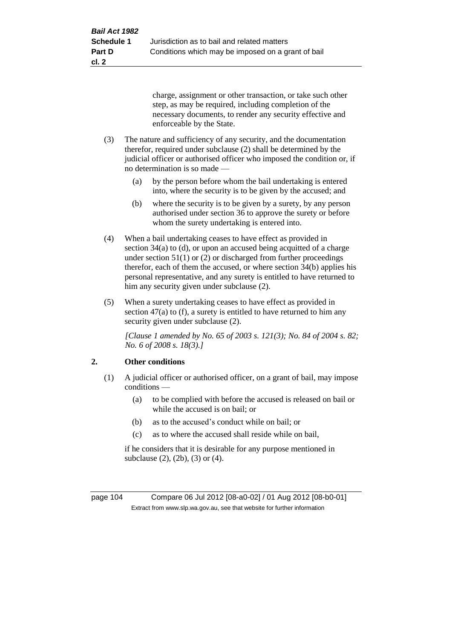charge, assignment or other transaction, or take such other step, as may be required, including completion of the necessary documents, to render any security effective and enforceable by the State.

- (3) The nature and sufficiency of any security, and the documentation therefor, required under subclause (2) shall be determined by the judicial officer or authorised officer who imposed the condition or, if no determination is so made —
	- (a) by the person before whom the bail undertaking is entered into, where the security is to be given by the accused; and
	- (b) where the security is to be given by a surety, by any person authorised under section 36 to approve the surety or before whom the surety undertaking is entered into.
- (4) When a bail undertaking ceases to have effect as provided in section 34(a) to (d), or upon an accused being acquitted of a charge under section  $51(1)$  or (2) or discharged from further proceedings therefor, each of them the accused, or where section 34(b) applies his personal representative, and any surety is entitled to have returned to him any security given under subclause (2).
- (5) When a surety undertaking ceases to have effect as provided in section 47(a) to (f), a surety is entitled to have returned to him any security given under subclause (2).

*[Clause 1 amended by No. 65 of 2003 s. 121(3); No. 84 of 2004 s. 82; No. 6 of 2008 s. 18(3).]*

# **2. Other conditions**

- (1) A judicial officer or authorised officer, on a grant of bail, may impose conditions —
	- (a) to be complied with before the accused is released on bail or while the accused is on bail; or
	- (b) as to the accused's conduct while on bail; or
	- (c) as to where the accused shall reside while on bail,

if he considers that it is desirable for any purpose mentioned in subclause (2), (2b), (3) or (4).

page 104 Compare 06 Jul 2012 [08-a0-02] / 01 Aug 2012 [08-b0-01] Extract from www.slp.wa.gov.au, see that website for further information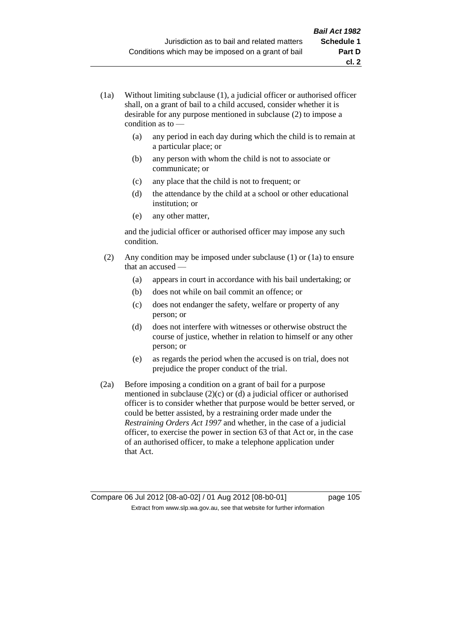- (1a) Without limiting subclause (1), a judicial officer or authorised officer shall, on a grant of bail to a child accused, consider whether it is desirable for any purpose mentioned in subclause (2) to impose a condition as to —
	- (a) any period in each day during which the child is to remain at a particular place; or
	- (b) any person with whom the child is not to associate or communicate; or
	- (c) any place that the child is not to frequent; or
	- (d) the attendance by the child at a school or other educational institution; or
	- (e) any other matter,

and the judicial officer or authorised officer may impose any such condition.

- (2) Any condition may be imposed under subclause (1) or (1a) to ensure that an accused —
	- (a) appears in court in accordance with his bail undertaking; or
	- (b) does not while on bail commit an offence; or
	- (c) does not endanger the safety, welfare or property of any person; or
	- (d) does not interfere with witnesses or otherwise obstruct the course of justice, whether in relation to himself or any other person; or
	- (e) as regards the period when the accused is on trial, does not prejudice the proper conduct of the trial.
- (2a) Before imposing a condition on a grant of bail for a purpose mentioned in subclause (2)(c) or (d) a judicial officer or authorised officer is to consider whether that purpose would be better served, or could be better assisted, by a restraining order made under the *Restraining Orders Act 1997* and whether, in the case of a judicial officer, to exercise the power in section 63 of that Act or, in the case of an authorised officer, to make a telephone application under that Act.

Compare 06 Jul 2012 [08-a0-02] / 01 Aug 2012 [08-b0-01] page 105 Extract from www.slp.wa.gov.au, see that website for further information

**cl. 2**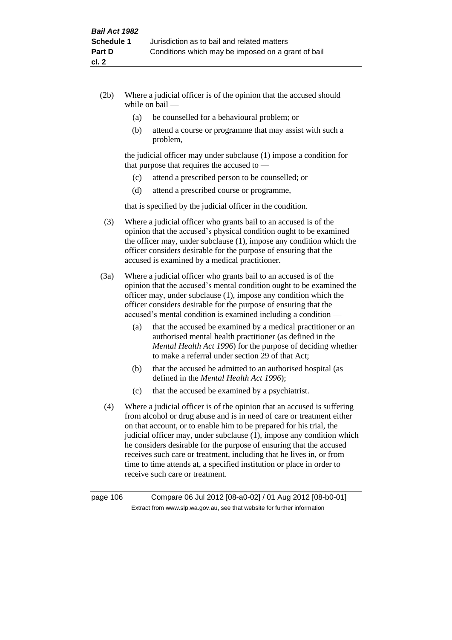- (2b) Where a judicial officer is of the opinion that the accused should while on bail —
	- (a) be counselled for a behavioural problem; or
	- (b) attend a course or programme that may assist with such a problem,

the judicial officer may under subclause (1) impose a condition for that purpose that requires the accused to —

- (c) attend a prescribed person to be counselled; or
- (d) attend a prescribed course or programme,

that is specified by the judicial officer in the condition.

- (3) Where a judicial officer who grants bail to an accused is of the opinion that the accused's physical condition ought to be examined the officer may, under subclause (1), impose any condition which the officer considers desirable for the purpose of ensuring that the accused is examined by a medical practitioner.
- (3a) Where a judicial officer who grants bail to an accused is of the opinion that the accused's mental condition ought to be examined the officer may, under subclause (1), impose any condition which the officer considers desirable for the purpose of ensuring that the accused's mental condition is examined including a condition —
	- (a) that the accused be examined by a medical practitioner or an authorised mental health practitioner (as defined in the *Mental Health Act 1996*) for the purpose of deciding whether to make a referral under section 29 of that Act;
	- (b) that the accused be admitted to an authorised hospital (as defined in the *Mental Health Act 1996*);
	- (c) that the accused be examined by a psychiatrist.
- (4) Where a judicial officer is of the opinion that an accused is suffering from alcohol or drug abuse and is in need of care or treatment either on that account, or to enable him to be prepared for his trial, the judicial officer may, under subclause (1), impose any condition which he considers desirable for the purpose of ensuring that the accused receives such care or treatment, including that he lives in, or from time to time attends at, a specified institution or place in order to receive such care or treatment.

page 106 Compare 06 Jul 2012 [08-a0-02] / 01 Aug 2012 [08-b0-01] Extract from www.slp.wa.gov.au, see that website for further information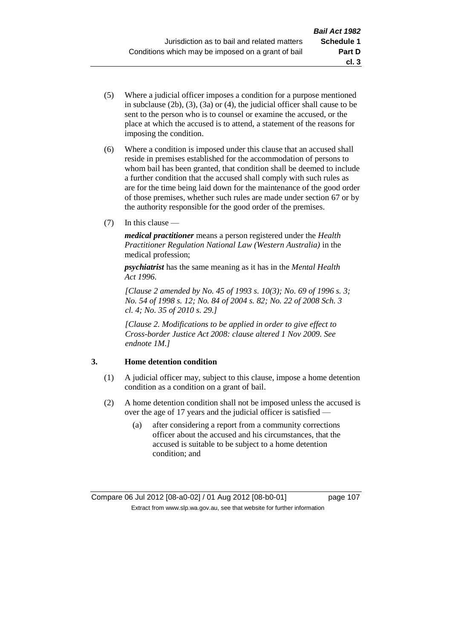- (5) Where a judicial officer imposes a condition for a purpose mentioned in subclause (2b), (3), (3a) or (4), the judicial officer shall cause to be sent to the person who is to counsel or examine the accused, or the place at which the accused is to attend, a statement of the reasons for imposing the condition.
- (6) Where a condition is imposed under this clause that an accused shall reside in premises established for the accommodation of persons to whom bail has been granted, that condition shall be deemed to include a further condition that the accused shall comply with such rules as are for the time being laid down for the maintenance of the good order of those premises, whether such rules are made under section 67 or by the authority responsible for the good order of the premises.
- (7) In this clause —

*medical practitioner* means a person registered under the *Health Practitioner Regulation National Law (Western Australia)* in the medical profession;

*psychiatrist* has the same meaning as it has in the *Mental Health Act 1996*.

*[Clause 2 amended by No. 45 of 1993 s. 10(3); No. 69 of 1996 s. 3; No. 54 of 1998 s. 12; No. 84 of 2004 s. 82; No. 22 of 2008 Sch. 3 cl. 4; No. 35 of 2010 s. 29.]*

*[Clause 2. Modifications to be applied in order to give effect to Cross-border Justice Act 2008: clause altered 1 Nov 2009. See endnote 1M.]*

## **3. Home detention condition**

- (1) A judicial officer may, subject to this clause, impose a home detention condition as a condition on a grant of bail.
- (2) A home detention condition shall not be imposed unless the accused is over the age of 17 years and the judicial officer is satisfied —
	- (a) after considering a report from a community corrections officer about the accused and his circumstances, that the accused is suitable to be subject to a home detention condition; and

**cl. 3**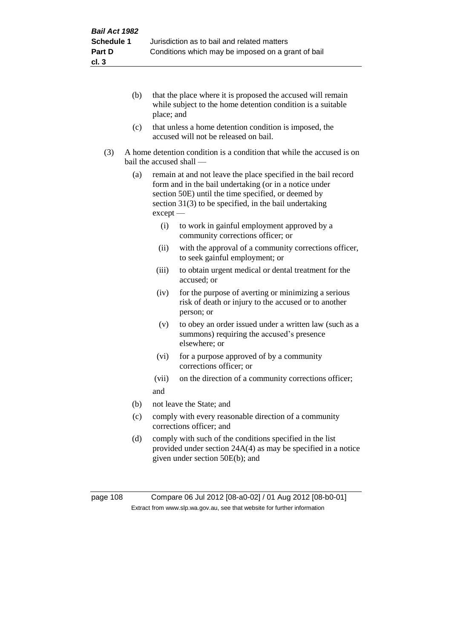- (b) that the place where it is proposed the accused will remain while subject to the home detention condition is a suitable place; and
- (c) that unless a home detention condition is imposed, the accused will not be released on bail.
- (3) A home detention condition is a condition that while the accused is on bail the accused shall —
	- (a) remain at and not leave the place specified in the bail record form and in the bail undertaking (or in a notice under section 50E) until the time specified, or deemed by section 31(3) to be specified, in the bail undertaking except —
		- (i) to work in gainful employment approved by a community corrections officer; or
		- (ii) with the approval of a community corrections officer, to seek gainful employment; or
		- (iii) to obtain urgent medical or dental treatment for the accused; or
		- (iv) for the purpose of averting or minimizing a serious risk of death or injury to the accused or to another person; or
		- (v) to obey an order issued under a written law (such as a summons) requiring the accused's presence elsewhere; or
		- (vi) for a purpose approved of by a community corrections officer; or
		- (vii) on the direction of a community corrections officer; and
	- (b) not leave the State; and
	- (c) comply with every reasonable direction of a community corrections officer; and
	- (d) comply with such of the conditions specified in the list provided under section 24A(4) as may be specified in a notice given under section 50E(b); and

page 108 Compare 06 Jul 2012 [08-a0-02] / 01 Aug 2012 [08-b0-01] Extract from www.slp.wa.gov.au, see that website for further information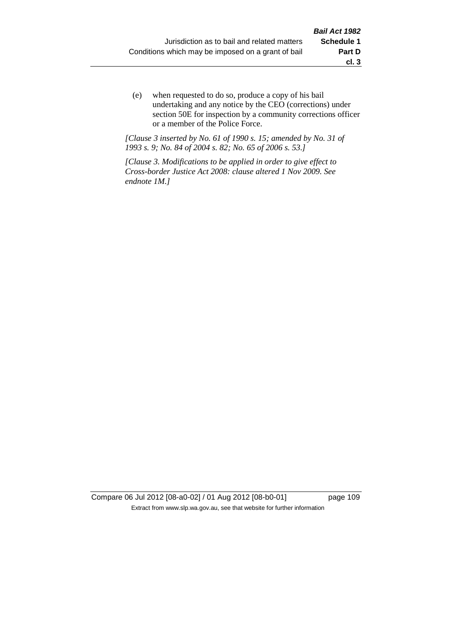(e) when requested to do so, produce a copy of his bail undertaking and any notice by the CEO (corrections) under section 50E for inspection by a community corrections officer or a member of the Police Force.

*[Clause 3 inserted by No. 61 of 1990 s. 15; amended by No. 31 of 1993 s. 9; No. 84 of 2004 s. 82; No. 65 of 2006 s. 53.]*

*[Clause 3. Modifications to be applied in order to give effect to Cross-border Justice Act 2008: clause altered 1 Nov 2009. See endnote 1M.]*

Compare 06 Jul 2012 [08-a0-02] / 01 Aug 2012 [08-b0-01] page 109 Extract from www.slp.wa.gov.au, see that website for further information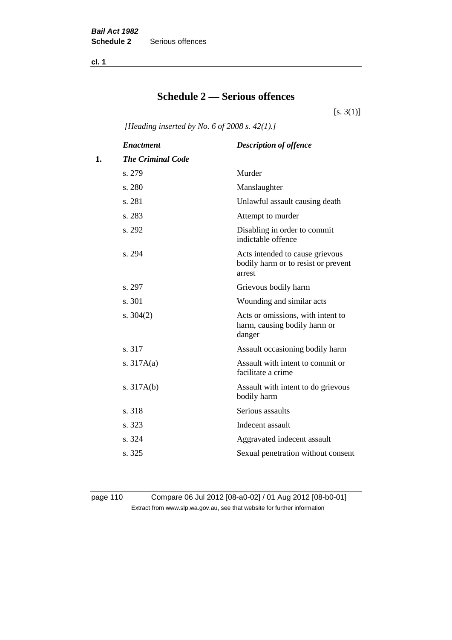**cl. 1**

# **Schedule 2 — Serious offences**

 $[s. 3(1)]$ 

*[Heading inserted by No. 6 of 2008 s. 42(1).]*

|    | <b>Enactment</b>         | <b>Description of offence</b>                                                    |
|----|--------------------------|----------------------------------------------------------------------------------|
| 1. | <b>The Criminal Code</b> |                                                                                  |
|    | s. 279                   | Murder                                                                           |
|    | s. 280                   | Manslaughter                                                                     |
|    | s. 281                   | Unlawful assault causing death                                                   |
|    | s. 283                   | Attempt to murder                                                                |
|    | s. 292                   | Disabling in order to commit<br>indictable offence                               |
|    | s. 294                   | Acts intended to cause grievous<br>bodily harm or to resist or prevent<br>arrest |
|    | s. 297                   | Grievous bodily harm                                                             |
|    | s. 301                   | Wounding and similar acts                                                        |
|    | s. $304(2)$              | Acts or omissions, with intent to<br>harm, causing bodily harm or<br>danger      |
|    | s. 317                   | Assault occasioning bodily harm                                                  |
|    | s. $317A(a)$             | Assault with intent to commit or<br>facilitate a crime                           |
|    | s. $317A(b)$             | Assault with intent to do grievous<br>bodily harm                                |
|    | s. 318                   | Serious assaults                                                                 |
|    | s. 323                   | Indecent assault                                                                 |
|    | s. 324                   | Aggravated indecent assault                                                      |
|    | s. 325                   | Sexual penetration without consent                                               |

page 110 Compare 06 Jul 2012 [08-a0-02] / 01 Aug 2012 [08-b0-01] Extract from www.slp.wa.gov.au, see that website for further information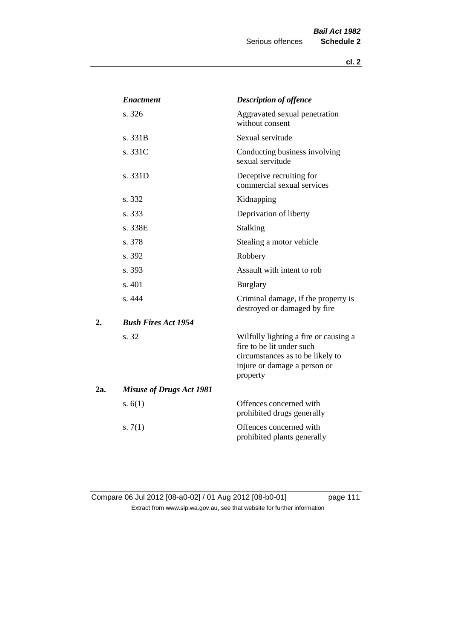|     | <b>Enactment</b>                | <b>Description of offence</b>                                                                                                                      |  |  |
|-----|---------------------------------|----------------------------------------------------------------------------------------------------------------------------------------------------|--|--|
|     | s. 326                          | Aggravated sexual penetration<br>without consent                                                                                                   |  |  |
|     | s. 331B                         | Sexual servitude                                                                                                                                   |  |  |
|     | s. 331C                         | Conducting business involving<br>sexual servitude                                                                                                  |  |  |
|     | s. 331D                         | Deceptive recruiting for<br>commercial sexual services                                                                                             |  |  |
|     | s. 332                          | Kidnapping                                                                                                                                         |  |  |
|     | s. 333                          | Deprivation of liberty                                                                                                                             |  |  |
|     | s. 338E                         | <b>Stalking</b>                                                                                                                                    |  |  |
|     | s. 378                          | Stealing a motor vehicle                                                                                                                           |  |  |
|     | s. 392                          | Robbery                                                                                                                                            |  |  |
|     | s. 393                          | Assault with intent to rob                                                                                                                         |  |  |
|     | s. 401                          | <b>Burglary</b>                                                                                                                                    |  |  |
|     | s. 444                          | Criminal damage, if the property is<br>destroyed or damaged by fire                                                                                |  |  |
| 2.  | <b>Bush Fires Act 1954</b>      |                                                                                                                                                    |  |  |
|     | s. 32                           | Wilfully lighting a fire or causing a<br>fire to be lit under such<br>circumstances as to be likely to<br>injure or damage a person or<br>property |  |  |
| 2a. | <b>Misuse of Drugs Act 1981</b> |                                                                                                                                                    |  |  |
|     | s. $6(1)$                       | Offences concerned with<br>prohibited drugs generally                                                                                              |  |  |
|     | s. $7(1)$                       | Offences concerned with<br>prohibited plants generally                                                                                             |  |  |

Compare 06 Jul 2012 [08-a0-02] / 01 Aug 2012 [08-b0-01] page 111 Extract from www.slp.wa.gov.au, see that website for further information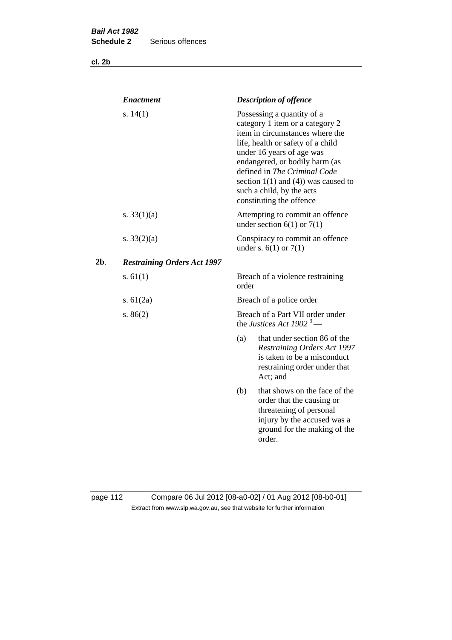**cl. 2b**

|     | <b>Enactment</b>                   | <b>Description of offence</b>                                                                                                                                                                                                                                                                                                             |  |
|-----|------------------------------------|-------------------------------------------------------------------------------------------------------------------------------------------------------------------------------------------------------------------------------------------------------------------------------------------------------------------------------------------|--|
|     | s. $14(1)$                         | Possessing a quantity of a<br>category 1 item or a category 2<br>item in circumstances where the<br>life, health or safety of a child<br>under 16 years of age was<br>endangered, or bodily harm (as<br>defined in The Criminal Code<br>section $1(1)$ and $(4)$ ) was caused to<br>such a child, by the acts<br>constituting the offence |  |
|     | s. $33(1)(a)$                      | Attempting to commit an offence<br>under section $6(1)$ or $7(1)$                                                                                                                                                                                                                                                                         |  |
|     | s. $33(2)(a)$                      | Conspiracy to commit an offence<br>under s. $6(1)$ or $7(1)$                                                                                                                                                                                                                                                                              |  |
| 2b. | <b>Restraining Orders Act 1997</b> |                                                                                                                                                                                                                                                                                                                                           |  |
|     | s. $61(1)$                         | Breach of a violence restraining<br>order                                                                                                                                                                                                                                                                                                 |  |
|     | s. $61(2a)$                        | Breach of a police order                                                                                                                                                                                                                                                                                                                  |  |
|     | s. $86(2)$                         | Breach of a Part VII order under<br>the Justices Act 1902 <sup>3</sup> —                                                                                                                                                                                                                                                                  |  |
|     |                                    | (a)<br>that under section 86 of the<br><b>Restraining Orders Act 1997</b><br>is taken to be a misconduct<br>restraining order under that<br>Act; and                                                                                                                                                                                      |  |
|     |                                    | that shows on the face of the<br>(b)<br>order that the causing or<br>threatening of personal<br>injury by the accused was a<br>ground for the making of the<br>order.                                                                                                                                                                     |  |
|     |                                    |                                                                                                                                                                                                                                                                                                                                           |  |

page 112 Compare 06 Jul 2012 [08-a0-02] / 01 Aug 2012 [08-b0-01] Extract from www.slp.wa.gov.au, see that website for further information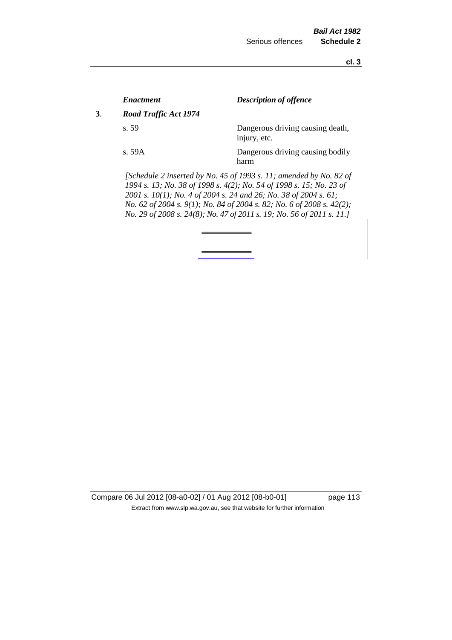**cl. 3**

|    | <i><b>Enactment</b></i>                                                                                                                                                                                                                                                                                                                                         | <b>Description of offence</b>                    |  |
|----|-----------------------------------------------------------------------------------------------------------------------------------------------------------------------------------------------------------------------------------------------------------------------------------------------------------------------------------------------------------------|--------------------------------------------------|--|
| 3. | <b>Road Traffic Act 1974</b>                                                                                                                                                                                                                                                                                                                                    |                                                  |  |
|    | s. 59                                                                                                                                                                                                                                                                                                                                                           | Dangerous driving causing death,<br>injury, etc. |  |
|    | s. 59A                                                                                                                                                                                                                                                                                                                                                          | Dangerous driving causing bodily<br>harm         |  |
|    | [Schedule 2 inserted by No. 45 of 1993 s. 11; amended by No. 82 of<br>1994 s. 13; No. 38 of 1998 s. 4(2); No. 54 of 1998 s. 15; No. 23 of<br>2001 s. 10(1); No. 4 of 2004 s. 24 and 26; No. 38 of 2004 s. 61;<br>No. 62 of 2004 s. 9(1); No. 84 of 2004 s. 82; No. 6 of 2008 s. 42(2);<br>No. 29 of 2008 s. 24(8); No. 47 of 2011 s. 19; No. 56 of 2011 s. 11.] |                                                  |  |
|    |                                                                                                                                                                                                                                                                                                                                                                 |                                                  |  |

Compare 06 Jul 2012 [08-a0-02] / 01 Aug 2012 [08-b0-01] page 113 Extract from www.slp.wa.gov.au, see that website for further information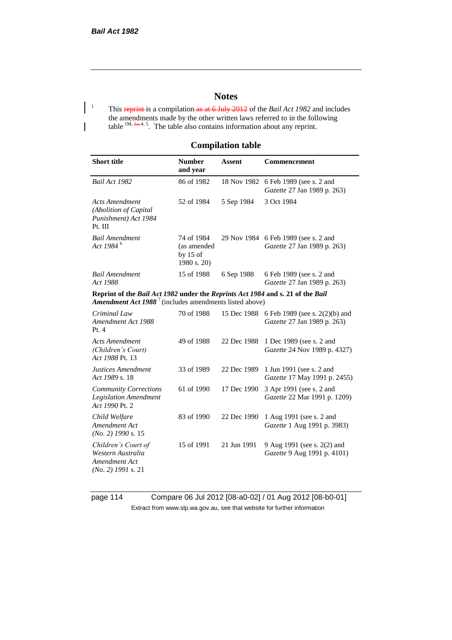## **Notes**

<sup>1</sup> This reprint is a compilation as at 6 July 2012 of the *Bail Act 1982* and includes the amendments made by the other written laws referred to in the following table  $1M$ ,  $\frac{1}{n+1}$ , 5. The table also contains information about any reprint.

### **Compilation table**

| <b>Short title</b>                                                                                                                                          | <b>Number</b><br>and year                              | <b>Assent</b> | <b>Commencement</b>                                           |  |  |
|-------------------------------------------------------------------------------------------------------------------------------------------------------------|--------------------------------------------------------|---------------|---------------------------------------------------------------|--|--|
| Bail Act 1982                                                                                                                                               | 86 of 1982                                             | 18 Nov 1982   | 6 Feb 1989 (see s. 2 and<br>Gazette 27 Jan 1989 p. 263)       |  |  |
| <b>Acts Amendment</b><br>(Abolition of Capital<br>Punishment) Act 1984<br>Pt. III                                                                           | 52 of 1984                                             | 5 Sep 1984    | 3 Oct 1984                                                    |  |  |
| <b>Bail Amendment</b><br>Act 1984 <sup>6</sup>                                                                                                              | 74 of 1984<br>(as amended<br>by $15$ of<br>1980 s. 20) | 29 Nov 1984   | 6 Feb 1989 (see s. 2 and<br>Gazette 27 Jan 1989 p. 263)       |  |  |
| <b>Bail Amendment</b><br>Act 1988                                                                                                                           | 15 of 1988                                             | 6 Sep 1988    | 6 Feb 1989 (see s. 2 and<br>Gazette 27 Jan 1989 p. 263)       |  |  |
| Reprint of the Bail Act 1982 under the Reprints Act 1984 and s. 21 of the Bail<br><b>Amendment Act 1988</b> <sup>7</sup> (includes amendments listed above) |                                                        |               |                                                               |  |  |
| Criminal Law<br>Amendment Act 1988<br>Pt.4                                                                                                                  | 70 of 1988                                             | 15 Dec 1988   | 6 Feb 1989 (see s. 2(2)(b) and<br>Gazette 27 Jan 1989 p. 263) |  |  |
| <b>Acts Amendment</b><br>(Children's Court)<br>Act 1988 Pt. 13                                                                                              | 49 of 1988                                             | 22 Dec 1988   | 1 Dec 1989 (see s. 2 and<br>Gazette 24 Nov 1989 p. 4327)      |  |  |
| Justices Amendment<br>Act 1989 s. 18                                                                                                                        | 33 of 1989                                             | 22 Dec 1989   | 1 Jun 1991 (see s. 2 and<br>Gazette 17 May 1991 p. 2455)      |  |  |
| <b>Community Corrections</b><br><b>Legislation Amendment</b><br>Act 1990 Pt. 2                                                                              | 61 of 1990                                             | 17 Dec 1990   | 3 Apr 1991 (see s. 2 and<br>Gazette 22 Mar 1991 p. 1209)      |  |  |
| Child Welfare<br>Amendment Act<br>$(No. 2)$ 1990 s. 15                                                                                                      | 83 of 1990                                             | 22 Dec 1990   | 1 Aug 1991 (see s. 2 and<br>Gazette 1 Aug 1991 p. 3983)       |  |  |
| Children's Court of<br>Western Australia<br>Amendment Act<br>$(No. 2)$ 1991 s. 21                                                                           | 15 of 1991                                             | 21 Jun 1991   | 9 Aug 1991 (see s. 2(2) and<br>Gazette 9 Aug 1991 p. 4101)    |  |  |

page 114 Compare 06 Jul 2012 [08-a0-02] / 01 Aug 2012 [08-b0-01] Extract from www.slp.wa.gov.au, see that website for further information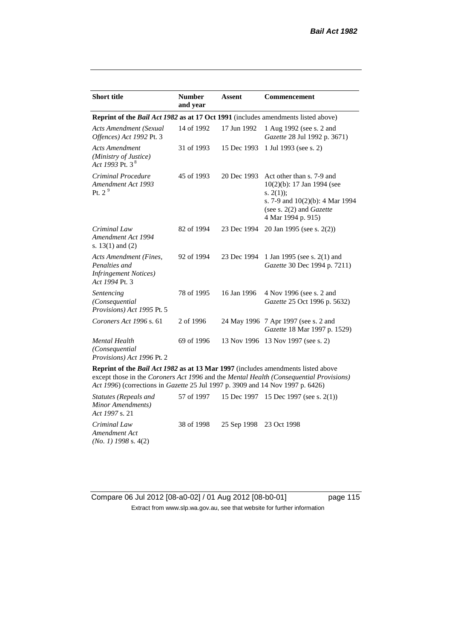| <b>Short title</b>                                                                         | <b>Number</b><br>and year | <b>Assent</b> | <b>Commencement</b>                                                                                                                                                        |  |
|--------------------------------------------------------------------------------------------|---------------------------|---------------|----------------------------------------------------------------------------------------------------------------------------------------------------------------------------|--|
| <b>Reprint of the Bail Act 1982 as at 17 Oct 1991</b> (includes amendments listed above)   |                           |               |                                                                                                                                                                            |  |
| Acts Amendment (Sexual<br>Offences) Act 1992 Pt. 3                                         | 14 of 1992                | 17 Jun 1992   | 1 Aug 1992 (see s. 2 and<br>Gazette 28 Jul 1992 p. 3671)                                                                                                                   |  |
| <b>Acts Amendment</b><br>(Ministry of Justice)<br>Act 1993 Pt. 3 $^{8}$                    | 31 of 1993                | 15 Dec 1993   | 1 Jul 1993 (see s. 2)                                                                                                                                                      |  |
| Criminal Procedure<br>Amendment Act 1993<br>Pt. $2^9$                                      | 45 of 1993                | 20 Dec 1993   | Act other than s. 7-9 and<br>$10(2)(b)$ : 17 Jan 1994 (see<br>s. $2(1)$ ;<br>s. 7-9 and $10(2)(b)$ : 4 Mar 1994<br>(see s. $2(2)$ and <i>Gazette</i><br>4 Mar 1994 p. 915) |  |
| Criminal Law<br>Amendment Act 1994<br>s. $13(1)$ and $(2)$                                 | 82 of 1994                | 23 Dec 1994   | 20 Jan 1995 (see s. 2(2))                                                                                                                                                  |  |
| Acts Amendment (Fines,<br>Penalties and<br><b>Infringement Notices</b> )<br>Act 1994 Pt. 3 | 92 of 1994                | 23 Dec 1994   | 1 Jan 1995 (see s. 2(1) and<br>Gazette 30 Dec 1994 p. 7211)                                                                                                                |  |
| Sentencing<br>(Consequential<br>Provisions) Act 1995 Pt. 5                                 | 78 of 1995                | 16 Jan 1996   | 4 Nov 1996 (see s. 2 and<br>Gazette 25 Oct 1996 p. 5632)                                                                                                                   |  |
| Coroners Act 1996 s. 61                                                                    | 2 of 1996                 |               | 24 May 1996 7 Apr 1997 (see s. 2 and<br>Gazette 18 Mar 1997 p. 1529)                                                                                                       |  |
| <b>Mental Health</b><br>(Consequential<br>Provisions) Act 1996 Pt. 2                       | 69 of 1996                | 13 Nov 1996   | 13 Nov 1997 (see s. 2)                                                                                                                                                     |  |

**Reprint of the** *Bail Act 1982* **as at 13 Mar 1997** (includes amendments listed above except those in the *Coroners Act 1996* and the *Mental Health (Consequential Provisions) Act 1996*) (corrections in *Gazette* 25 Jul 1997 p. 3909 and 14 Nov 1997 p. 6426)

*Statutes (Repeals and Minor Amendments) Act 1997* s. 21 57 of 1997 15 Dec 1997 15 Dec 1997 (see s. 2(1)) *Criminal Law Amendment Act (No. 1) 1998* s. 4(2) 38 of 1998 25 Sep 1998 23 Oct 1998

Compare 06 Jul 2012 [08-a0-02] / 01 Aug 2012 [08-b0-01] page 115 Extract from www.slp.wa.gov.au, see that website for further information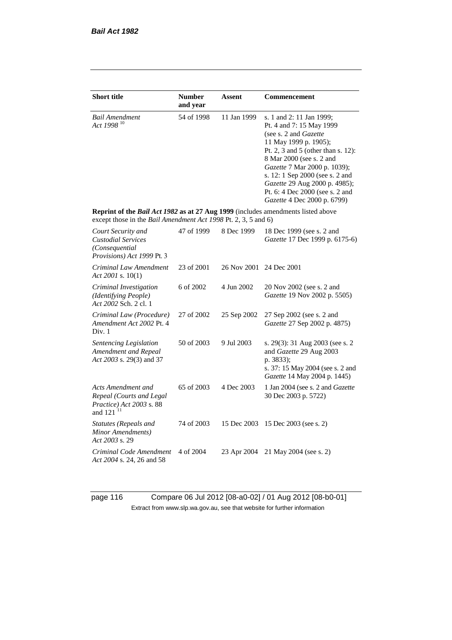| <b>Short title</b>                                                                                                                                 | <b>Number</b><br>and year | <b>Assent</b> | Commencement                                                                                                                                                                                                                                                                                                                                            |  |  |
|----------------------------------------------------------------------------------------------------------------------------------------------------|---------------------------|---------------|---------------------------------------------------------------------------------------------------------------------------------------------------------------------------------------------------------------------------------------------------------------------------------------------------------------------------------------------------------|--|--|
| <b>Bail Amendment</b><br>Act 1998 <sup>10</sup>                                                                                                    | 54 of 1998                | 11 Jan 1999   | s. 1 and 2: 11 Jan 1999;<br>Pt. 4 and 7: 15 May 1999<br>(see s. 2 and <i>Gazette</i> )<br>11 May 1999 p. 1905);<br>Pt. 2, 3 and 5 (other than s. 12):<br>8 Mar 2000 (see s. 2 and<br>Gazette 7 Mar 2000 p. 1039);<br>s. 12: 1 Sep 2000 (see s. 2 and<br>Gazette 29 Aug 2000 p. 4985);<br>Pt. 6: 4 Dec 2000 (see s. 2 and<br>Gazette 4 Dec 2000 p. 6799) |  |  |
| Reprint of the Bail Act 1982 as at 27 Aug 1999 (includes amendments listed above<br>except those in the Bail Amendment Act 1998 Pt. 2, 3, 5 and 6) |                           |               |                                                                                                                                                                                                                                                                                                                                                         |  |  |
| Court Security and<br><b>Custodial Services</b><br>(Consequential<br>Provisions) Act 1999 Pt. 3                                                    | 47 of 1999                | 8 Dec 1999    | 18 Dec 1999 (see s. 2 and<br>Gazette 17 Dec 1999 p. 6175-6)                                                                                                                                                                                                                                                                                             |  |  |
| Criminal Law Amendment<br>Act 2001 s. $10(1)$                                                                                                      | 23 of 2001                | 26 Nov 2001   | 24 Dec 2001                                                                                                                                                                                                                                                                                                                                             |  |  |
| Criminal Investigation<br>(Identifying People)<br>Act 2002 Sch. 2 cl. 1                                                                            | 6 of 2002                 | 4 Jun 2002    | 20 Nov 2002 (see s. 2 and<br>Gazette 19 Nov 2002 p. 5505)                                                                                                                                                                                                                                                                                               |  |  |
| Criminal Law (Procedure)<br>Amendment Act 2002 Pt. 4<br>Div. 1                                                                                     | 27 of 2002                | 25 Sep 2002   | 27 Sep 2002 (see s. 2 and<br>Gazette 27 Sep 2002 p. 4875)                                                                                                                                                                                                                                                                                               |  |  |
| Sentencing Legislation<br>Amendment and Repeal<br>Act 2003 s. 29(3) and 37                                                                         | 50 of 2003                | 9 Jul 2003    | s. 29(3): 31 Aug 2003 (see s. 2)<br>and Gazette 29 Aug 2003<br>p. 3833);<br>s. 37: 15 May 2004 (see s. 2 and<br>Gazette 14 May 2004 p. 1445)                                                                                                                                                                                                            |  |  |
| Acts Amendment and<br>Repeal (Courts and Legal<br>Practice) Act 2003 s. 88<br>and $121$ <sup>11</sup>                                              | 65 of 2003                | 4 Dec 2003    | 1 Jan 2004 (see s. 2 and <i>Gazette</i><br>30 Dec 2003 p. 5722)                                                                                                                                                                                                                                                                                         |  |  |
| Statutes (Repeals and<br>Minor Amendments)<br>Act 2003 s. 29                                                                                       | 74 of 2003                | 15 Dec 2003   | 15 Dec 2003 (see s. 2)                                                                                                                                                                                                                                                                                                                                  |  |  |
| Criminal Code Amendment<br>Act 2004 s. 24, 26 and 58                                                                                               | 4 of 2004                 | 23 Apr 2004   | 21 May 2004 (see s. 2)                                                                                                                                                                                                                                                                                                                                  |  |  |

page 116 Compare 06 Jul 2012 [08-a0-02] / 01 Aug 2012 [08-b0-01] Extract from www.slp.wa.gov.au, see that website for further information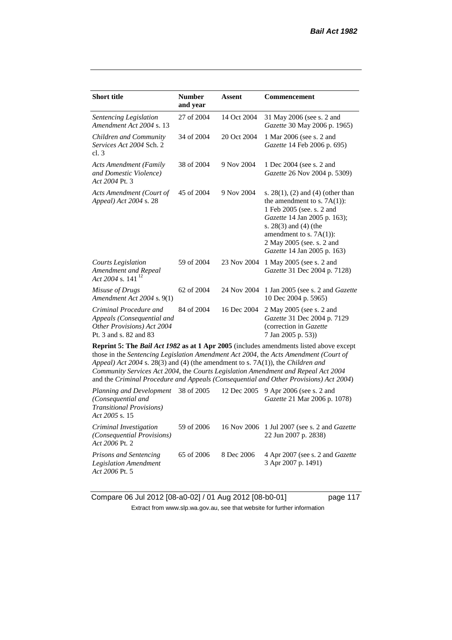| <b>Short title</b>                                                                                                                                                                                                                                                                                                                                                                                                                              | <b>Number</b><br>and year | Assent      | <b>Commencement</b>                                                                                                                                                                                                                                  |  |
|-------------------------------------------------------------------------------------------------------------------------------------------------------------------------------------------------------------------------------------------------------------------------------------------------------------------------------------------------------------------------------------------------------------------------------------------------|---------------------------|-------------|------------------------------------------------------------------------------------------------------------------------------------------------------------------------------------------------------------------------------------------------------|--|
| Sentencing Legislation<br>Amendment Act 2004 s. 13                                                                                                                                                                                                                                                                                                                                                                                              | 27 of 2004                | 14 Oct 2004 | 31 May 2006 (see s. 2 and<br>Gazette 30 May 2006 p. 1965)                                                                                                                                                                                            |  |
| Children and Community<br>Services Act 2004 Sch. 2<br>cl.3                                                                                                                                                                                                                                                                                                                                                                                      | 34 of 2004                | 20 Oct 2004 | 1 Mar 2006 (see s. 2 and<br>Gazette 14 Feb 2006 p. 695)                                                                                                                                                                                              |  |
| <b>Acts Amendment (Family</b><br>and Domestic Violence)<br>Act 2004 Pt. 3                                                                                                                                                                                                                                                                                                                                                                       | 38 of 2004                | 9 Nov 2004  | 1 Dec 2004 (see s. 2 and<br>Gazette 26 Nov 2004 p. 5309)                                                                                                                                                                                             |  |
| Acts Amendment (Court of<br>Appeal) Act 2004 s. 28                                                                                                                                                                                                                                                                                                                                                                                              | 45 of 2004                | 9 Nov 2004  | s. $28(1)$ , (2) and (4) (other than<br>the amendment to s. $7A(1)$ :<br>1 Feb 2005 (see. s. 2 and<br>Gazette 14 Jan 2005 p. 163);<br>s. 28(3) and (4) (the<br>amendment to s. $7A(1)$ :<br>2 May 2005 (see. s. 2 and<br>Gazette 14 Jan 2005 p. 163) |  |
| <b>Courts Legislation</b><br>Amendment and Repeal<br>Act 2004 s. 141 $12$                                                                                                                                                                                                                                                                                                                                                                       | 59 of 2004                | 23 Nov 2004 | 1 May 2005 (see s. 2 and<br>Gazette 31 Dec 2004 p. 7128)                                                                                                                                                                                             |  |
| Misuse of Drugs<br>Amendment Act 2004 s. 9(1)                                                                                                                                                                                                                                                                                                                                                                                                   | 62 of 2004                | 24 Nov 2004 | 1 Jan 2005 (see s. 2 and <i>Gazette</i><br>10 Dec 2004 p. 5965)                                                                                                                                                                                      |  |
| Criminal Procedure and<br>Appeals (Consequential and<br>Other Provisions) Act 2004<br>Pt. 3 and s. 82 and 83                                                                                                                                                                                                                                                                                                                                    | 84 of 2004                | 16 Dec 2004 | 2 May 2005 (see s. 2 and<br>Gazette 31 Dec 2004 p. 7129<br>(correction in Gazette<br>7 Jan 2005 p. 53))                                                                                                                                              |  |
| Reprint 5: The Bail Act 1982 as at 1 Apr 2005 (includes amendments listed above except<br>those in the Sentencing Legislation Amendment Act 2004, the Acts Amendment (Court of<br>Appeal) Act 2004 s. 28(3) and (4) (the amendment to s. 7A(1)), the Children and<br>Community Services Act 2004, the Courts Legislation Amendment and Repeal Act 2004<br>and the Criminal Procedure and Appeals (Consequential and Other Provisions) Act 2004) |                           |             |                                                                                                                                                                                                                                                      |  |
| Planning and Development<br>(Consequential and<br><b>Transitional Provisions</b> )<br>Act 2005 s. 15                                                                                                                                                                                                                                                                                                                                            | 38 of 2005                | 12 Dec 2005 | 9 Apr 2006 (see s. 2 and<br>Gazette 21 Mar 2006 p. 1078)                                                                                                                                                                                             |  |

*Criminal Investigation (Consequential Provisions) Act 2006* Pt. 2 59 of 2006 16 Nov 2006 1 Jul 2007 (see s. 2 and *Gazette* 22 Jun 2007 p. 2838) *Prisons and Sentencing Legislation Amendment Act 2006* Pt. 5 65 of 2006 8 Dec 2006 4 Apr 2007 (see s. 2 and *Gazette* 3 Apr 2007 p. 1491)

Compare 06 Jul 2012 [08-a0-02] / 01 Aug 2012 [08-b0-01] page 117 Extract from www.slp.wa.gov.au, see that website for further information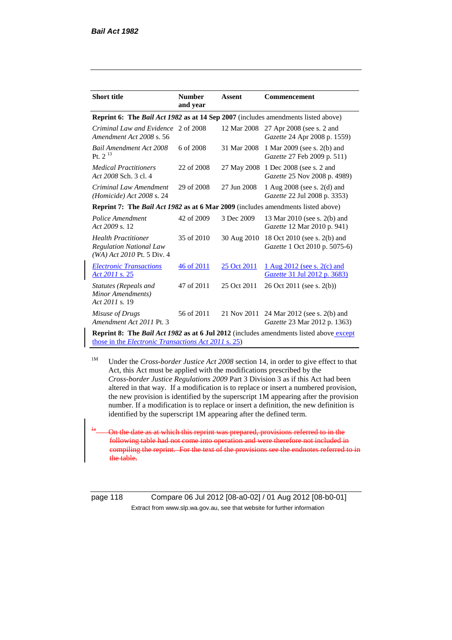| <b>Short title</b>                                                                                                                                                  | <b>Number</b><br>and year                                                         | Assent      | <b>Commencement</b>                                           |  |  |  |
|---------------------------------------------------------------------------------------------------------------------------------------------------------------------|-----------------------------------------------------------------------------------|-------------|---------------------------------------------------------------|--|--|--|
|                                                                                                                                                                     | Reprint 6: The Bail Act 1982 as at 14 Sep 2007 (includes amendments listed above) |             |                                                               |  |  |  |
| Criminal Law and Evidence<br>Amendment Act 2008 s. 56                                                                                                               | 2 of 2008                                                                         | 12 Mar 2008 | 27 Apr 2008 (see s. 2 and<br>Gazette 24 Apr 2008 p. 1559)     |  |  |  |
| <b>Bail Amendment Act 2008</b><br>Pt. $2^{13}$                                                                                                                      | 6 of 2008                                                                         | 31 Mar 2008 | 1 Mar 2009 (see s. 2(b) and<br>Gazette 27 Feb 2009 p. 511)    |  |  |  |
| <b>Medical Practitioners</b><br>Act 2008 Sch. 3 cl. 4                                                                                                               | 22 of 2008                                                                        | 27 May 2008 | 1 Dec 2008 (see s. 2 and<br>Gazette 25 Nov 2008 p. 4989)      |  |  |  |
| Criminal Law Amendment<br>(Homicide) Act 2008 s. 24                                                                                                                 | 29 of 2008                                                                        | 27 Jun 2008 | 1 Aug 2008 (see s. 2(d) and<br>Gazette 22 Jul 2008 p. 3353)   |  |  |  |
| <b>Reprint 7: The Bail Act 1982 as at 6 Mar 2009</b> (includes amendments listed above)                                                                             |                                                                                   |             |                                                               |  |  |  |
| Police Amendment<br>Act 2009 s. 12                                                                                                                                  | 42 of 2009                                                                        | 3 Dec 2009  | 13 Mar 2010 (see s. 2(b) and<br>Gazette 12 Mar 2010 p. 941)   |  |  |  |
| <b>Health Practitioner</b><br><b>Regulation National Law</b><br>(WA) Act 2010 Pt. 5 Div. 4                                                                          | 35 of 2010                                                                        | 30 Aug 2010 | 18 Oct 2010 (see s. 2(b) and<br>Gazette 1 Oct 2010 p. 5075-6) |  |  |  |
| <b>Electronic Transactions</b><br>Act 2011 s. 25                                                                                                                    | 46 of 2011                                                                        | 25 Oct 2011 | 1 Aug 2012 (see s. 2(c) and<br>Gazette 31 Jul 2012 p. 3683)   |  |  |  |
| Statutes (Repeals and<br>Minor Amendments)<br>Act 2011 s. 19                                                                                                        | 47 of 2011                                                                        | 25 Oct 2011 | 26 Oct 2011 (see s. 2(b))                                     |  |  |  |
| Misuse of Drugs<br>Amendment Act 2011 Pt. 3                                                                                                                         | 56 of 2011                                                                        | 21 Nov 2011 | 24 Mar 2012 (see s. 2(b) and<br>Gazette 23 Mar 2012 p. 1363)  |  |  |  |
| <b>Reprint 8:</b> The <i>Bail Act 1982</i> as at 6 Jul 2012 (includes amendments listed above except<br>those in the <i>Electronic Transactions Act 2011</i> s. 25) |                                                                                   |             |                                                               |  |  |  |

<sup>1M</sup> Under the *Cross-border Justice Act 2008* section 14, in order to give effect to that Act, this Act must be applied with the modifications prescribed by the *Cross-border Justice Regulations 2009* Part 3 Division 3 as if this Act had been altered in that way. If a modification is to replace or insert a numbered provision, the new provision is identified by the superscript 1M appearing after the provision number. If a modification is to replace or insert a definition, the new definition is identified by the superscript 1M appearing after the defined term.

at which this reprint was prepared, provisions referred to in the following table had not come into operation and were therefore not included in compiling the reprint. For the text of the provisions see the endnotes referred to in the table.

page 118 Compare 06 Jul 2012 [08-a0-02] / 01 Aug 2012 [08-b0-01] Extract from www.slp.wa.gov.au, see that website for further information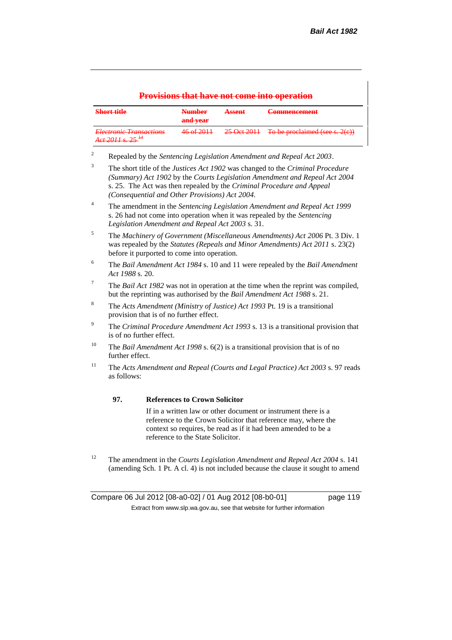#### **Provisions that have not come into operation Short title Number and year Assent Commencement** *Electronic Transactions Act 2011* s. 25 <sup>14</sup> 46 of 2011 25 Oct 2011 To be proclaimed (see s. 2(c))

<sup>2</sup> Repealed by the *Sentencing Legislation Amendment and Repeal Act 2003*.

- <sup>3</sup> The short title of the *Justices Act 1902* was changed to the *Criminal Procedure (Summary) Act 1902* by the *Courts Legislation Amendment and Repeal Act 2004*  s. 25. The Act was then repealed by the *Criminal Procedure and Appeal (Consequential and Other Provisions) Act 2004.*
- <sup>4</sup> The amendment in the *Sentencing Legislation Amendment and Repeal Act 1999* s. 26 had not come into operation when it was repealed by the *Sentencing Legislation Amendment and Repeal Act 2003* s. 31.
- <sup>5</sup> The *Machinery of Government (Miscellaneous Amendments) Act 2006* Pt. 3 Div. 1 was repealed by the *Statutes (Repeals and Minor Amendments) Act 2011* s. 23(2) before it purported to come into operation.
- <sup>6</sup> The *Bail Amendment Act 1984* s. 10 and 11 were repealed by the *Bail Amendment Act 1988* s. 20.
- <sup>7</sup> The *Bail Act 1982* was not in operation at the time when the reprint was compiled, but the reprinting was authorised by the *Bail Amendment Act 1988* s. 21.
- <sup>8</sup> The *Acts Amendment (Ministry of Justice) Act 1993* Pt. 19 is a transitional provision that is of no further effect.
- <sup>9</sup> The *Criminal Procedure Amendment Act 1993* s. 13 is a transitional provision that is of no further effect.
- <sup>10</sup> The *Bail Amendment Act 1998* s. 6(2) is a transitional provision that is of no further effect.
- <sup>11</sup> The *Acts Amendment and Repeal (Courts and Legal Practice) Act 2003* s. 97 reads as follows:

#### **97. References to Crown Solicitor**

If in a written law or other document or instrument there is a reference to the Crown Solicitor that reference may, where the context so requires, be read as if it had been amended to be a reference to the State Solicitor.

<sup>12</sup> The amendment in the *Courts Legislation Amendment and Repeal Act 2004* s. 141 (amending Sch. 1 Pt. A cl. 4) is not included because the clause it sought to amend

Compare 06 Jul 2012 [08-a0-02] / 01 Aug 2012 [08-b0-01] page 119 Extract from www.slp.wa.gov.au, see that website for further information